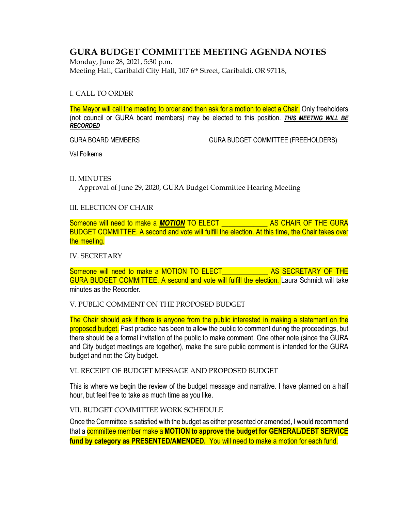## **GURA BUDGET COMMITTEE MEETING AGENDA NOTES**

Monday, June 28, 2021, 5:30 p.m. Meeting Hall, Garibaldi City Hall, 107 6th Street, Garibaldi, OR 97118,

### I. CALL TO ORDER

The Mayor will call the meeting to order and then ask for a motion to elect a Chair. Only freeholders (not council or GURA board members) may be elected to this position. *THIS MEETING WILL BE RECORDED*

GURA BOARD MEMBERS GURA BUDGET COMMITTEE (FREEHOLDERS)

Val Folkema

### II. MINUTES

Approval of June 29, 2020, GURA Budget Committee Hearing Meeting

### III. ELECTION OF CHAIR

Someone will need to make a *MOTION* TO ELECT \_\_\_\_\_\_\_\_\_\_\_\_\_ AS CHAIR OF THE GURA BUDGET COMMITTEE. A second and vote will fulfill the election. At this time, the Chair takes over the meeting.

IV. SECRETARY

Someone will need to make a MOTION TO ELECT\_\_\_\_\_\_\_\_\_\_\_\_\_\_\_ AS SECRETARY OF THE GURA BUDGET COMMITTEE. A second and vote will fulfill the election. Laura Schmidt will take minutes as the Recorder.

### V. PUBLIC COMMENT ON THE PROPOSED BUDGET

The Chair should ask if there is anyone from the public interested in making a statement on the proposed budget. Past practice has been to allow the public to comment during the proceedings, but there should be a formal invitation of the public to make comment. One other note (since the GURA and City budget meetings are together), make the sure public comment is intended for the GURA budget and not the City budget.

VI. RECEIPT OF BUDGET MESSAGE AND PROPOSED BUDGET

This is where we begin the review of the budget message and narrative. I have planned on a half hour, but feel free to take as much time as you like.

VII. BUDGET COMMITTEE WORK SCHEDULE

Once the Committee is satisfied with the budget as either presented or amended, I would recommend that a committee member make a **MOTION to approve the budget for GENERAL/DEBT SERVICE fund by category as PRESENTED/AMENDED.** You will need to make a motion for each fund.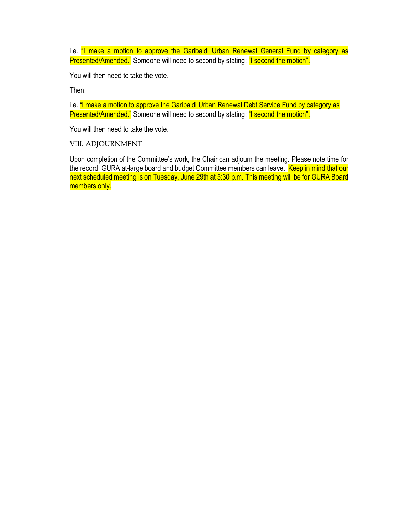i.e. "I make a motion to approve the Garibaldi Urban Renewal General Fund by category as Presented/Amended." Someone will need to second by stating; "I second the motion".

You will then need to take the vote.

Then:

i.e. "I make a motion to approve the Garibaldi Urban Renewal Debt Service Fund by category as Presented/Amended." Someone will need to second by stating; "I second the motion".

You will then need to take the vote.

VIII. ADJOURNMENT

Upon completion of the Committee's work, the Chair can adjourn the meeting. Please note time for the record. GURA at-large board and budget Committee members can leave. Keep in mind that our next scheduled meeting is on Tuesday, June 29th at 5:30 p.m. This meeting will be for GURA Board members only.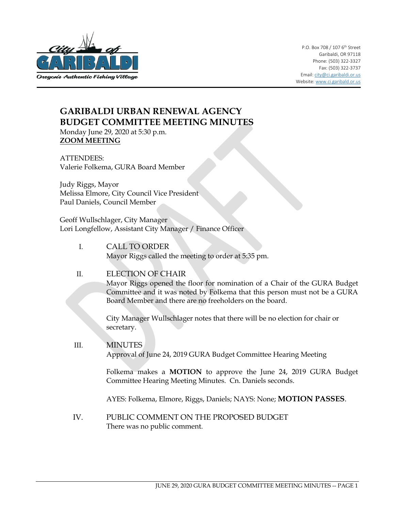

P.O. Box 708 / 107 6<sup>th</sup> Street Garibaldi, OR 97118 Phone: (503) 322-3327 Fax: (503) 322-3737 Email[: city@ci.garibaldi.or.us](mailto:city@ci.garibaldi.or.us) Website[: www.ci.garibald.or.us](http://www.ci.garibald.or.us/)

## **GARIBALDI URBAN RENEWAL AGENCY BUDGET COMMITTEE MEETING MINUTES**

Monday June 29, 2020 at 5:30 p.m. **ZOOM MEETING**

ATTENDEES: Valerie Folkema, GURA Board Member

Judy Riggs, Mayor Melissa Elmore, City Council Vice President Paul Daniels, Council Member

Geoff Wullschlager, City Manager Lori Longfellow, Assistant City Manager / Finance Officer

> I. CALL TO ORDER Mayor Riggs called the meeting to order at 5:35 pm.

### II. ELECTION OF CHAIR

Mayor Riggs opened the floor for nomination of a Chair of the GURA Budget Committee and it was noted by Folkema that this person must not be a GURA Board Member and there are no freeholders on the board.

City Manager Wullschlager notes that there will be no election for chair or secretary.

III. MINUTES Approval of June 24, 2019 GURA Budget Committee Hearing Meeting

> Folkema makes a **MOTION** to approve the June 24, 2019 GURA Budget Committee Hearing Meeting Minutes. Cn. Daniels seconds.

AYES: Folkema, Elmore, Riggs, Daniels; NAYS: None; **MOTION PASSES**.

IV. PUBLIC COMMENT ON THE PROPOSED BUDGET There was no public comment.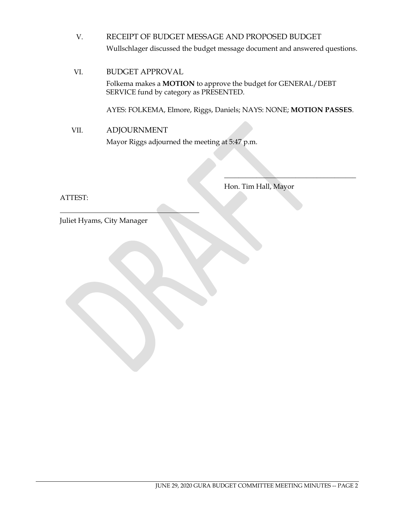- V. RECEIPT OF BUDGET MESSAGE AND PROPOSED BUDGET Wullschlager discussed the budget message document and answered questions.
- VI. BUDGET APPROVAL Folkema makes a **MOTION** to approve the budget for GENERAL/DEBT SERVICE fund by category as PRESENTED.

AYES: FOLKEMA, Elmore, Riggs, Daniels; NAYS: NONE; **MOTION PASSES**.

VII. ADJOURNMENT Mayor Riggs adjourned the meeting at 5:47 p.m.

Hon. Tim Hall, Mayor

 $\frac{1}{2}$  ,  $\frac{1}{2}$  ,  $\frac{1}{2}$  ,  $\frac{1}{2}$  ,  $\frac{1}{2}$  ,  $\frac{1}{2}$  ,  $\frac{1}{2}$  ,  $\frac{1}{2}$  ,  $\frac{1}{2}$  ,  $\frac{1}{2}$  ,  $\frac{1}{2}$  ,  $\frac{1}{2}$  ,  $\frac{1}{2}$  ,  $\frac{1}{2}$  ,  $\frac{1}{2}$  ,  $\frac{1}{2}$  ,  $\frac{1}{2}$  ,  $\frac{1}{2}$  ,  $\frac{1$ 

ATTEST:

Juliet Hyams, City Manager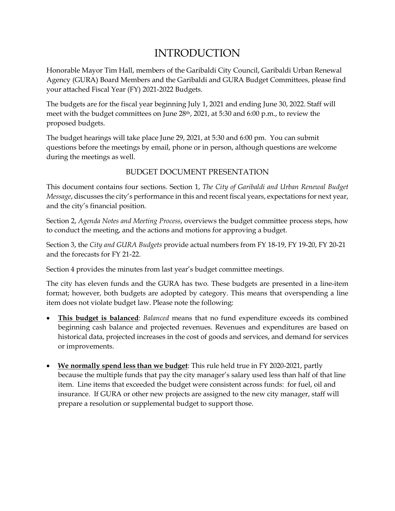## INTRODUCTION

Honorable Mayor Tim Hall, members of the Garibaldi City Council, Garibaldi Urban Renewal Agency (GURA) Board Members and the Garibaldi and GURA Budget Committees, please find your attached Fiscal Year (FY) 2021-2022 Budgets.

The budgets are for the fiscal year beginning July 1, 2021 and ending June 30, 2022. Staff will meet with the budget committees on June 28th, 2021, at 5:30 and 6:00 p.m., to review the proposed budgets.

The budget hearings will take place June 29, 2021, at 5:30 and 6:00 pm. You can submit questions before the meetings by email, phone or in person, although questions are welcome during the meetings as well.

### BUDGET DOCUMENT PRESENTATION

This document contains four sections. Section 1, *The City of Garibaldi and Urban Renewal Budget Message*, discusses the city's performance in this and recent fiscal years, expectations for next year, and the city's financial position.

Section 2, *Agenda Notes and Meeting Process*, overviews the budget committee process steps, how to conduct the meeting, and the actions and motions for approving a budget.

Section 3, the *City and GURA Budgets* provide actual numbers from FY 18-19, FY 19-20, FY 20-21 and the forecasts for FY 21-22.

Section 4 provides the minutes from last year's budget committee meetings.

The city has eleven funds and the GURA has two. These budgets are presented in a line-item format; however, both budgets are adopted by category. This means that overspending a line item does not violate budget law. Please note the following:

- **This budget is balanced**: *Balanced* means that no fund expenditure exceeds its combined beginning cash balance and projected revenues. Revenues and expenditures are based on historical data, projected increases in the cost of goods and services, and demand for services or improvements.
- **We normally spend less than we budget**: This rule held true in FY 2020-2021, partly because the multiple funds that pay the city manager's salary used less than half of that line item. Line items that exceeded the budget were consistent across funds: for fuel, oil and insurance. If GURA or other new projects are assigned to the new city manager, staff will prepare a resolution or supplemental budget to support those.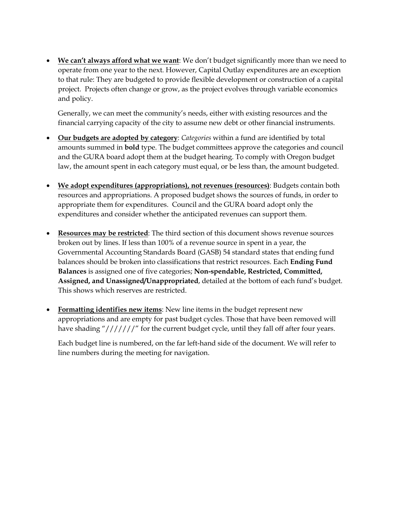• **We can't always afford what we want**: We don't budget significantly more than we need to operate from one year to the next. However, Capital Outlay expenditures are an exception to that rule: They are budgeted to provide flexible development or construction of a capital project. Projects often change or grow, as the project evolves through variable economics and policy.

Generally, we can meet the community's needs, either with existing resources and the financial carrying capacity of the city to assume new debt or other financial instruments.

- **Our budgets are adopted by category**: *Categories* within a fund are identified by total amounts summed in **bold** type. The budget committees approve the categories and council and the GURA board adopt them at the budget hearing. To comply with Oregon budget law, the amount spent in each category must equal, or be less than, the amount budgeted.
- **We adopt expenditures (appropriations), not revenues (resources)**: Budgets contain both resources and appropriations. A proposed budget shows the sources of funds, in order to appropriate them for expenditures. Council and the GURA board adopt only the expenditures and consider whether the anticipated revenues can support them.
- **Resources may be restricted**: The third section of this document shows revenue sources broken out by lines. If less than 100% of a revenue source in spent in a year, the Governmental Accounting Standards Board (GASB) 54 standard states that ending fund balances should be broken into classifications that restrict resources. Each **Ending Fund Balances** is assigned one of five categories; **Non-spendable, Restricted, Committed, Assigned, and Unassigned/Unappropriated**, detailed at the bottom of each fund's budget. This shows which reserves are restricted.
- **Formatting identifies new items**: New line items in the budget represent new appropriations and are empty for past budget cycles. Those that have been removed will have shading "///////" for the current budget cycle, until they fall off after four years.

Each budget line is numbered, on the far left-hand side of the document. We will refer to line numbers during the meeting for navigation.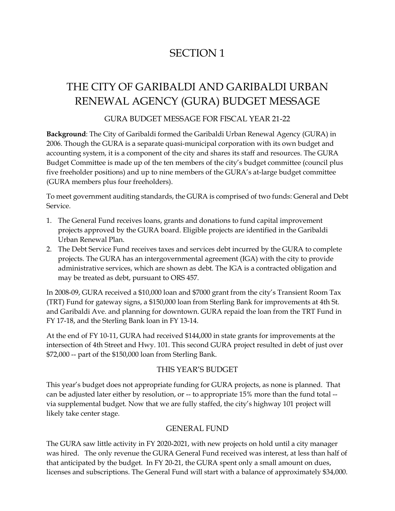# SECTION 1

# THE CITY OF GARIBALDI AND GARIBALDI URBAN RENEWAL AGENCY (GURA) BUDGET MESSAGE

### GURA BUDGET MESSAGE FOR FISCAL YEAR 21-22

**Background**: The City of Garibaldi formed the Garibaldi Urban Renewal Agency (GURA) in 2006. Though the GURA is a separate quasi-municipal corporation with its own budget and accounting system, it is a component of the city and shares its staff and resources. The GURA Budget Committee is made up of the ten members of the city's budget committee (council plus five freeholder positions) and up to nine members of the GURA's at-large budget committee (GURA members plus four freeholders).

To meet government auditing standards, the GURA is comprised of two funds: General and Debt Service.

- 1. The General Fund receives loans, grants and donations to fund capital improvement projects approved by the GURA board. Eligible projects are identified in the Garibaldi Urban Renewal Plan.
- 2. The Debt Service Fund receives taxes and services debt incurred by the GURA to complete projects. The GURA has an intergovernmental agreement (IGA) with the city to provide administrative services, which are shown as debt. The IGA is a contracted obligation and may be treated as debt, pursuant to ORS 457.

In 2008-09, GURA received a \$10,000 loan and \$7000 grant from the city's Transient Room Tax (TRT) Fund for gateway signs, a \$150,000 loan from Sterling Bank for improvements at 4th St. and Garibaldi Ave. and planning for downtown. GURA repaid the loan from the TRT Fund in FY 17-18, and the Sterling Bank loan in FY 13-14.

At the end of FY 10-11, GURA had received \$144,000 in state grants for improvements at the intersection of 4th Street and Hwy. 101. This second GURA project resulted in debt of just over \$72,000 -- part of the \$150,000 loan from Sterling Bank.

### THIS YEAR'S BUDGET

This year's budget does not appropriate funding for GURA projects, as none is planned. That can be adjusted later either by resolution, or -- to appropriate 15% more than the fund total -via supplemental budget. Now that we are fully staffed, the city's highway 101 project will likely take center stage.

### GENERAL FUND

The GURA saw little activity in FY 2020-2021, with new projects on hold until a city manager was hired. The only revenue the GURA General Fund received was interest, at less than half of that anticipated by the budget. In FY 20-21, the GURA spent only a small amount on dues, licenses and subscriptions. The General Fund will start with a balance of approximately \$34,000.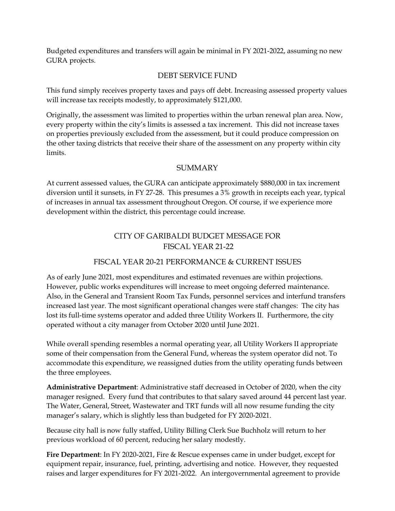Budgeted expenditures and transfers will again be minimal in FY 2021-2022, assuming no new GURA projects.

### DEBT SERVICE FUND

This fund simply receives property taxes and pays off debt. Increasing assessed property values will increase tax receipts modestly, to approximately \$121,000.

Originally, the assessment was limited to properties within the urban renewal plan area. Now, every property within the city's limits is assessed a tax increment. This did not increase taxes on properties previously excluded from the assessment, but it could produce compression on the other taxing districts that receive their share of the assessment on any property within city limits.

### SUMMARY

At current assessed values, the GURA can anticipate approximately \$880,000 in tax increment diversion until it sunsets, in FY 27-28. This presumes a 3% growth in receipts each year, typical of increases in annual tax assessment throughout Oregon. Of course, if we experience more development within the district, this percentage could increase.

## CITY OF GARIBALDI BUDGET MESSAGE FOR FISCAL YEAR 21-22

### FISCAL YEAR 20-21 PERFORMANCE & CURRENT ISSUES

As of early June 2021, most expenditures and estimated revenues are within projections. However, public works expenditures will increase to meet ongoing deferred maintenance. Also, in the General and Transient Room Tax Funds, personnel services and interfund transfers increased last year. The most significant operational changes were staff changes: The city has lost its full-time systems operator and added three Utility Workers II. Furthermore, the city operated without a city manager from October 2020 until June 2021.

While overall spending resembles a normal operating year, all Utility Workers II appropriate some of their compensation from the General Fund, whereas the system operator did not. To accommodate this expenditure, we reassigned duties from the utility operating funds between the three employees.

**Administrative Department**: Administrative staff decreased in October of 2020, when the city manager resigned. Every fund that contributes to that salary saved around 44 percent last year. The Water, General, Street, Wastewater and TRT funds will all now resume funding the city manager's salary, which is slightly less than budgeted for FY 2020-2021.

Because city hall is now fully staffed, Utility Billing Clerk Sue Buchholz will return to her previous workload of 60 percent, reducing her salary modestly.

**Fire Department**: In FY 2020-2021, Fire & Rescue expenses came in under budget, except for equipment repair, insurance, fuel, printing, advertising and notice. However, they requested raises and larger expenditures for FY 2021-2022. An intergovernmental agreement to provide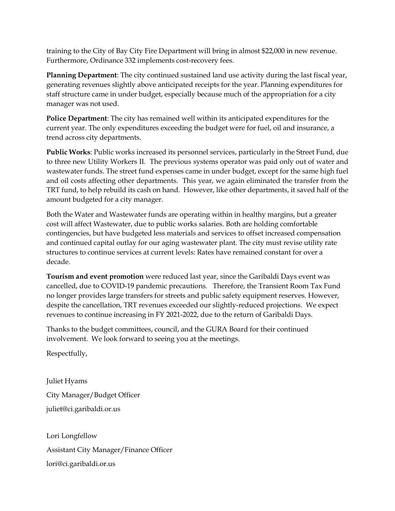training to the City of Bay City Fire Department will bring in almost \$22,000 in new revenue. Furthermore, Ordinance 332 implements cost-recovery fees.

**Planning Department**: The city continued sustained land use activity during the last fiscal year, generating revenues slightly above anticipated receipts for the year. Planning expenditures for staff structure came in under budget, especially because much of the appropriation for a city manager was not used.

**Police Department**: The city has remained well within its anticipated expenditures for the current year. The only expenditures exceeding the budget were for fuel, oil and insurance, a trend across city departments.

**Public Works**: Public works increased its personnel services, particularly in the Street Fund, due to three new Utility Workers II. The previous systems operator was paid only out of water and wastewater funds. The street fund expenses came in under budget, except for the same high fuel and oil costs affecting other departments. This year, we again eliminated the transfer from the TRT fund, to help rebuild its cash on hand. However, like other departments, it saved half of the amount budgeted for a city manager.

Both the Water and Wastewater funds are operating within in healthy margins, but a greater cost will affect Wastewater, due to public works salaries. Both are holding comfortable contingencies, but have budgeted less materials and services to offset increased compensation and continued capital outlay for our aging wastewater plant. The city must revise utility rate structures to continue services at current levels: Rates have remained constant for over a decade.

**Tourism and event promotion** were reduced last year, since the Garibaldi Days event was cancelled, due to COVID-19 pandemic precautions. Therefore, the Transient Room Tax Fund no longer provides large transfers for streets and public safety equipment reserves. However, despite the cancellation, TRT revenues exceeded our slightly-reduced projections. We expect revenues to continue increasing in FY 2021-2022, due to the return of Garibaldi Days.

Thanks to the budget committees, council, and the GURA Board for their continued involvement. We look forward to seeing you at the meetings.

Respectfully,

Juliet Hyams City Manager/Budget Officer juliet@ci.garibaldi.or.us

Lori Longfellow Assistant City Manager/Finance Officer lori@ci.garibaldi.or.us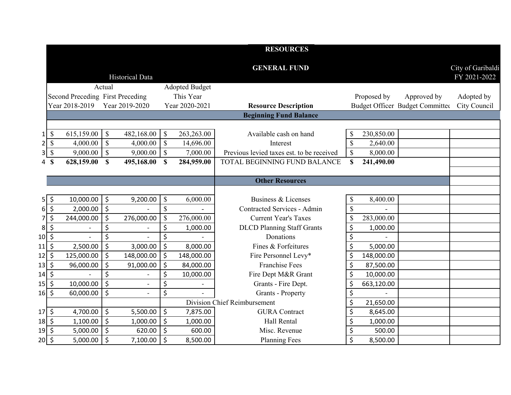|                                        |                           |                                  |                           |                        |                           |                       | <b>RESOURCES</b>                          |                  |                                 |                   |
|----------------------------------------|---------------------------|----------------------------------|---------------------------|------------------------|---------------------------|-----------------------|-------------------------------------------|------------------|---------------------------------|-------------------|
|                                        |                           |                                  |                           |                        |                           |                       |                                           |                  |                                 |                   |
|                                        |                           |                                  |                           |                        |                           |                       | <b>GENERAL FUND</b>                       |                  |                                 | City of Garibaldi |
|                                        |                           |                                  |                           | <b>Historical Data</b> |                           |                       |                                           |                  |                                 | FY 2021-2022      |
|                                        |                           |                                  | Actual                    |                        |                           | <b>Adopted Budget</b> |                                           |                  |                                 |                   |
|                                        |                           | Second Preceding First Preceding |                           |                        |                           | This Year             |                                           | Proposed by      | Approved by                     | Adopted by        |
|                                        |                           | Year 2018-2019                   |                           | Year 2019-2020         |                           | Year 2020-2021        | <b>Resource Description</b>               |                  | Budget Officer Budget Committee | City Council      |
|                                        |                           |                                  |                           |                        |                           |                       | <b>Beginning Fund Balance</b>             |                  |                                 |                   |
|                                        |                           |                                  |                           |                        |                           |                       |                                           |                  |                                 |                   |
| $1\vert$                               | $\boldsymbol{\mathsf{S}}$ | 615,159.00                       | $\boldsymbol{\mathsf{S}}$ | 482,168.00             | $\boldsymbol{\mathsf{S}}$ | 263,263.00            | Available cash on hand                    | 230,850.00       |                                 |                   |
|                                        | $2 \sqrt{S}$              | 4,000.00                         | $\mathcal{S}$             | 4,000.00               | $\mathcal{S}$             | 14,696.00             | Interest                                  | \$<br>2,640.00   |                                 |                   |
| $\overline{3}$                         | $\boldsymbol{\mathsf{S}}$ | 9,000.00                         | $\mathbb{S}$              | 9,000.00               | $\mathbb{S}$              | 7,000.00              | Previous levied taxes est. to be received | \$<br>8,000.00   |                                 |                   |
|                                        | 4S                        | 628,159.00                       | \$                        | 495,168.00             | $\mathbf S$               | 284,959.00            | TOTAL BEGINNING FUND BALANCE              | \$<br>241,490.00 |                                 |                   |
|                                        |                           |                                  |                           |                        |                           |                       |                                           |                  |                                 |                   |
|                                        |                           |                                  |                           |                        |                           |                       | <b>Other Resources</b>                    |                  |                                 |                   |
|                                        |                           |                                  |                           |                        |                           |                       |                                           |                  |                                 |                   |
| $5$ \$                                 |                           | 10,000.00                        | \$                        | 9,200.00               | $\mathcal{S}$             | 6,000.00              | Business & Licenses                       | \$<br>8,400.00   |                                 |                   |
|                                        | $6\overline{\phantom{0}}$ | 2,000.00                         | \$                        |                        | $\boldsymbol{\mathsf{S}}$ |                       | Contracted Services - Admin               | \$               |                                 |                   |
| 7                                      | \$                        | 244,000.00                       | \$                        | 276,000.00             | $\mathcal{S}$             | 276,000.00            | <b>Current Year's Taxes</b>               | \$<br>283,000.00 |                                 |                   |
|                                        | $8\overline{5}$           |                                  | \$                        |                        | \$                        | 1,000.00              | <b>DLCD</b> Planning Staff Grants         | \$<br>1,000.00   |                                 |                   |
| $10\overline{\phantom{0}}$ \$          |                           |                                  | \$                        |                        | \$                        |                       | Donations                                 | \$               |                                 |                   |
| 11   \$                                |                           | 2,500.00                         | \$                        | 3,000.00               | \$                        | 8,000.00              | Fines & Forfeitures                       | \$<br>5,000.00   |                                 |                   |
| $12\sqrt{5}$                           |                           | 125,000.00                       | \$                        | 148,000.00             | $\zeta$                   | 148,000.00            | Fire Personnel Levy*                      | \$<br>148,000.00 |                                 |                   |
| $13\overline{\smash{\big\lvert}}\,$ \$ |                           | 96,000.00                        | \$                        | 91,000.00              | \$                        | 84,000.00             | <b>Franchise Fees</b>                     | \$<br>87,500.00  |                                 |                   |
| \$  14                                 |                           |                                  | \$                        |                        | \$                        | 10,000.00             | Fire Dept M&R Grant                       | \$<br>10,000.00  |                                 |                   |
| $15\sqrt{5}$                           |                           | 10,000.00                        | \$                        |                        | \$                        |                       | Grants - Fire Dept.                       | \$<br>663,120.00 |                                 |                   |
| \$ 16                                  |                           | 60,000.00                        | \$                        |                        | \$                        |                       | <b>Grants - Property</b>                  | \$               |                                 |                   |
|                                        |                           |                                  |                           |                        |                           |                       | Division Chief Reimbursement              | \$<br>21,650.00  |                                 |                   |
| \$  17                                 |                           | 4,700.00                         | \$                        | 5,500.00               | $\zeta$                   | 7,875.00              | <b>GURA</b> Contract                      | \$<br>8,645.00   |                                 |                   |
| 18 \$                                  |                           | 1,100.00                         | \$                        | 1,000.00               | \$                        | 1,000.00              | Hall Rental                               | \$<br>1,000.00   |                                 |                   |
| \$  19                                 |                           | 5,000.00                         | \$                        | 620.00                 | \$                        | 600.00                | Misc. Revenue                             | \$<br>500.00     |                                 |                   |
| $20\overline{\phantom{a}}\xi$          |                           | 5,000.00                         | $\zeta$                   | 7,100.00               | $\zeta$                   | 8,500.00              | <b>Planning Fees</b>                      | \$<br>8,500.00   |                                 |                   |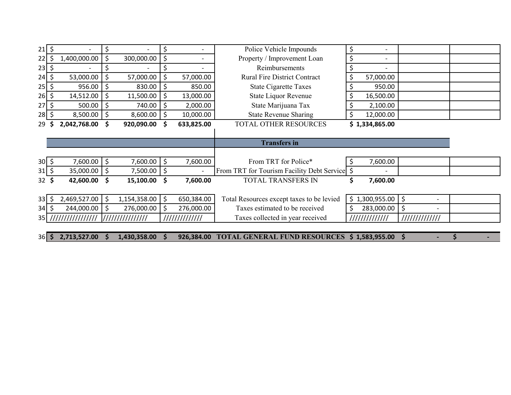| $21\overline{\phantom{0}}$ |         |                      | \$      |                     | $\zeta$             |                          | Police Vehicle Impounds                       | \$ | $\overline{\phantom{a}}$ |                                |  |
|----------------------------|---------|----------------------|---------|---------------------|---------------------|--------------------------|-----------------------------------------------|----|--------------------------|--------------------------------|--|
| 22                         | \$      | 1,400,000.00         | \$      | 300,000.00          | \$                  |                          | Property / Improvement Loan                   |    | $\overline{\phantom{a}}$ |                                |  |
| $23 \mid 5$                |         |                      |         |                     |                     | $\overline{\phantom{0}}$ | Reimbursements                                |    | $\overline{\phantom{a}}$ |                                |  |
| $24$ \$                    |         | 53,000.00            | \$      | 57,000.00           | \$                  | 57,000.00                | <b>Rural Fire District Contract</b>           |    | 57,000.00                |                                |  |
| $25 \mid \xi$              |         | 956.00               | \$      | $830.00$   \$       |                     | 850.00                   | <b>State Cigarette Taxes</b>                  | \$ | 950.00                   |                                |  |
| $26 \mid 5$                |         | 14,512.00            | $\zeta$ | 11,500.00           | \$                  | 13,000.00                | State Liquor Revenue                          |    | 16,500.00                |                                |  |
| 27                         | \$      | 500.00               | \$      | 740.00 \$           |                     | 2,000.00                 | State Marijuana Tax                           |    | 2,100.00                 |                                |  |
| 28                         | $\zeta$ | 8,500.00             | $\zeta$ | $8,600.00$   \$     |                     | 10,000.00                | <b>State Revenue Sharing</b>                  | \$ | 12,000.00                |                                |  |
| 29                         | Ś       | 2,042,768.00         | \$      | 920,090.00          | $\ddot{\mathsf{s}}$ | 633,825.00               | TOTAL OTHER RESOURCES                         |    | \$1,334,865.00           |                                |  |
|                            |         |                      |         |                     |                     |                          |                                               |    |                          |                                |  |
|                            |         |                      |         |                     |                     |                          | <b>Transfers in</b>                           |    |                          |                                |  |
|                            |         |                      |         |                     |                     |                          |                                               |    |                          |                                |  |
| $30 \div$                  |         | 7,600.00             | $\zeta$ | 7,600.00 \$         |                     | 7,600.00                 | From TRT for Police*                          |    | 7,600.00                 |                                |  |
| $31 \mid 5$                |         | 35,000.00            | \$      | 7,500.00 \$         |                     |                          | From TRT for Tourism Facility Debt Service \$ |    |                          |                                |  |
| $32 \;$ \$                 |         | 42,600.00            | \$      | 15,100.00 \$        |                     | 7,600.00                 | TOTAL TRANSFERS IN                            | \$ | 7,600.00                 |                                |  |
|                            |         |                      |         |                     |                     |                          |                                               |    |                          |                                |  |
| 33                         |         | 2,469,527.00         | $\zeta$ | $1,154,358.00$   \$ |                     | 650,384.00               | Total Resources except taxes to be levied     |    | \$1,300,955.00           | \$<br>$\overline{\phantom{a}}$ |  |
| $34$ \$                    |         | 244,000.00           | \$      | 276,000.00          | \$                  | 276,000.00               | Taxes estimated to be received                | Ś. | 283,000.00               | \$                             |  |
|                            |         |                      |         |                     |                     |                          |                                               |    |                          |                                |  |
|                            |         | 35 ///////////////// |         | ////////////////    |                     | 11111111111111           | Taxes collected in year received              |    | 11111111111111           | 11111111111111                 |  |
|                            |         |                      |         |                     |                     |                          |                                               |    |                          |                                |  |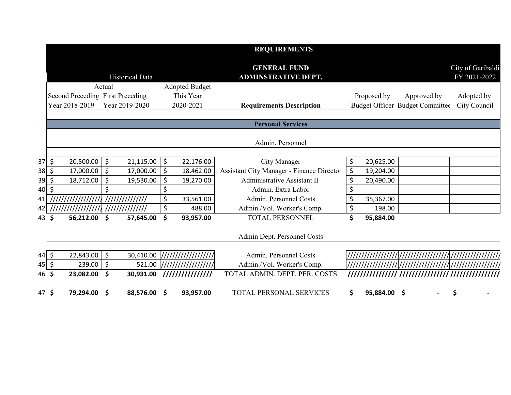|        |                                  |                            |          |                       | <b>REQUIREMENTS</b>                               |                 |                                 |                                   |
|--------|----------------------------------|----------------------------|----------|-----------------------|---------------------------------------------------|-----------------|---------------------------------|-----------------------------------|
|        |                                  | <b>Historical Data</b>     |          |                       | <b>GENERAL FUND</b><br><b>ADMINSTRATIVE DEPT.</b> |                 |                                 | City of Garibaldi<br>FY 2021-2022 |
|        |                                  | Actual                     |          | <b>Adopted Budget</b> |                                                   |                 |                                 |                                   |
|        | Second Preceding First Preceding |                            |          | This Year             |                                                   | Proposed by     | Approved by                     | Adopted by                        |
|        | Year 2018-2019                   | Year 2019-2020             |          | 2020-2021             | <b>Requirements Description</b>                   |                 | Budget Officer Budget Committee | City Council                      |
|        |                                  |                            |          |                       |                                                   |                 |                                 |                                   |
|        |                                  |                            |          |                       | <b>Personal Services</b>                          |                 |                                 |                                   |
|        |                                  |                            |          |                       | Admin. Personnel                                  |                 |                                 |                                   |
|        |                                  |                            |          |                       |                                                   |                 |                                 |                                   |
| \$  37 | 20,500.00                        | \$<br>21,115.00            | $\zeta$  | 22,176.00             | City Manager                                      | \$<br>20,625.00 |                                 |                                   |
| 38 \$  | 17,000.00                        | \$<br>17,000.00            | $\zeta$  | 18,462.00             | <b>Assistant City Manager - Finance Director</b>  | \$<br>19,204.00 |                                 |                                   |
| 39     | \$<br>18,712.00                  | \$<br>19,530.00            | \$       | 19,270.00             | Administrative Assistant II                       | \$<br>20,490.00 |                                 |                                   |
| 40     | \$                               | \$                         | \$       |                       | Admin. Extra Labor                                | \$              |                                 |                                   |
| 41     | //////////////                   | //////////////             | \$       | 33,561.00             | Admin. Personnel Costs                            | \$<br>35,367.00 |                                 |                                   |
| 42     | '////////////////                | //////////////             | \$       | 488.00                | Admin./Vol. Worker's Comp.                        | \$<br>198.00    |                                 |                                   |
| 43\$   | 56,212.00                        | \$<br>57,645.00            | \$       | 93,957.00             | <b>TOTAL PERSONNEL</b>                            | \$<br>95,884.00 |                                 |                                   |
|        |                                  |                            |          |                       | Admin Dept. Personnel Costs                       |                 |                                 |                                   |
|        |                                  |                            |          |                       |                                                   |                 |                                 |                                   |
| 44 \$  | 22,843.00                        | $\ddot{\phi}$<br>30,410.00 |          | ///////////////////   | Admin. Personnel Costs                            |                 |                                 |                                   |
| 45  \$ | 239.00                           | $\zeta$<br>521.00          |          | //////////////////    | Admin./Vol. Worker's Comp.                        |                 |                                 |                                   |
| 46\$   | 23,082.00                        | \$<br>30,931.00            |          | 1111111111111111      | TOTAL ADMIN. DEPT. PER. COSTS                     |                 |                                 |                                   |
| 47\$   | 79,294.00                        | 88,576.00<br>-S            | <b>S</b> | 93,957.00             | <b>TOTAL PERSONAL SERVICES</b>                    | \$<br>95,884.00 | -\$                             | \$                                |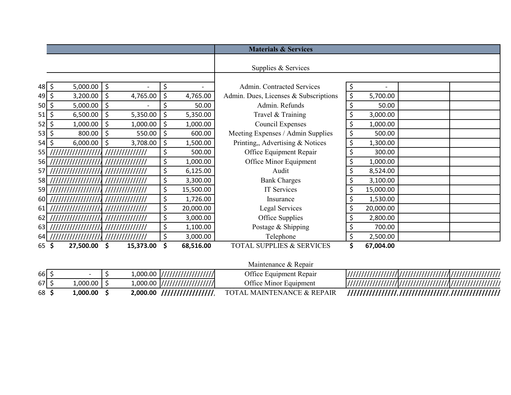|             |           |         |           |                 | <b>Materials &amp; Services</b>       |                 |  |
|-------------|-----------|---------|-----------|-----------------|---------------------------------------|-----------------|--|
|             |           |         |           |                 |                                       |                 |  |
|             |           |         |           |                 | Supplies & Services                   |                 |  |
| $48 \mid 5$ |           |         |           |                 | Admin. Contracted Services            |                 |  |
|             | 5,000.00  | $\zeta$ |           | \$              |                                       |                 |  |
| $49 \mid 5$ | 3,200.00  | \$      | 4,765.00  | \$<br>4,765.00  | Admin. Dues, Licenses & Subscriptions | 5,700.00        |  |
| 5이 \$       | 5,000.00  | \$      |           | \$<br>50.00     | Admin. Refunds                        | 50.00           |  |
| 51   \$     | 6,500.00  | \$      | 5,350.00  | \$<br>5,350.00  | Travel & Training                     | 3,000.00        |  |
| \$  52      | 1,000.00  | \$      | 1,000.00  | \$<br>1,000.00  | Council Expenses                      | 1,000.00        |  |
| \$  53      | 800.00    |         | 550.00    | \$<br>600.00    | Meeting Expenses / Admin Supplies     | 500.00          |  |
| \$  54      | 6,000.00  | \$      | 3,708.00  | \$<br>1,500.00  | Printing, Advertising & Notices       | 1,300.00        |  |
|             |           |         |           | \$<br>500.00    | Office Equipment Repair               | 300.00          |  |
|             |           |         |           | \$<br>1,000.00  | Office Minor Equipment                | 1,000.00        |  |
|             |           |         |           | \$<br>6,125.00  | Audit                                 | 8,524.00        |  |
|             |           |         |           | \$<br>3,300.00  | <b>Bank Charges</b>                   | 3,100.00        |  |
|             |           |         |           | \$<br>15,500.00 | IT Services                           | 15,000.00       |  |
|             |           |         |           | \$<br>1,726.00  | Insurance                             | 1,530.00        |  |
|             |           |         |           | \$<br>20,000.00 | Legal Services                        | 20,000.00       |  |
|             |           |         |           | \$<br>3,000.00  | Office Supplies                       | 2,800.00        |  |
|             |           |         |           | \$<br>1,100.00  | Postage & Shipping                    | 700.00          |  |
| 64          |           |         |           | \$<br>3,000.00  | Telephone                             | \$<br>2,500.00  |  |
| $65$ \$     | 27,500.00 | S       | 15,373.00 | \$<br>68,516.00 | <b>TOTAL SUPPLIES &amp; SERVICES</b>  | \$<br>67,004.00 |  |

|      |                         |          |                               | Maintenance & Repair                  |  |  |
|------|-------------------------|----------|-------------------------------|---------------------------------------|--|--|
| 66   |                         |          | 1,000.00  /////////////////// | Office Equipment Repair               |  |  |
| 67   | $1,000.00$ <sup>1</sup> |          | 1,000.00  /////////////////// | Office Minor Equipment                |  |  |
| 68 . | .000.00                 | 2,000.00 | //////////////////            | <b>TOTAL MAINTENANCE &amp; REPAIR</b> |  |  |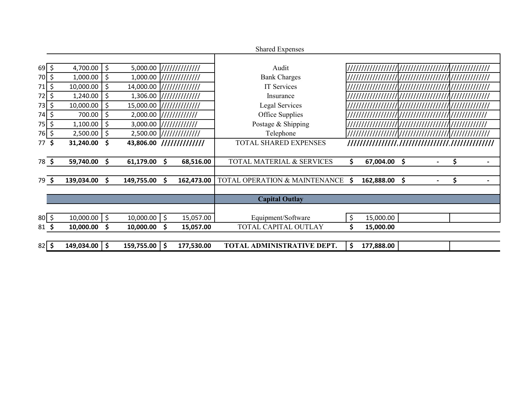|               |                 |         |                           |     |                          | <b>Shared Expenses</b>           |    |            |    |                |    |
|---------------|-----------------|---------|---------------------------|-----|--------------------------|----------------------------------|----|------------|----|----------------|----|
|               |                 |         |                           |     |                          |                                  |    |            |    |                |    |
| $69$ \$       | 4,700.00        | \$      |                           |     | 5,000.00  /////////////  | Audit                            |    |            |    |                |    |
| 70 \$         | 1,000.00        | \$      |                           |     | 1,000.00 //////////////  | <b>Bank Charges</b>              |    |            |    |                |    |
| 71            | \$<br>10,000.00 | $\zeta$ | 14,000.00 /////////////// |     |                          | IT Services                      |    |            |    |                |    |
| 72 \$         | 1,240.00        | \$      |                           |     | 1,306.00 //////////////  | Insurance                        |    |            |    |                |    |
| $73 \mid 5$   | 10,000.00       | \$      | 15,000.00 //////////////  |     |                          | Legal Services                   |    |            |    |                |    |
| 74 \$         | 700.00          | $\zeta$ | 2,000.00 /////////////    |     |                          | Office Supplies                  |    |            |    |                |    |
| $75$ \$       | 1,100.00        | \$      | 3,000.00  ////////////    |     |                          | Postage & Shipping               |    |            |    |                |    |
| 76 \$         | 2,500.00        | \$      |                           |     | 2,500.00 //////////////  | Telephone                        |    |            |    |                |    |
| 77\$          | 31,240.00       | \$      |                           |     | 43,806.00 ////////////// | <b>TOTAL SHARED EXPENSES</b>     |    |            |    |                |    |
|               |                 |         |                           |     |                          |                                  |    |            |    |                |    |
| 78 \$         | 59,740.00       | \$      | 61,179.00                 | \$  | 68,516.00                | TOTAL MATERIAL & SERVICES        | Ś. | 67,004.00  | \$ |                | \$ |
|               |                 |         |                           |     |                          |                                  |    |            |    |                |    |
| 79\$          | 139,034.00      | \$      | 149,755.00                | \$. | 162,473.00               | TOTAL OPERATION & MAINTENANCE \$ |    | 162,888.00 | \$ | $\blacksquare$ | \$ |
|               |                 |         |                           |     |                          |                                  |    |            |    |                |    |
|               |                 |         |                           |     |                          | <b>Capital Outlay</b>            |    |            |    |                |    |
|               |                 |         |                           |     |                          |                                  |    |            |    |                |    |
| $80 \div$     | 10,000.00       | $\zeta$ | $10,000.00$ \$            |     | 15,057.00                | Equipment/Software               | \$ | 15,000.00  |    |                |    |
| 81 \$         | 10,000.00       | \$      | 10,000.00                 | \$  | 15,057.00                | TOTAL CAPITAL OUTLAY             | \$ | 15,000.00  |    |                |    |
|               |                 |         |                           |     |                          |                                  |    |            |    |                |    |
| $82 \mid $ \$ | 149,034.00 \$   |         | $159,755.00$ \$           |     | 177,530.00               | TOTAL ADMINISTRATIVE DEPT.       | \$ | 177,888.00 |    |                |    |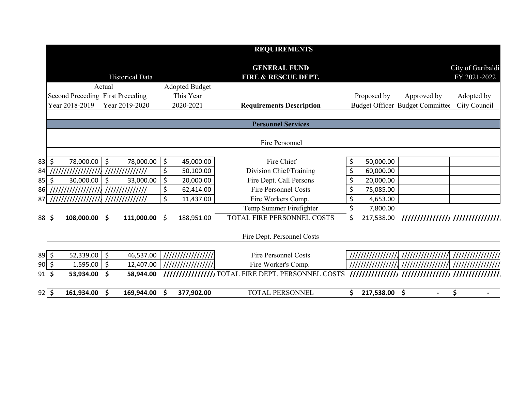|        |                                  |                                    |                       | <b>REQUIREMENTS</b>                                 |                  |                                        |                                   |
|--------|----------------------------------|------------------------------------|-----------------------|-----------------------------------------------------|------------------|----------------------------------------|-----------------------------------|
|        |                                  | Historical Data                    |                       | <b>GENERAL FUND</b><br>FIRE & RESCUE DEPT.          |                  |                                        | City of Garibaldi<br>FY 2021-2022 |
|        |                                  | Actual                             | <b>Adopted Budget</b> |                                                     |                  |                                        |                                   |
|        | Second Preceding First Preceding |                                    | This Year             |                                                     | Proposed by      | Approved by                            | Adopted by                        |
|        | Year 2018-2019                   | Year 2019-2020                     | 2020-2021             | <b>Requirements Description</b>                     |                  | <b>Budget Officer Budget Committee</b> | City Council                      |
|        |                                  |                                    |                       | <b>Personnel Services</b>                           |                  |                                        |                                   |
|        |                                  |                                    |                       | Fire Personnel                                      |                  |                                        |                                   |
| 83     | \$<br>78,000.00                  | \$<br>78,000.00                    | $\zeta$<br>45,000.00  | Fire Chief                                          | \$<br>50,000.00  |                                        |                                   |
| 84     | '////////////                    |                                    | \$<br>50,100.00       | Division Chief/Training                             | \$<br>60,000.00  |                                        |                                   |
| 85     | \$<br>30,000.00                  | \$<br>33,000.00                    | \$<br>20,000.00       | Fire Dept. Call Persons                             | \$<br>20,000.00  |                                        |                                   |
| 86     |                                  |                                    | \$<br>62,414.00       | Fire Personnel Costs                                | \$<br>75,085.00  |                                        |                                   |
|        | 87 $\frac{1}{2}$                 | ////////////////////////////////// | \$<br>11,437.00       | Fire Workers Comp.                                  | \$<br>4,653.00   |                                        |                                   |
|        |                                  |                                    |                       | Temp Summer Firefighter                             | \$<br>7,800.00   |                                        |                                   |
| 88\$   | 108,000.00                       | 111,000.00<br>\$                   | 188,951.00<br>\$      | TOTAL FIRE PERSONNEL COSTS                          | Ś<br>217,538.00  |                                        |                                   |
|        |                                  |                                    |                       | Fire Dept. Personnel Costs                          |                  |                                        |                                   |
|        |                                  |                                    |                       |                                                     |                  |                                        |                                   |
| 89 \$  | 52,339.00                        | $\boldsymbol{\zeta}$<br>46,537.00  | //////////////////    | <b>Fire Personnel Costs</b>                         |                  |                                        |                                   |
| \$ ∣90 | 1,595.00                         | $\ddot{\varsigma}$<br>12,407.00    | ////////////////      | Fire Worker's Comp.                                 |                  |                                        |                                   |
| 91\$   | 53,934.00                        | \$<br>58,944.00                    |                       | ////////////////// TOTAL FIRE DEPT. PERSONNEL COSTS |                  |                                        |                                   |
|        | 92\$<br>161,934.00               | 169,944.00<br>\$                   | 377,902.00<br>\$.     | <b>TOTAL PERSONNEL</b>                              | \$<br>217,538.00 | \$                                     | \$                                |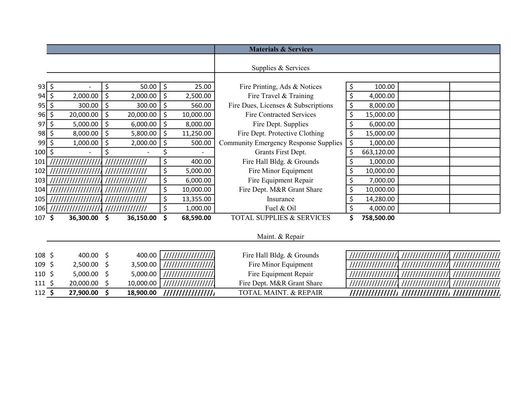|                  |    |                |    |                |         |                             | <b>Materials &amp; Services</b>              |                  |  |
|------------------|----|----------------|----|----------------|---------|-----------------------------|----------------------------------------------|------------------|--|
|                  |    |                |    |                |         |                             | Supplies & Services                          |                  |  |
| $93 \mid 5$      |    |                | \$ | 50.00          | \$      | 25.00                       | Fire Printing, Ads & Notices                 | \$<br>100.00     |  |
| 94               | \$ | 2,000.00       | \$ | 2,000.00       | $\zeta$ | 2,500.00                    | Fire Travel & Training                       | \$<br>4,000.00   |  |
| 95               | \$ | 300.00         | \$ | 300.00         | \$      | 560.00                      | Fire Dues, Licenses & Subscriptions          | \$<br>8,000.00   |  |
| 96               | \$ | 20,000.00      | \$ | 20,000.00      | \$      | 10,000.00                   | <b>Fire Contracted Services</b>              | \$<br>15,000.00  |  |
| 97               | \$ | 5,000.00       | \$ | 6,000.00       | \$      | 8,000.00                    | Fire Dept. Supplies                          | \$<br>6,000.00   |  |
| 98               | \$ | 8,000.00       | \$ | 5,800.00       | \$      | 11,250.00                   | Fire Dept. Protective Clothing               | \$<br>15,000.00  |  |
| 99               | \$ | 1,000.00       | \$ | 2,000.00       | \$      | 500.00                      | <b>Community Emergency Response Supplies</b> | \$<br>1,000.00   |  |
| $100 \mid \zeta$ |    |                |    |                |         |                             | Grants First Dept.                           | \$<br>663,120.00 |  |
| 101              |    | ////////////// |    | ////////////// | \$      | 400.00                      | Fire Hall Bldg. & Grounds                    | 1,000.00         |  |
| 102              |    |                |    | ////////////// | \$      | 5,000.00                    | Fire Minor Equipment                         | 10,000.00        |  |
| 103              |    |                |    | ////////////   | \$      | 6,000.00                    | Fire Equipment Repair                        | 7,000.00         |  |
| 104              |    |                |    | ////////////// | \$      | 10,000.00                   | Fire Dept. M&R Grant Share                   | \$<br>10,000.00  |  |
| 105              |    |                |    | ////////////// | \$      | 13,355.00                   | Insurance                                    | \$<br>14,280.00  |  |
| 106              |    |                |    | ////////////// | \$      | 1,000.00                    | Fuel & Oil                                   | \$<br>4,000.00   |  |
| $107$ \$         |    | 36,300.00      | \$ | 36,150.00      | \$      | 68,590.00                   | <b>TOTAL SUPPLIES &amp; SERVICES</b>         | \$<br>758,500.00 |  |
|                  |    |                |    |                |         |                             | Maint. & Repair                              |                  |  |
| 108 <sup>5</sup> |    | 400.00         | \$ |                |         | 400.00   ////////////////// | Fire Hall Bldg. & Grounds                    |                  |  |
| 109              | S  | 2,500.00       | Ś  | 3,500.00       |         | ////////////////            | Fire Minor Equipment                         |                  |  |
| 110              | \$ | 5,000.00       | \$ | 5,000.00       |         |                             | Fire Equipment Repair                        |                  |  |
| $111 \;$ \$      |    | 20,000.00      | Ś. | 10,000.00      |         |                             | Fire Dept. M&R Grant Share                   |                  |  |
| $112$ \$         |    | 27,900.00      | \$ | 18,900.00      |         | ////////////////            | <b>TOTAL MAINT. &amp; REPAIR</b>             |                  |  |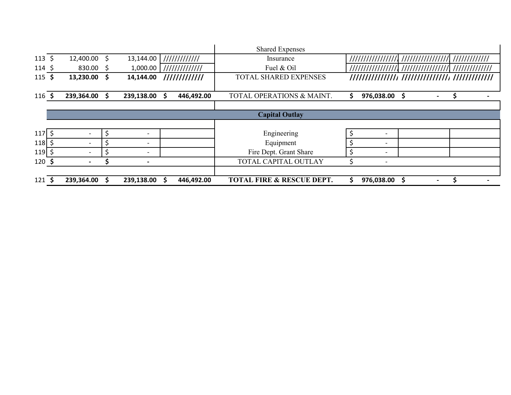|                   |                          |                     |                          |                           | <b>Shared Expenses</b>               |    |                          |                          |  |
|-------------------|--------------------------|---------------------|--------------------------|---------------------------|--------------------------------------|----|--------------------------|--------------------------|--|
| $113 \; \text{S}$ | 12,400.00 \$             |                     | 13,144.00                | 1111111111111             | Insurance                            |    |                          |                          |  |
| $114 \; \text{S}$ | 830.00 \$                |                     |                          | 1,000.00   ////////////// | Fuel & Oil                           |    |                          |                          |  |
| $115$ \$          | $13,230.00$ \$           |                     | 14,144.00                | 1111111111111             | TOTAL SHARED EXPENSES                |    |                          |                          |  |
| $116$ \$          | 239,364.00 \$            |                     | 239,138.00               | 446,492.00                | TOTAL OPERATIONS & MAINT.            | S  | 976,038.00               | $\overline{\phantom{a}}$ |  |
|                   |                          |                     |                          |                           |                                      |    |                          |                          |  |
|                   |                          |                     |                          |                           | <b>Capital Outlay</b>                |    |                          |                          |  |
|                   |                          |                     |                          |                           |                                      |    |                          |                          |  |
| $117 \,$ \$       |                          | \$                  | $\overline{\phantom{0}}$ |                           | Engineering                          |    | $\overline{\phantom{a}}$ |                          |  |
| $118 \,$ \$       | $\overline{\phantom{a}}$ | \$                  | $\overline{\phantom{a}}$ |                           | Equipment                            |    | $\overline{\phantom{a}}$ |                          |  |
| $119$ \$          | $\overline{\phantom{0}}$ | \$                  | $\overline{\phantom{a}}$ |                           | Fire Dept. Grant Share               | \$ | $\overline{\phantom{a}}$ |                          |  |
| $120 \;$ \$       | $\overline{\phantom{a}}$ |                     | $\overline{\phantom{0}}$ |                           | TOTAL CAPITAL OUTLAY                 |    | $\overline{\phantom{a}}$ |                          |  |
| $121$ \$          | 239,364.00               | $\ddot{\mathsf{s}}$ | 239,138.00               | 446,492.00                | <b>TOTAL FIRE &amp; RESCUE DEPT.</b> | Ś  | 976,038.00 \$            |                          |  |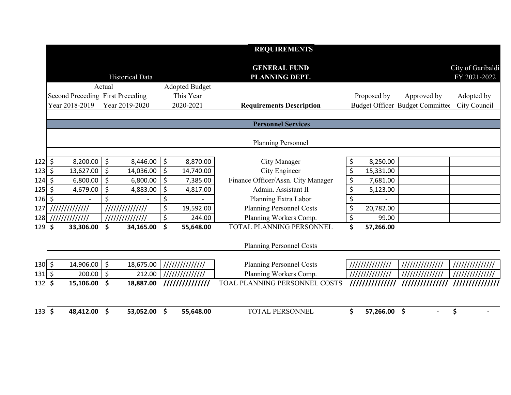|         |                                  |                |                        |                       | <b>REQUIREMENTS</b>                   |                 |                                        |                                   |
|---------|----------------------------------|----------------|------------------------|-----------------------|---------------------------------------|-----------------|----------------------------------------|-----------------------------------|
|         |                                  |                | <b>Historical Data</b> |                       | <b>GENERAL FUND</b><br>PLANNING DEPT. |                 |                                        | City of Garibaldi<br>FY 2021-2022 |
|         |                                  | Actual         |                        | <b>Adopted Budget</b> |                                       |                 |                                        |                                   |
|         | Second Preceding First Preceding |                |                        | This Year             |                                       | Proposed by     | Approved by                            | Adopted by                        |
|         | Year 2018-2019                   | Year 2019-2020 |                        | 2020-2021             | <b>Requirements Description</b>       |                 | <b>Budget Officer Budget Committee</b> | City Council                      |
|         |                                  |                |                        |                       | <b>Personnel Services</b>             |                 |                                        |                                   |
|         |                                  |                |                        |                       | Planning Personnel                    |                 |                                        |                                   |
| 122 \$  | 8,200.00                         | $\zeta$        | $8,446.00$ \$          | 8,870.00              | <b>City Manager</b>                   | \$<br>8,250.00  |                                        |                                   |
| 123 \$  | 13,627.00                        | $\zeta$        | 14,036.00              | \$<br>14,740.00       | City Engineer                         | \$<br>15,331.00 |                                        |                                   |
| 124 \$  | 6,800.00                         | $\zeta$        | 6,800.00               | \$<br>7,385.00        | Finance Officer/Assn. City Manager    | \$<br>7,681.00  |                                        |                                   |
| \$  125 | 4,679.00                         | \$             | 4,883.00               | \$<br>4,817.00        | Admin. Assistant II                   | \$<br>5,123.00  |                                        |                                   |
| 126     | \$                               | \$             |                        | \$                    | Planning Extra Labor                  | \$              |                                        |                                   |
| 127     | //////////////                   |                |                        | \$<br>19,592.00       | Planning Personnel Costs              | \$<br>20,782.00 |                                        |                                   |
|         | 128   <i>              </i>      | ////////////// |                        | \$<br>244.00          | Planning Workers Comp.                | \$<br>99.00     |                                        |                                   |
| 129 \$  | 33,306.00                        | \$             | 34,165.00              | \$<br>55,648.00       | TOTAL PLANNING PERSONNEL              | \$<br>57,266.00 |                                        |                                   |
|         |                                  |                |                        |                       | Planning Personnel Costs              |                 |                                        |                                   |
| 130 \$  | 14,906.00                        | $\zeta$        | 18,675.00              | //////////////        | <b>Planning Personnel Costs</b>       | /////////////   | //////////////                         | 111111111111111                   |
| 131  \$ | 200.00                           | $\zeta$        | 212.00                 | //////////////        | Planning Workers Comp.                |                 | //////////////                         | //////////////                    |
| 132 \$  | 15,106.00                        | \$             | 18,887.00              | //////////////        | TOAL PLANNING PERSONNEL COSTS         | /////////////// | ///////////////                        | //////////////                    |
|         |                                  |                |                        |                       |                                       |                 |                                        |                                   |
| 133 \$  | 48,412.00                        | \$             | 53,052.00 \$           | 55,648.00             | <b>TOTAL PERSONNEL</b>                | \$<br>57,266.00 | \$<br>$\blacksquare$                   | \$                                |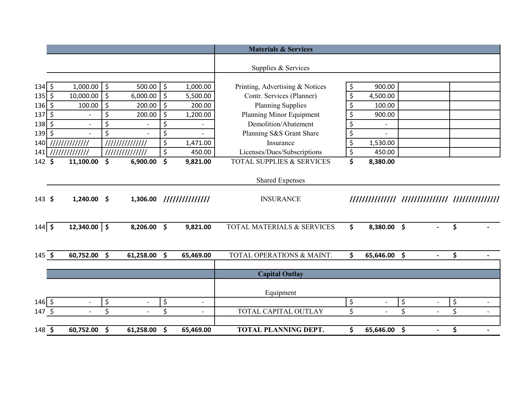|                          |                                                                                   |                                                                                                                                   |                                                                                    |                                                               | Supplies & Services                                                                                          |                                                                                                                                                                                                                                                                                                                             |                                                          |                                                                                       |                          |    |
|--------------------------|-----------------------------------------------------------------------------------|-----------------------------------------------------------------------------------------------------------------------------------|------------------------------------------------------------------------------------|---------------------------------------------------------------|--------------------------------------------------------------------------------------------------------------|-----------------------------------------------------------------------------------------------------------------------------------------------------------------------------------------------------------------------------------------------------------------------------------------------------------------------------|----------------------------------------------------------|---------------------------------------------------------------------------------------|--------------------------|----|
|                          |                                                                                   |                                                                                                                                   |                                                                                    |                                                               |                                                                                                              |                                                                                                                                                                                                                                                                                                                             |                                                          |                                                                                       |                          |    |
|                          |                                                                                   |                                                                                                                                   |                                                                                    |                                                               |                                                                                                              |                                                                                                                                                                                                                                                                                                                             |                                                          |                                                                                       |                          |    |
|                          |                                                                                   |                                                                                                                                   |                                                                                    |                                                               |                                                                                                              |                                                                                                                                                                                                                                                                                                                             |                                                          |                                                                                       |                          |    |
|                          |                                                                                   |                                                                                                                                   |                                                                                    |                                                               |                                                                                                              |                                                                                                                                                                                                                                                                                                                             |                                                          |                                                                                       |                          |    |
|                          |                                                                                   |                                                                                                                                   |                                                                                    |                                                               |                                                                                                              |                                                                                                                                                                                                                                                                                                                             |                                                          |                                                                                       |                          |    |
| $\overline{a}$           |                                                                                   |                                                                                                                                   |                                                                                    |                                                               |                                                                                                              |                                                                                                                                                                                                                                                                                                                             | $\overline{\phantom{m}}$                                 |                                                                                       |                          |    |
|                          |                                                                                   |                                                                                                                                   |                                                                                    |                                                               |                                                                                                              |                                                                                                                                                                                                                                                                                                                             |                                                          |                                                                                       |                          |    |
|                          |                                                                                   |                                                                                                                                   |                                                                                    |                                                               |                                                                                                              |                                                                                                                                                                                                                                                                                                                             |                                                          |                                                                                       |                          |    |
|                          |                                                                                   |                                                                                                                                   |                                                                                    |                                                               |                                                                                                              |                                                                                                                                                                                                                                                                                                                             |                                                          |                                                                                       |                          |    |
|                          |                                                                                   |                                                                                                                                   |                                                                                    |                                                               |                                                                                                              |                                                                                                                                                                                                                                                                                                                             |                                                          |                                                                                       |                          |    |
|                          |                                                                                   |                                                                                                                                   |                                                                                    |                                                               | <b>Shared Expenses</b>                                                                                       |                                                                                                                                                                                                                                                                                                                             |                                                          |                                                                                       |                          |    |
| 1,240.00                 |                                                                                   | 1,306.00                                                                                                                          |                                                                                    |                                                               | <b>INSURANCE</b>                                                                                             |                                                                                                                                                                                                                                                                                                                             |                                                          |                                                                                       |                          |    |
|                          |                                                                                   | 8,206.00                                                                                                                          | \$                                                                                 | 9,821.00                                                      | TOTAL MATERIALS & SERVICES                                                                                   | \$                                                                                                                                                                                                                                                                                                                          | 8,380.00                                                 | \$                                                                                    |                          | \$ |
|                          | $\boldsymbol{\zeta}$                                                              | 61,258.00                                                                                                                         | \$                                                                                 | 65,469.00                                                     | TOTAL OPERATIONS & MAINT.                                                                                    | \$                                                                                                                                                                                                                                                                                                                          | 65,646.00                                                | \$                                                                                    | $\overline{\phantom{0}}$ | \$ |
|                          |                                                                                   |                                                                                                                                   |                                                                                    |                                                               |                                                                                                              |                                                                                                                                                                                                                                                                                                                             |                                                          |                                                                                       |                          |    |
|                          |                                                                                   |                                                                                                                                   |                                                                                    |                                                               |                                                                                                              |                                                                                                                                                                                                                                                                                                                             |                                                          |                                                                                       |                          |    |
|                          |                                                                                   |                                                                                                                                   |                                                                                    |                                                               | Equipment                                                                                                    |                                                                                                                                                                                                                                                                                                                             |                                                          |                                                                                       |                          |    |
| $\overline{\phantom{a}}$ | \$                                                                                | $\overline{\phantom{a}}$                                                                                                          | \$                                                                                 | $\overline{\phantom{a}}$                                      |                                                                                                              | \$                                                                                                                                                                                                                                                                                                                          | $\overline{\phantom{a}}$                                 | \$                                                                                    |                          | \$ |
|                          | $\zeta$                                                                           |                                                                                                                                   | \$                                                                                 |                                                               | TOTAL CAPITAL OUTLAY                                                                                         | \$                                                                                                                                                                                                                                                                                                                          | $\overline{a}$                                           | \$                                                                                    |                          | \$ |
|                          |                                                                                   |                                                                                                                                   |                                                                                    |                                                               |                                                                                                              |                                                                                                                                                                                                                                                                                                                             |                                                          |                                                                                       |                          |    |
|                          | 10,000.00<br>100.00<br>111111111111111<br>/////////////<br>11,100.00<br>60,752.00 | $\zeta$<br>1,000.00<br>$\zeta$<br>$\overline{\mathcal{S}}$<br>\$<br>\$<br>\$<br>\$<br>- \$<br>$12,340.00$ \$<br>60,752.00<br>- \$ | 500.00<br>6,000.00<br>200.00<br>200.00<br>111111111111111<br>6,900.00<br>61,258.00 | \$<br>$\zeta$<br>\$<br>\$<br>\$<br>\$<br>\$<br>\$<br>\$<br>\$ | 1,000.00<br>5,500.00<br>200.00<br>1,200.00<br>1,471.00<br>450.00<br>9,821.00<br>///////////////<br>65,469.00 | Printing, Advertising & Notices<br>Contr. Services (Planner)<br><b>Planning Supplies</b><br><b>Planning Minor Equipment</b><br>Demolition/Abatement<br>Planning S&S Grant Share<br>Insurance<br>Licenses/Dues/Subscriptions<br><b>TOTAL SUPPLIES &amp; SERVICES</b><br><b>Capital Outlay</b><br><b>TOTAL PLANNING DEPT.</b> | \$<br>\$<br>\$<br>\$<br>\$<br>\$<br>\$<br>\$<br>\$<br>\$ | 900.00<br>4,500.00<br>100.00<br>900.00<br>1,530.00<br>450.00<br>8,380.00<br>65,646.00 | \$                       | \$ |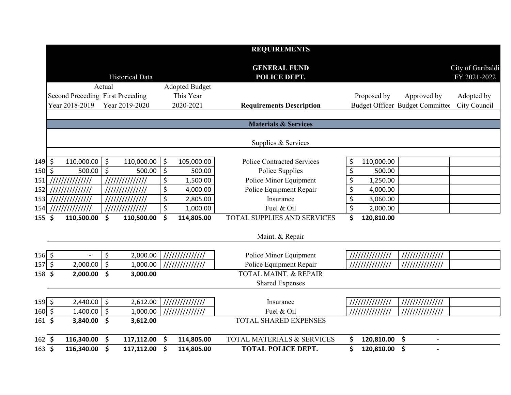|              |                                  |                          |                 |                  |                       | <b>REQUIREMENTS</b>                 |         |                 |                                        |                                   |
|--------------|----------------------------------|--------------------------|-----------------|------------------|-----------------------|-------------------------------------|---------|-----------------|----------------------------------------|-----------------------------------|
|              |                                  |                          | Historical Data |                  |                       | <b>GENERAL FUND</b><br>POLICE DEPT. |         |                 |                                        | City of Garibaldi<br>FY 2021-2022 |
|              |                                  | Actual                   |                 |                  | <b>Adopted Budget</b> |                                     |         |                 |                                        |                                   |
|              | Second Preceding First Preceding |                          |                 |                  | This Year             |                                     |         | Proposed by     | Approved by                            | Adopted by                        |
|              | Year 2018-2019                   |                          | Year 2019-2020  |                  | 2020-2021             | <b>Requirements Description</b>     |         |                 | <b>Budget Officer Budget Committee</b> | City Council                      |
|              |                                  |                          |                 |                  |                       | <b>Materials &amp; Services</b>     |         |                 |                                        |                                   |
|              |                                  |                          |                 |                  |                       | Supplies & Services                 |         |                 |                                        |                                   |
|              |                                  |                          |                 |                  |                       |                                     |         |                 |                                        |                                   |
| $149$ \$     | 110,000.00                       | $\zeta$                  | 110,000.00      | \$               | 105,000.00            | <b>Police Contracted Services</b>   | \$      | 110,000.00      |                                        |                                   |
| $150$ \$     | 500.00                           | $\overline{\mathcal{S}}$ | 500.00          | $\overline{\xi}$ | 500.00                | Police Supplies                     | $\zeta$ | 500.00          |                                        |                                   |
| 151          |                                  |                          | 111111111111111 | \$               | 1,500.00              | Police Minor Equipment              | \$      | 1,250.00        |                                        |                                   |
| 152          | //////////////                   |                          | 111111111111111 | \$               | 4,000.00              | Police Equipment Repair             | \$      | 4,000.00        |                                        |                                   |
| 153          | //////////////                   |                          | //////////////  | \$               | 2,805.00              | Insurance                           | \$      | 3,060.00        |                                        |                                   |
| 154          | ///////////////                  |                          |                 | \$               | 1,000.00              | Fuel & Oil                          | $\zeta$ | 2,000.00        |                                        |                                   |
| 155S         | 110,500.00                       | \$                       | 110,500.00      | \$               | 114,805.00            | TOTAL SUPPLIES AND SERVICES         | \$      | 120,810.00      |                                        |                                   |
|              |                                  |                          |                 |                  |                       | Maint. & Repair                     |         |                 |                                        |                                   |
|              |                                  |                          |                 |                  |                       |                                     |         |                 |                                        |                                   |
| $156$ \$     |                                  | \$                       | 2,000.00        |                  | 111111111111111       | Police Minor Equipment              |         |                 |                                        |                                   |
| $157$ \$     | 2,000.00                         | \$                       | 1,000.00        |                  | 11111111111111        | Police Equipment Repair             |         | 111111111111111 | 111111111111111                        |                                   |
| 158 \$       | 2,000.00                         | $\mathsf{\hat{S}}$       | 3,000.00        |                  |                       | <b>TOTAL MAINT, &amp; REPAIR</b>    |         |                 |                                        |                                   |
|              |                                  |                          |                 |                  |                       | <b>Shared Expenses</b>              |         |                 |                                        |                                   |
| $159$ \$     | 2,440.00                         | $\zeta$                  | 2,612.00        |                  |                       | Insurance                           |         | //////////////  |                                        |                                   |
| $160 \mid 5$ | 1,400.00                         | $\vert$ \$               | 1,000.00        |                  | 111111111111111       | Fuel & Oil                          |         | 11111111111111  |                                        |                                   |
| $161$ \$     | 3,840.00                         | $\dot{\mathsf{s}}$       | 3,612.00        |                  |                       | TOTAL SHARED EXPENSES               |         |                 |                                        |                                   |
| 162S         | 116,340.00                       | $\ddot{\bm{\zeta}}$      | 117,112.00      | Ŝ.               | 114,805.00            | TOTAL MATERIALS & SERVICES          |         | 120,810.00      | \$<br>$\overline{\phantom{a}}$         |                                   |
| 163 \$       | 116,340.00                       | $\dot{\mathsf{s}}$       | 117,112.00      | \$               | 114,805.00            | <b>TOTAL POLICE DEPT.</b>           | \$      | 120,810.00      | \$<br>$\overline{\phantom{a}}$         |                                   |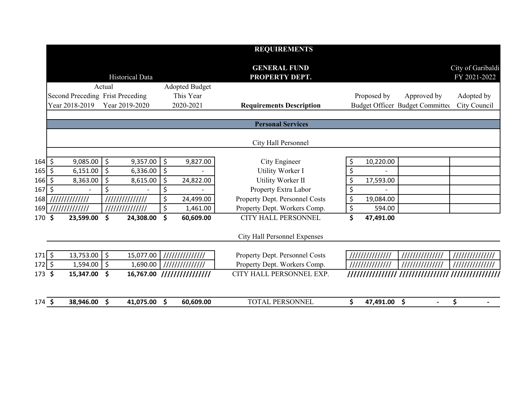|          |                                  |                            |               |                            | <b>REQUIREMENTS</b>                   |                 |                                        |                                   |
|----------|----------------------------------|----------------------------|---------------|----------------------------|---------------------------------------|-----------------|----------------------------------------|-----------------------------------|
|          |                                  | Historical Data            |               |                            | <b>GENERAL FUND</b><br>PROPERTY DEPT. |                 |                                        | City of Garibaldi<br>FY 2021-2022 |
|          |                                  | Actual                     |               | <b>Adopted Budget</b>      |                                       |                 |                                        |                                   |
|          | Second Preceding Frist Preceding |                            |               | This Year                  |                                       | Proposed by     | Approved by                            | Adopted by                        |
|          | Year 2018-2019                   | Year 2019-2020             |               | 2020-2021                  | <b>Requirements Description</b>       |                 | <b>Budget Officer Budget Committee</b> | City Council                      |
|          |                                  |                            |               |                            | <b>Personal Services</b>              |                 |                                        |                                   |
|          |                                  |                            |               |                            | City Hall Personnel                   |                 |                                        |                                   |
|          |                                  |                            |               |                            |                                       |                 |                                        |                                   |
| $164$ \$ | 9,085.00                         | $\zeta$<br>9,357.00        | \$            | 9,827.00                   | City Engineer                         | \$<br>10,220.00 |                                        |                                   |
| 165 \$   | 6,151.00                         | $\zeta$<br>6,336.00        | \$            |                            | Utility Worker I                      |                 |                                        |                                   |
| 166 \$   | 8,363.00                         | $\zeta$<br>8,615.00        | \$            | 24,822.00                  | Utility Worker II                     | \$<br>17,593.00 |                                        |                                   |
| $167$ \$ |                                  | \$                         | \$            |                            | Property Extra Labor                  | \$              |                                        |                                   |
|          | 168   <i>              </i>      |                            | \$            | 24,499.00                  | Property Dept. Personnel Costs        | \$<br>19,084.00 |                                        |                                   |
|          |                                  | 111111111111111            | \$            | 1,461.00                   | Property Dept. Workers Comp.          | \$<br>594.00    |                                        |                                   |
| 170 \$   | 23,599.00                        | \$<br>24,308.00            | $\mathsf{\$}$ | 60,609.00                  | <b>CITY HALL PERSONNEL</b>            | \$<br>47,491.00 |                                        |                                   |
|          |                                  |                            |               |                            | City Hall Personnel Expenses          |                 |                                        |                                   |
| 171  \$  | 13,753.00                        | $\ddot{\phi}$<br>15,077.00 |               | 111111111111111            | Property Dept. Personnel Costs        |                 | //////////////                         | 111111111111111                   |
| 172 \$   | 1,594.00                         | \$<br>1,690.00             |               | //////////////             | Property Dept. Workers Comp.          |                 | ///////////////                        | //////////////                    |
| 173\$    | 15,347.00                        | \$                         |               | 16,767.00 //////////////// | CITY HALL PERSONNEL EXP.              |                 |                                        |                                   |
| 174 \$   |                                  |                            |               |                            |                                       |                 |                                        |                                   |
|          | 38,946.00                        | \$<br>41,075.00 \$         |               | 60,609.00                  | <b>TOTAL PERSONNEL</b>                | \$<br>47,491.00 | \$                                     | \$                                |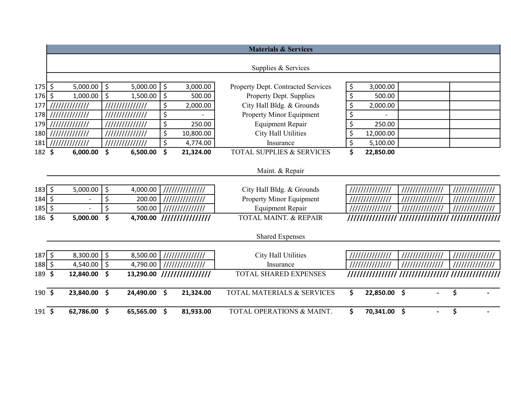|                    |         |                |                 |             |                           | <b>Materials &amp; Services</b>      |                    |                      |                 |
|--------------------|---------|----------------|-----------------|-------------|---------------------------|--------------------------------------|--------------------|----------------------|-----------------|
|                    |         |                |                 |             |                           | Supplies & Services                  |                    |                      |                 |
|                    |         |                |                 |             |                           |                                      |                    |                      |                 |
| $175$ \$           |         | 5,000.00       | $\zeta$         | 5,000.00    | \$<br>3,000.00            | Property Dept. Contracted Services   | \$<br>3,000.00     |                      |                 |
| 176                | $\zeta$ | 1,000.00       | $\zeta$         | 1,500.00    | \$<br>500.00              | Property Dept. Supplies              | \$<br>500.00       |                      |                 |
| 177                |         | 11111111111111 | /////////////// |             | \$<br>2,000.00            | City Hall Bldg. & Grounds            | \$<br>2,000.00     |                      |                 |
| 178                |         | /////////////  | //////////////  |             | \$                        | Property Minor Equipment             | \$                 |                      |                 |
| 179                |         | /////////////  |                 | /////////// | \$<br>250.00              | <b>Equipment Repair</b>              | \$<br>250.00       |                      |                 |
| <b>180</b>         |         | ////////////// |                 | /////////// | \$<br>10,800.00           | City Hall Utilities                  | \$<br>12,000.00    |                      |                 |
| 181                |         | '///////////// | /////////////// |             | \$<br>4,774.00            | Insurance                            | \$<br>5,100.00     |                      |                 |
| 182 \$             |         | 6,000.00       | \$              | 6,500.00    | \$<br>21,324.00           | <b>TOTAL SUPPLIES &amp; SERVICES</b> | \$<br>22,850.00    |                      |                 |
|                    |         |                |                 |             |                           | Maint. & Repair                      |                    |                      |                 |
| $183 \, \space$ \$ |         | 5,000.00       | $\zeta$         | 4,000.00    | //////////////            | City Hall Bldg. & Grounds            | //////////////     | //////////////       | //////////////  |
| 184                | \$      |                | \$              | 200.00      | 111111111111111           | Property Minor Equipment             | /////////////      | //////////////       | //////////////  |
| 185                | \$      |                | $\zeta$         | 500.00      | //////////////            | <b>Equipment Repair</b>              |                    |                      |                 |
| 186 \$             |         | 5,000.00       | \$              |             | 4,700.00 //////////////// | <b>TOTAL MAINT. &amp; REPAIR</b>     |                    |                      |                 |
|                    |         |                |                 |             |                           | <b>Shared Expenses</b>               |                    |                      |                 |
| $187 \,$ \$        |         | 8,300.00       | \$ ا            | 8,500.00    | 111111111111111           | City Hall Utilities                  | //////////////     | //////////////       | //////////////  |
| 188                | \$      | 4,540.00       | \$ ا            | 4,790.00    | //////////////            | Insurance                            | //////////////     | //////////////       | /////////////// |
| 189 \$             |         | 12,840.00      | \$              | 13,290.00   | ////////////////          | TOTAL SHARED EXPENSES                |                    |                      |                 |
| 190 \$             |         | 23,840.00      | \$              | 24,490.00   | \$<br>21,324.00           | TOTAL MATERIALS & SERVICES           | \$<br>22,850.00 \$ | $\blacksquare$       | \$              |
| $191$ \$           |         | 62,786.00      | $\mathsf{\$}$   | 65,565.00   | \$<br>81,933.00           | TOTAL OPERATIONS & MAINT.            | \$<br>70,341.00    | \$<br>$\blacksquare$ | \$              |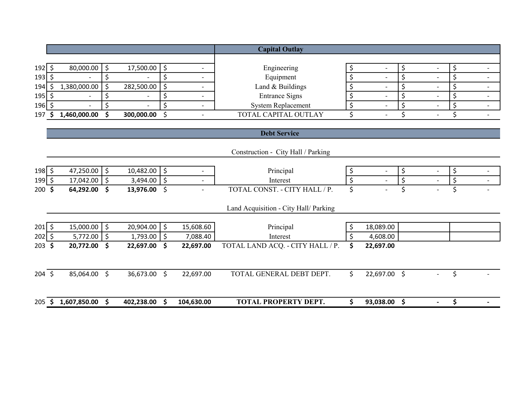|                     |         |              |                      |              |                    |                              | <b>Capital Outlay</b>                 |                  |                          |                                    |                                |
|---------------------|---------|--------------|----------------------|--------------|--------------------|------------------------------|---------------------------------------|------------------|--------------------------|------------------------------------|--------------------------------|
|                     |         |              |                      |              |                    |                              |                                       |                  |                          |                                    |                                |
| $192 \mid 5$        |         | 80,000.00    | $\zeta$              | 17,500.00    | \$                 | $\overline{\phantom{a}}$     | Engineering                           | \$               | $\overline{\phantom{a}}$ | \$<br>$\overline{a}$               | \$<br>$\overline{\phantom{a}}$ |
| $193 \mid 5$        |         |              | \$                   |              | \$                 |                              | Equipment                             | \$               | $\overline{\phantom{a}}$ | \$                                 | \$                             |
| 194                 | \$      | 1,380,000.00 | $\zeta$              | 282,500.00   | \$                 | $\overline{\phantom{a}}$     | Land & Buildings                      | \$               | $\overline{\phantom{a}}$ | \$                                 | \$<br>$\overline{\phantom{a}}$ |
| $195$ \$            |         |              | \$                   |              | \$                 | $\overline{\phantom{a}}$     | <b>Entrance Signs</b>                 | \$               | $\overline{\phantom{a}}$ | \$<br>$\qquad \qquad \blacksquare$ | \$<br>$\overline{\phantom{a}}$ |
| 196                 | $\zeta$ |              | \$                   |              | \$                 | $\qquad \qquad \blacksquare$ | <b>System Replacement</b>             | \$               | $\blacksquare$           | \$<br>$\overline{\phantom{a}}$     | \$<br>$\overline{\phantom{a}}$ |
| 197                 | \$      | 1,460,000.00 | $\boldsymbol{\zeta}$ | 300,000.00   | \$                 |                              | TOTAL CAPITAL OUTLAY                  | \$               |                          | \$                                 | \$                             |
|                     |         |              |                      |              |                    |                              |                                       |                  |                          |                                    |                                |
|                     |         |              |                      |              |                    |                              | <b>Debt Service</b>                   |                  |                          |                                    |                                |
|                     |         |              |                      |              |                    |                              |                                       |                  |                          |                                    |                                |
|                     |         |              |                      |              |                    |                              | Construction - City Hall / Parking    |                  |                          |                                    |                                |
|                     |         |              |                      |              |                    |                              |                                       |                  |                          |                                    |                                |
| $198$ \$            |         | 47,250.00    | \$                   | 10,482.00    | $\ddot{\varsigma}$ | $\overline{\phantom{a}}$     | Principal                             | \$               | $\overline{\phantom{a}}$ | \$<br>$\overline{\phantom{a}}$     | \$                             |
| $199$ \$            |         | 17,042.00    | \$ ا                 | 3,494.00     | \$                 |                              | Interest                              | $\overline{\xi}$ |                          | \$                                 | \$                             |
| 200 \$              |         | 64,292.00    | $\ddot{\bm{S}}$      | 13,976.00 \$ |                    |                              | TOTAL CONST. - CITY HALL / P.         | \$               |                          | \$                                 | \$                             |
|                     |         |              |                      |              |                    |                              |                                       |                  |                          |                                    |                                |
|                     |         |              |                      |              |                    |                              | Land Acquisition - City Hall/ Parking |                  |                          |                                    |                                |
| $201 \;$ \$         |         | 15,000.00    | $\vert \xi$          | 20,904.00    | $\frac{1}{2}$      | 15,608.60                    | Principal                             | \$               | 18,089.00                |                                    |                                |
| $202 \mid 5$        |         | 5,772.00     | \$ ا                 | 1,793.00     | \$                 | 7,088.40                     | Interest                              | $\zeta$          | 4,608.00                 |                                    |                                |
| $203$ \$            |         | 20,772.00    | $\zeta$              | 22,697.00    | \$                 | 22,697.00                    | TOTAL LAND ACQ. - CITY HALL / P.      | \$               | 22,697.00                |                                    |                                |
|                     |         |              |                      |              |                    |                              |                                       |                  |                          |                                    |                                |
|                     |         |              |                      |              |                    |                              |                                       |                  |                          |                                    |                                |
| $204 \overline{\$}$ |         | 85,064.00    | $\ddot{\mathsf{s}}$  | 36,673.00 \$ |                    | 22,697.00                    | TOTAL GENERAL DEBT DEPT.              | \$               | 22,697.00                | \$                                 | \$                             |
|                     |         |              |                      |              |                    |                              |                                       |                  |                          |                                    |                                |
|                     |         |              |                      |              |                    |                              |                                       |                  |                          |                                    |                                |
| $205$ \$            |         | 1,607,850.00 | 5                    | 402,238.00   | \$                 | 104,630.00                   | <b>TOTAL PROPERTY DEPT.</b>           | \$               | 93,038.00                | \$<br>$\qquad \qquad \blacksquare$ | \$                             |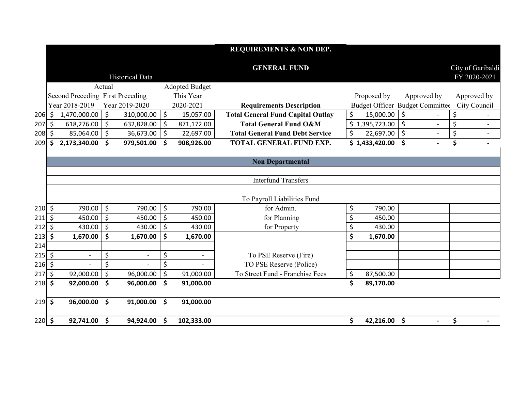|              |                                  |                    |                        |     |                       | REQUIREMENTS & NON DEP.                  |                 |                                 |                                   |
|--------------|----------------------------------|--------------------|------------------------|-----|-----------------------|------------------------------------------|-----------------|---------------------------------|-----------------------------------|
|              |                                  |                    | <b>Historical Data</b> |     |                       | <b>GENERAL FUND</b>                      |                 |                                 | City of Garibaldi<br>FY 2020-2021 |
|              |                                  | Actual             |                        |     | <b>Adopted Budget</b> |                                          |                 |                                 |                                   |
|              | Second Preceding First Preceding |                    |                        |     | This Year             |                                          | Proposed by     | Approved by                     | Approved by                       |
|              | Year 2018-2019                   |                    | Year 2019-2020         |     | 2020-2021             | <b>Requirements Description</b>          |                 | Budget Officer Budget Committee | City Council                      |
| 206          | \$<br>1,470,000.00               | $\zeta$            | 310,000.00             | \$  | 15,057.00             | <b>Total General Fund Capital Outlay</b> | \$<br>15,000.00 | $\zeta$                         | \$                                |
| 207          | \$<br>618,276.00                 | $\zeta$            | 632,828.00             | \$  | 871,172.00            | <b>Total General Fund O&amp;M</b>        | \$1,395,723.00  | $\zeta$<br>$\blacksquare$       | \$<br>$\blacksquare$              |
| 208          | \$<br>85,064.00                  | $\zeta$            | 36,673.00              | \$  | 22,697.00             | <b>Total General Fund Debt Service</b>   | \$<br>22,697.00 | $\zeta$                         | \$                                |
| 209          | \$<br>2,173,340.00               | \$                 | 979,501.00             | \$  | 908,926.00            | TOTAL GENERAL FUND EXP.                  | \$1,433,420.00  | \$                              | \$                                |
|              |                                  |                    |                        |     |                       | <b>Non Departmental</b>                  |                 |                                 |                                   |
|              |                                  |                    |                        |     |                       |                                          |                 |                                 |                                   |
|              |                                  |                    |                        |     |                       | <b>Interfund Transfers</b>               |                 |                                 |                                   |
|              |                                  |                    |                        |     |                       | To Payroll Liabilities Fund              |                 |                                 |                                   |
| $210 \div$   | 790.00                           | \$                 | 790.00                 | \$  | 790.00                | for Admin.                               | \$<br>790.00    |                                 |                                   |
| 211          | \$<br>450.00                     | \$                 | 450.00                 | \$  | 450.00                | for Planning                             | \$<br>450.00    |                                 |                                   |
| 212          | \$<br>430.00                     | $\zeta$            | 430.00                 | \$  | 430.00                | for Property                             | \$<br>430.00    |                                 |                                   |
| 213          | \$<br>1,670.00                   | \$                 | 1,670.00               | \$  | 1,670.00              |                                          | \$<br>1,670.00  |                                 |                                   |
| 214          |                                  |                    |                        |     |                       |                                          |                 |                                 |                                   |
| $215$ \$     | $\overline{a}$                   | \$                 | $\overline{a}$         | \$  | $\overline{a}$        | To PSE Reserve (Fire)                    |                 |                                 |                                   |
| $216 \div$   |                                  | \$                 |                        | \$  |                       | TO PSE Reserve (Police)                  |                 |                                 |                                   |
| 217          | \$<br>92,000.00                  | \$                 | 96,000.00              | \$  | 91,000.00             | To Street Fund - Franchise Fees          | \$<br>87,500.00 |                                 |                                   |
| 218          | \$<br>92,000.00                  | Ŝ.                 | 96,000.00              | \$  | 91,000.00             |                                          | \$<br>89,170.00 |                                 |                                   |
| $219$ \$     | 96,000.00                        | $\dot{\mathsf{s}}$ | 91,000.00              | \$  | 91,000.00             |                                          |                 |                                 |                                   |
| $220 \mid 5$ | 92,741.00                        | \$                 | 94,924.00              | \$. | 102,333.00            |                                          | \$<br>42,216.00 | \$                              | \$                                |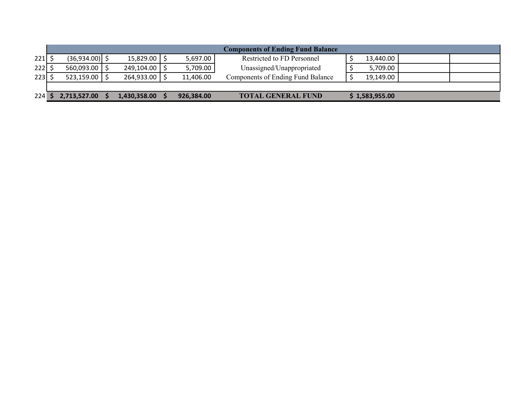|               |                   |              |            | <b>Components of Ending Fund Balance</b> |                |  |
|---------------|-------------------|--------------|------------|------------------------------------------|----------------|--|
| $221$ \$      | $(36,934.00)$ \$  | 15,829.00    | 5,697.00   | Restricted to FD Personnel               | 13,440.00      |  |
| $222\sqrt{5}$ | $560,093.00$   \$ | 249,104.00   | 5,709.00   | Unassigned/Unappropriated                | 5,709.00       |  |
| 223           | $523,159.00$   \$ | 264,933.00   | 11,406.00  | <b>Components of Ending Fund Balance</b> | 19,149.00      |  |
|               |                   |              |            |                                          |                |  |
| 224           | 2,713,527.00      | 1,430,358.00 | 926,384.00 | <b>TOTAL GENERAL FUND</b>                | \$1,583,955.00 |  |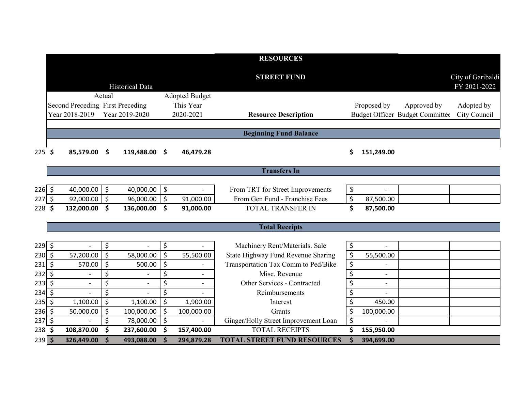|              |         |                                  |         |                          |               |                          | <b>RESOURCES</b>                     |    |                          |                                        |                                   |
|--------------|---------|----------------------------------|---------|--------------------------|---------------|--------------------------|--------------------------------------|----|--------------------------|----------------------------------------|-----------------------------------|
|              |         |                                  |         | Historical Data          |               |                          | <b>STREET FUND</b>                   |    |                          |                                        | City of Garibaldi<br>FY 2021-2022 |
|              |         |                                  | Actual  |                          |               | <b>Adopted Budget</b>    |                                      |    |                          |                                        |                                   |
|              |         | Second Preceding First Preceding |         |                          |               | This Year                |                                      |    | Proposed by              | Approved by                            | Adopted by                        |
|              |         | Year 2018-2019                   |         | Year 2019-2020           |               | 2020-2021                | <b>Resource Description</b>          |    |                          | <b>Budget Officer Budget Committee</b> | City Council                      |
|              |         |                                  |         |                          |               |                          |                                      |    |                          |                                        |                                   |
|              |         |                                  |         |                          |               |                          | <b>Beginning Fund Balance</b>        |    |                          |                                        |                                   |
| $225$ \$     |         | 85,579.00                        | \$      | 119,488.00               | \$            | 46,479.28                |                                      | \$ | 151,249.00               |                                        |                                   |
|              |         |                                  |         |                          |               |                          | <b>Transfers In</b>                  |    |                          |                                        |                                   |
|              |         |                                  |         |                          |               |                          |                                      |    |                          |                                        |                                   |
| $226$ \$     |         | 40,000.00                        | $\zeta$ | 40,000.00                | $\mathcal{S}$ |                          | From TRT for Street Improvements     | \$ |                          |                                        |                                   |
| 227          | \$      | 92,000.00                        | \$      | 96,000.00                | \$            | 91,000.00                | From Gen Fund - Franchise Fees       | \$ | 87,500.00                |                                        |                                   |
| 228          | \$      | 132,000.00                       | \$      | 136,000.00               | \$            | 91,000.00                | TOTAL TRANSFER IN                    | \$ | 87,500.00                |                                        |                                   |
|              |         |                                  |         |                          |               |                          | <b>Total Receipts</b>                |    |                          |                                        |                                   |
|              |         |                                  |         |                          |               |                          |                                      |    |                          |                                        |                                   |
| $229$ \$     |         | $\overline{a}$                   | \$      |                          | \$            | $\overline{a}$           | Machinery Rent/Materials. Sale       | \$ |                          |                                        |                                   |
| $230 \mid 5$ |         | 57,200.00                        | \$      | 58,000.00                | \$            | 55,500.00                | State Highway Fund Revenue Sharing   | \$ | 55,500.00                |                                        |                                   |
| 231          | \$      | 570.00                           | \$      | 500.00                   | \$            |                          | Transportation Tax Comm to Ped/Bike  | \$ |                          |                                        |                                   |
| $232$ \$     |         |                                  | \$      |                          | \$            | $\overline{a}$           | Misc. Revenue                        | \$ | $\overline{a}$           |                                        |                                   |
| 233          | $\zeta$ | $\overline{\phantom{a}}$         | \$      | $\overline{\phantom{a}}$ | \$            | $\overline{\phantom{a}}$ | Other Services - Contracted          | \$ | $\overline{\phantom{a}}$ |                                        |                                   |
| 234          | \$      |                                  | \$      |                          | \$            |                          | Reimbursements                       | \$ |                          |                                        |                                   |
| $235$ \$     |         | 1,100.00                         | \$      | 1,100.00                 | $\zeta$       | 1,900.00                 | Interest                             | \$ | 450.00                   |                                        |                                   |
| $236$ \$     |         | 50,000.00                        | \$      | 100,000.00               | \$            | 100,000.00               | Grants                               | \$ | 100,000.00               |                                        |                                   |
| 237          | \$      |                                  | \$      | 78,000.00                | $\zeta$       |                          | Ginger/Holly Street Improvement Loan | Ś  |                          |                                        |                                   |
| $238$ \$     |         | 108,870.00                       | \$      | 237,600.00               | \$.           | 157,400.00               | <b>TOTAL RECEIPTS</b>                | Ś. | 155,950.00               |                                        |                                   |
| $239$ \$     |         | 326,449.00                       | Ś       | 493,088.00               | <b>S</b>      | 294,879.28               | <b>TOTAL STREET FUND RESOURCES</b>   |    | 394,699.00               |                                        |                                   |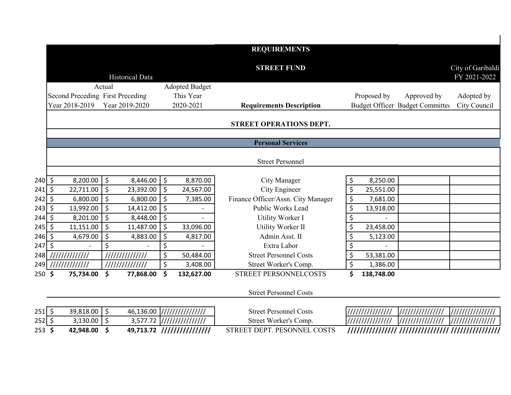|                  |                                  |                                     |                             | <b>REQUIREMENTS</b>                 |                                        |                                   |
|------------------|----------------------------------|-------------------------------------|-----------------------------|-------------------------------------|----------------------------------------|-----------------------------------|
|                  |                                  | <b>Historical Data</b>              |                             | <b>STREET FUND</b>                  |                                        | City of Garibaldi<br>FY 2021-2022 |
|                  |                                  | Actual                              | <b>Adopted Budget</b>       |                                     |                                        |                                   |
|                  | Second Preceding First Preceding |                                     | This Year                   |                                     | Proposed by<br>Approved by             | Adopted by                        |
|                  | Year 2018-2019                   | Year 2019-2020                      | 2020-2021                   | <b>Requirements Description</b>     | <b>Budget Officer Budget Committee</b> | City Council                      |
|                  |                                  |                                     |                             |                                     |                                        |                                   |
|                  |                                  |                                     |                             | STREET OPERATIONS DEPT.             |                                        |                                   |
|                  |                                  |                                     |                             |                                     |                                        |                                   |
|                  |                                  |                                     |                             | <b>Personal Services</b>            |                                        |                                   |
|                  |                                  |                                     |                             |                                     |                                        |                                   |
|                  |                                  |                                     |                             | <b>Street Personnel</b>             |                                        |                                   |
|                  |                                  |                                     |                             |                                     |                                        |                                   |
| 240 \$           | 8,200.00                         | $\ddot{\varsigma}$<br>$8,446.00$ \$ | 8,870.00                    | City Manager                        | \$<br>8,250.00                         |                                   |
| 241 \$           | 22,711.00                        | $\zeta$<br>23,392.00 \$             | 24,567.00                   | City Engineer                       | \$<br>25,551.00                        |                                   |
| 242 \$           | 6,800.00                         | $\zeta$<br>$6,800.00$ \$            | 7,385.00                    | Finance Officer/Assn. City Manager  | \$<br>7,681.00                         |                                   |
| 243 \$           | 13,992.00                        | $14,412.00$ \$<br>\$                |                             | Public Works Lead                   | \$<br>13,918.00                        |                                   |
| 244 \$           | 8,201.00                         | $\zeta$<br>$8,448.00$ \$            |                             | <b>Utility Worker I</b>             | \$                                     |                                   |
| 245 \$           | 11,151.00                        | \$<br>11,487.00                     | $\zeta$<br>33,096.00        | Utility Worker II<br>Admin Asst. II | \$<br>23,458.00                        |                                   |
| \$ 246<br>247 \$ | 4,679.00                         | \$<br>4,883.00<br>\$                | \$<br>4,817.00<br>$\zeta$   | Extra Labor                         | \$<br>5,123.00                         |                                   |
|                  | 248   <i>              </i>      | //////////////                      | $\zeta$<br>50,484.00        | <b>Street Personnel Costs</b>       | \$<br>\$<br>53,381.00                  |                                   |
|                  | 249  <i>              </i>       | //////////////                      | \$<br>3,408.00              | Street Worker's Comp.               | \$<br>1,386.00                         |                                   |
| 250 \$           | 75,734.00                        | \$<br>77,868.00                     | \$<br>132,627.00            | STREET PERSONNELCOSTS               | \$<br>138,748.00                       |                                   |
|                  |                                  |                                     |                             |                                     |                                        |                                   |
|                  |                                  |                                     |                             | <b>Street Personnel Costs</b>       |                                        |                                   |
|                  |                                  |                                     |                             |                                     |                                        |                                   |
| 251  \$          | 39,818.00                        | $\ddot{\varsigma}$                  | 46,136.00 ///////////////// | <b>Street Personnel Costs</b>       | ///////////////                        | ///////////////                   |
| \$  252          | 3,130.00                         | $\zeta$<br>3,577.72                 | $\frac{1}{1}$               | Street Worker's Comp.               | ///////////////                        |                                   |
| 253 \$           | 42,948.00                        | \$                                  | 49,713.72 ////////////////  | STREET DEPT. PESONNEL COSTS         | ////////////////                       |                                   |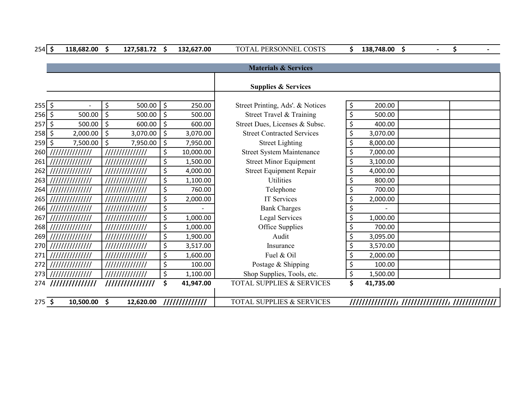| $254$ \$ |         | 118,682.00          | $\ddot{\bm{\zeta}}$ | 127,581.72       | \$      | 132,627.00    | TOTAL PERSONNEL COSTS                | \$<br>138,748.00 | \$<br>$\overline{\phantom{0}}$ | \$<br>$\overline{\phantom{0}}$ |
|----------|---------|---------------------|---------------------|------------------|---------|---------------|--------------------------------------|------------------|--------------------------------|--------------------------------|
|          |         |                     |                     |                  |         |               |                                      |                  |                                |                                |
|          |         |                     |                     |                  |         |               | <b>Materials &amp; Services</b>      |                  |                                |                                |
|          |         |                     |                     |                  |         |               |                                      |                  |                                |                                |
|          |         |                     |                     |                  |         |               | <b>Supplies &amp; Services</b>       |                  |                                |                                |
|          |         |                     |                     |                  |         |               |                                      |                  |                                |                                |
| $255$ \$ |         |                     | \$                  | $500.00$ \$      |         | 250.00        | Street Printing, Ads'. & Notices     | \$<br>200.00     |                                |                                |
| $256$ \$ |         | 500.00              | \$                  | 500.00           | \$      | 500.00        | Street Travel & Training             | \$<br>500.00     |                                |                                |
| 257      | $\zeta$ | 500.00              | $\zeta$             | 600.00           | $\zeta$ | 600.00        | Street Dues, Licenses & Subsc.       | \$<br>400.00     |                                |                                |
| $258$ \$ |         | 2,000.00            | \$                  | 3,070.00         | $\zeta$ | 3,070.00      | <b>Street Contracted Services</b>    | \$<br>3,070.00   |                                |                                |
| $259$ \$ |         | 7,500.00            | \$                  | 7,950.00         | \$      | 7,950.00      | <b>Street Lighting</b>               | \$<br>8,000.00   |                                |                                |
| 260      |         | 111111111111111     |                     | ///////////////  | \$      | 10,000.00     | <b>Street System Maintenance</b>     | \$<br>7,000.00   |                                |                                |
| 261      |         | 111111111111111     |                     | //////////////   | \$      | 1,500.00      | <b>Street Minor Equipment</b>        | \$<br>3,100.00   |                                |                                |
| 262      |         | 111111111111111     |                     | //////////////   | \$      | 4,000.00      | <b>Street Equipment Repair</b>       | \$<br>4,000.00   |                                |                                |
| 263      |         |                     |                     | //////////////   | \$      | 1,100.00      | Utilities                            | \$<br>800.00     |                                |                                |
| 264      |         | //////////////      |                     | //////////////   | \$      | 760.00        | Telephone                            | \$<br>700.00     |                                |                                |
| 265      |         | 111111111111111     |                     | //////////////   | \$      | 2,000.00      | IT Services                          | \$<br>2,000.00   |                                |                                |
|          |         | 266 /////////////// |                     | //////////////   | \$      |               | <b>Bank Charges</b>                  | \$               |                                |                                |
| 267      |         | 111111111111111     |                     |                  | \$      | 1,000.00      | Legal Services                       | \$<br>1,000.00   |                                |                                |
|          |         | 268 /////////////// |                     | //////////////   | \$      | 1,000.00      | Office Supplies                      | \$<br>700.00     |                                |                                |
|          |         | 269 /////////////// |                     |                  | \$      | 1,900.00      | Audit                                | \$<br>3,095.00   |                                |                                |
|          |         | 270 /////////////// |                     | //////////////   | \$      | 3,517.00      | Insurance                            | \$<br>3,570.00   |                                |                                |
| 271      |         | 111111111111111     |                     | //////////////   | \$      | 1,600.00      | Fuel & Oil                           | \$<br>2,000.00   |                                |                                |
| 272      |         | 111111111111111     |                     | //////////////   | \$      | 100.00        | Postage & Shipping                   | \$<br>100.00     |                                |                                |
| 273      |         | 111111111111111     |                     | //////////////   | \$      | 1,100.00      | Shop Supplies, Tools, etc.           | \$<br>1,500.00   |                                |                                |
|          |         | 274 /////////////// |                     | //////////////// | \$      | 41,947.00     | <b>TOTAL SUPPLIES &amp; SERVICES</b> | \$<br>41,735.00  |                                |                                |
|          |         |                     |                     |                  |         |               |                                      |                  |                                |                                |
| $275$ \$ |         | 10,500.00           | \$                  | 12,620.00        |         | ///////////// | <b>TOTAL SUPPLIES &amp; SERVICES</b> |                  |                                |                                |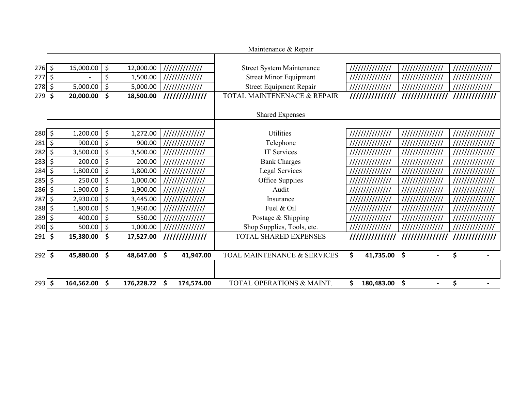|            |                |         |            |     |                 | Maintenance & Repair             |     |                |                   |                    |
|------------|----------------|---------|------------|-----|-----------------|----------------------------------|-----|----------------|-------------------|--------------------|
|            |                |         |            |     |                 |                                  |     |                |                   |                    |
| $276$ \$   | 15,000.00      | \$      | 12,000.00  |     | 11111111111111  | <b>Street System Maintenance</b> |     | ////////////// | //////////////    | /////////////      |
| $277$ \$   |                | \$      | 1,500.00   |     | /////////////   | <b>Street Minor Equipment</b>    |     | ////////////// | ///////////////   | /////////////      |
| $278$ \$   | 5,000.00       | \$      | 5,000.00   |     | /////////////   | <b>Street Equipment Repair</b>   |     | 11111111111111 | //////////////    | 1111111111111      |
| 279 \$     | 20,000.00      | \$      | 18,500.00  |     | 11111111111111  | TOTAL MAINTENENACE & REPAIR      |     | ////////////// | //////////////    | 11111111111111     |
|            |                |         |            |     |                 |                                  |     |                |                   |                    |
|            |                |         |            |     |                 | <b>Shared Expenses</b>           |     |                |                   |                    |
|            |                |         |            |     |                 |                                  |     |                |                   |                    |
| $280 \div$ | 1,200.00       | \$      | 1,272.00   |     | //////////////  | <b>Utilities</b>                 |     | ////////////// |                   | //////////////     |
| $281$ \$   | 900.00         | \$      | 900.00     |     | //////////////  | Telephone                        |     | ////////////// | //////////////    | //////////////     |
| 282        | \$<br>3,500.00 | \$      | 3,500.00   |     | //////////////  | IT Services                      |     | ////////////// | //////////////    | 111111111111111    |
| $283$ \$   | 200.00         | $\zeta$ | 200.00     |     | //////////////  | <b>Bank Charges</b>              |     | ////////////// | //////////////    | 111111111111111    |
| $284$ \$   | 1,800.00       | \$      | 1,800.00   |     | /////////////// | Legal Services                   |     | ////////////// | //////////////    | //////////////     |
| $285$ \$   | 250.00         | \$      | 1,000.00   |     | //////////////  | Office Supplies                  |     | ////////////// | //////////////    | //////////////     |
| $286$ \$   | 1,900.00       | \$      | 1,900.00   |     | /////////////// | Audit                            |     | ////////////// | //////////////    | //////////////     |
| $287$ \$   | 2,930.00       | \$      | 3,445.00   |     | //////////////  | Insurance                        |     | ////////////// | //////////////    | //////////////     |
| $288$ \$   | 1,800.00       | \$      | 1,960.00   |     | //////////////  | Fuel & Oil                       |     | ////////////// | ///////////////   | //////////////     |
| $289$ \$   | 400.00         | \$      | 550.00     |     | //////////////  | Postage & Shipping               |     | ////////////// | //////////////    | //////////////     |
| 290 \$     | 500.00         | \$      | 1,000.00   |     | //////////////  | Shop Supplies, Tools, etc.       |     | ////////////// | //////////////    | //////////////     |
| $291$ \$   | 15,380.00      | \$      | 17,527.00  |     | 11111111111111  | TOTAL SHARED EXPENSES            |     | ////////////// | 111111111111111   | [ 1 1 1 1 1 1 1 1] |
|            |                |         |            |     |                 |                                  |     |                |                   |                    |
| $292$ \$   | 45,880.00      | - \$    | 48,647.00  | \$. | 41,947.00       | TOAL MAINTENANCE & SERVICES      | \$  | 41,735.00      | \$                | \$                 |
|            |                |         |            |     |                 |                                  |     |                |                   |                    |
|            |                |         |            |     |                 |                                  |     |                |                   |                    |
| $293$ \$   | 164,562.00     | \$      | 176,228.72 | \$. | 174,574.00      | TOTAL OPERATIONS & MAINT.        | \$. | 180,483.00     | \$<br>$\hbox{--}$ | \$                 |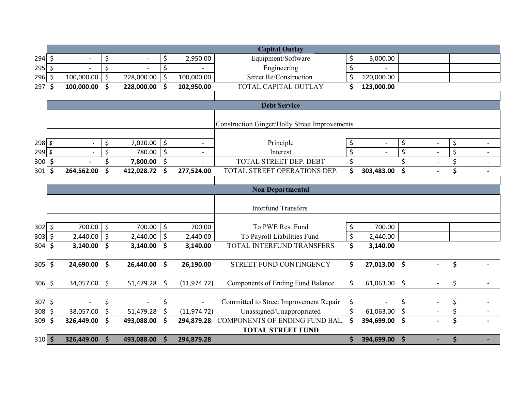|                  |                  |                    |            |                      |                | <b>Capital Outlay</b>                                |                  |                          |                      |        |                  |                |
|------------------|------------------|--------------------|------------|----------------------|----------------|------------------------------------------------------|------------------|--------------------------|----------------------|--------|------------------|----------------|
| $294$ \$         |                  | \$                 |            | \$                   | 2,950.00       | Equipment/Software                                   | \$               | 3,000.00                 |                      |        |                  |                |
| $295$ \$         |                  | \$                 |            | \$                   |                | Engineering                                          | $\zeta$          |                          |                      |        |                  |                |
| $296$ \$         | 100,000.00       | \$                 | 228,000.00 | \$                   | 100,000.00     | <b>Street Re/Construction</b>                        | \$               | 120,000.00               |                      |        |                  |                |
| 297              | \$<br>100,000.00 | \$                 | 228,000.00 | \$.                  | 102,950.00     | TOTAL CAPITAL OUTLAY                                 | \$               | 123,000.00               |                      |        |                  |                |
|                  |                  |                    |            |                      |                |                                                      |                  |                          |                      |        |                  |                |
|                  |                  |                    |            |                      |                | <b>Debt Service</b>                                  |                  |                          |                      |        |                  |                |
|                  |                  |                    |            |                      |                | <b>Construction Ginger/Holly Street Improvements</b> |                  |                          |                      |        |                  |                |
|                  |                  |                    |            |                      |                |                                                      |                  |                          |                      |        |                  |                |
| $298$ $$$        |                  | \$                 | 7,020.00   | $\zeta$              | $\blacksquare$ | Principle                                            | \$               | $\overline{\phantom{a}}$ | \$                   | $\sim$ | \$               | $\blacksquare$ |
| $299$ $\sqrt{s}$ |                  | $\zeta$            | 780.00     | \$                   |                | Interest                                             | $\overline{\xi}$ |                          | \$                   |        | $\overline{\xi}$ |                |
| 300 \$           |                  | \$                 | 7,800.00   | \$                   |                | TOTAL STREET DEP. DEBT                               | \$               |                          | \$                   |        | \$               |                |
| $301$ \$         | 264,562.00       | \$                 | 412,028.72 | \$                   | 277,524.00     | TOTAL STREET OPERATIONS DEP.                         | \$               | 303,483.00               | \$                   |        | \$               |                |
|                  |                  |                    |            |                      |                |                                                      |                  |                          |                      |        |                  |                |
|                  |                  |                    |            |                      |                | <b>Non Departmental</b>                              |                  |                          |                      |        |                  |                |
|                  |                  |                    |            |                      |                | <b>Interfund Transfers</b>                           |                  |                          |                      |        |                  |                |
|                  |                  |                    |            |                      |                |                                                      |                  |                          |                      |        |                  |                |
| $302 \mid 5$     | 700.00           | $\vert$ \$         | 700.00     | $\zeta$              | 700.00         | To PWE Res. Fund                                     | \$               | 700.00                   |                      |        |                  |                |
| $303 \,$ \$      | 2,440.00         | \$                 | 2,440.00   | $\zeta$              | 2,440.00       | To Payroll Liabilities Fund                          | \$               | 2,440.00                 |                      |        |                  |                |
| 304 \$           | 3,140.00         | \$                 | 3,140.00   | \$                   | 3,140.00       | TOTAL INTERFUND TRANSFERS                            | \$               | 3,140.00                 |                      |        |                  |                |
| $305$ \$         | 24,690.00        | $\dot{\mathsf{s}}$ | 26,440.00  | \$                   | 26,190.00      | STREET FUND CONTINGENCY                              | \$               | 27,013.00                | \$                   |        | \$               |                |
| $306$ \$         | 34,057.00        | \$                 | 51,479.28  | \$                   | (11, 974.72)   | <b>Components of Ending Fund Balance</b>             | \$               | 61,063.00                | \$                   |        | \$               |                |
|                  |                  |                    |            |                      |                |                                                      |                  |                          |                      |        |                  |                |
| 307 <sup>5</sup> |                  | \$                 |            | \$                   |                | Committed to Street Improvement Repair               | \$               |                          | \$                   |        | \$               |                |
| $308$ \$         | 38,057.00        | \$                 | 51,479.28  | \$                   | (11, 974.72)   | Unassigned/Unappropriated                            |                  | 61,063.00                | \$                   |        | \$               |                |
| 309 \$           | 326,449.00       | \$                 | 493,088.00 | \$                   | 294,879.28     | COMPONENTS OF ENDING FUND BAL.                       | \$               | 394,699.00               | $\boldsymbol{\zeta}$ |        | \$               |                |
|                  |                  |                    |            |                      |                | <b>TOTAL STREET FUND</b>                             |                  |                          |                      |        |                  |                |
| $310 \,$ \$      | 326,449.00       | $\mathsf{S}$       | 493,088.00 | $\boldsymbol{\zeta}$ | 294,879.28     |                                                      | \$               | 394,699.00               | $\ddot{\bm{\zeta}}$  |        | \$               |                |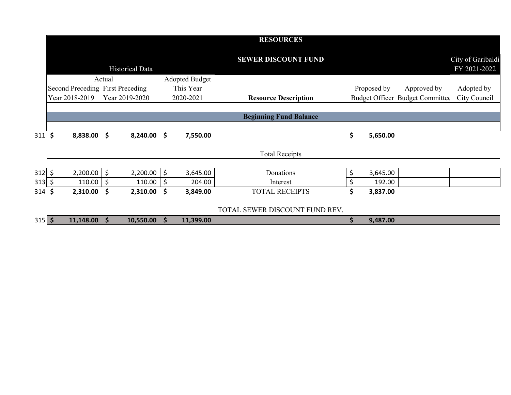|             |                                  |            |                        |                       | <b>RESOURCES</b>               |                |                                 |                                   |
|-------------|----------------------------------|------------|------------------------|-----------------------|--------------------------------|----------------|---------------------------------|-----------------------------------|
|             |                                  |            | <b>Historical Data</b> |                       | <b>SEWER DISCOUNT FUND</b>     |                |                                 | City of Garibaldi<br>FY 2021-2022 |
|             |                                  | Actual     |                        | <b>Adopted Budget</b> |                                |                |                                 |                                   |
|             | Second Preceding First Preceding |            |                        | This Year             |                                | Proposed by    | Approved by                     | Adopted by                        |
|             | Year 2018-2019                   |            | Year 2019-2020         | 2020-2021             | <b>Resource Description</b>    |                | Budget Officer Budget Committee | City Council                      |
|             |                                  |            |                        |                       |                                |                |                                 |                                   |
|             |                                  |            |                        |                       | <b>Beginning Fund Balance</b>  |                |                                 |                                   |
| 311 \$      | 8,838.00 \$                      |            | $8,240.00$ \$          | 7,550.00              |                                | \$<br>5,650.00 |                                 |                                   |
|             |                                  |            |                        |                       | <b>Total Receipts</b>          |                |                                 |                                   |
|             |                                  |            |                        |                       |                                |                |                                 |                                   |
| 312 \$      | 2,200.00                         | $\zeta$    | $2,200.00$ \$          | 3,645.00              | Donations                      | \$<br>3,645.00 |                                 |                                   |
| 313 \$      | 110.00                           | $\sqrt{5}$ | $110.00$   \$          | 204.00                | Interest                       | \$<br>192.00   |                                 |                                   |
| 314\$       | 2,310.00                         | \$         | $2,310.00$ \$          | 3,849.00              | <b>TOTAL RECEIPTS</b>          | \$<br>3,837.00 |                                 |                                   |
|             |                                  |            |                        |                       | TOTAL SEWER DISCOUNT FUND REV. |                |                                 |                                   |
| $315 \,$ \$ | 11,148.00                        | \$         | $10,550.00$ \$         | 11,399.00             |                                | \$<br>9,487.00 |                                 |                                   |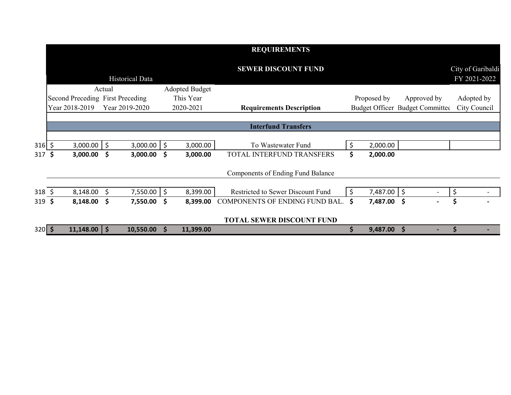|          |                                  |        |                        |         |                       | <b>REQUIREMENTS</b>                      |    |             |     |                                 |                                   |  |
|----------|----------------------------------|--------|------------------------|---------|-----------------------|------------------------------------------|----|-------------|-----|---------------------------------|-----------------------------------|--|
|          |                                  |        | <b>Historical Data</b> |         |                       | <b>SEWER DISCOUNT FUND</b>               |    |             |     |                                 | City of Garibaldi<br>FY 2021-2022 |  |
|          |                                  | Actual |                        |         | <b>Adopted Budget</b> |                                          |    |             |     |                                 |                                   |  |
|          | Second Preceding First Preceding |        |                        |         | This Year             |                                          |    | Proposed by |     | Approved by                     | Adopted by                        |  |
|          | Year 2018-2019                   |        | Year 2019-2020         |         | 2020-2021             | <b>Requirements Description</b>          |    |             |     | Budget Officer Budget Committee | City Council                      |  |
|          |                                  |        |                        |         |                       |                                          |    |             |     |                                 |                                   |  |
|          |                                  |        |                        |         |                       | <b>Interfund Transfers</b>               |    |             |     |                                 |                                   |  |
|          |                                  |        |                        |         |                       |                                          |    |             |     |                                 |                                   |  |
| $316$ \$ | 3,000.00                         | 5      | 3,000.00               | $\zeta$ | 3,000.00              | To Wastewater Fund                       | \$ | 2,000.00    |     |                                 |                                   |  |
| $317$ \$ | 3,000.00                         | \$     | $3,000.00$ \$          |         | 3,000.00              | TOTAL INTERFUND TRANSFERS                | \$ | 2,000.00    |     |                                 |                                   |  |
|          |                                  |        |                        |         |                       | <b>Components of Ending Fund Balance</b> |    |             |     |                                 |                                   |  |
| $318$ \$ | 8,148.00                         | \$     | 7,550.00               | $\zeta$ | 8,399.00              | Restricted to Sewer Discount Fund        | \$ | 7,487.00    | \$  |                                 | \$                                |  |
| 319S     | 8,148.00                         | \$     | 7,550.00 \$            |         | 8,399.00              | COMPONENTS OF ENDING FUND BAL.           | \$ | 7,487.00    | -\$ | $\overline{\phantom{a}}$        | \$                                |  |
|          |                                  |        |                        |         |                       | <b>TOTAL SEWER DISCOUNT FUND</b>         |    |             |     |                                 |                                   |  |
| $320$ \$ | 11,148.00                        | Ŝ.     | 10,550.00              | S       | 11,399.00             |                                          | Ś  | 9,487.00    | Ŝ   |                                 | \$                                |  |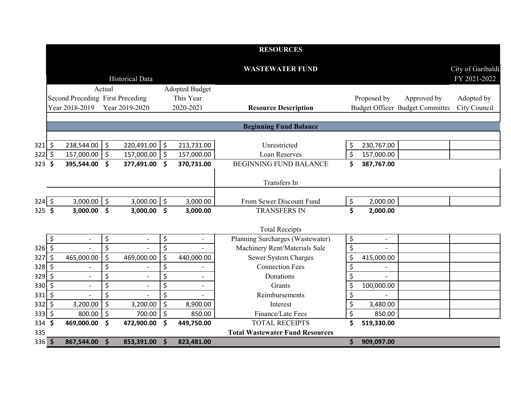|                  |         |                                  |            |                          |         |                          | <b>RESOURCES</b>                       |                  |                              |                                 |                                   |
|------------------|---------|----------------------------------|------------|--------------------------|---------|--------------------------|----------------------------------------|------------------|------------------------------|---------------------------------|-----------------------------------|
|                  |         |                                  |            | Historical Data          |         |                          | <b>WASTEWATER FUND</b>                 |                  |                              |                                 | City of Garibaldi<br>FY 2021-2022 |
|                  |         |                                  | Actual     |                          |         | <b>Adopted Budget</b>    |                                        |                  |                              |                                 |                                   |
|                  |         | Second Preceding First Preceding |            |                          |         | This Year                |                                        |                  | Proposed by                  | Approved by                     | Adopted by                        |
|                  |         | Year 2018-2019                   |            | Year 2019-2020           |         | 2020-2021                | <b>Resource Description</b>            |                  |                              | Budget Officer Budget Committee | City Council                      |
|                  |         |                                  |            |                          |         |                          |                                        |                  |                              |                                 |                                   |
|                  |         |                                  |            |                          |         |                          | <b>Beginning Fund Balance</b>          |                  |                              |                                 |                                   |
|                  |         |                                  |            |                          |         |                          |                                        |                  |                              |                                 |                                   |
| $321\frac{1}{5}$ |         | 238,544.00 \$                    |            | 220,491.00               | \$      | 213,731.00               | Unrestricted                           | \$               | 230,767.00                   |                                 |                                   |
| 322              | $\zeta$ | 157,000.00                       | $\vert$ \$ | 157,000.00               | $\zeta$ | 157,000.00               | Loan Reserves                          | $\zeta$          | 157,000.00                   |                                 |                                   |
| 323 <sub>5</sub> |         | 395,544.00                       | \$         | 377,491.00               | \$.     | 370,731.00               | <b>BEGINNING FUND BALANCE</b>          | \$               | 387,767.00                   |                                 |                                   |
|                  |         |                                  |            |                          |         |                          | Transfers In                           |                  |                              |                                 |                                   |
|                  |         |                                  |            |                          |         |                          |                                        |                  |                              |                                 |                                   |
| $324$ \$         |         | $3,000.00$ \$                    |            | 3,000.00                 | \$      | 3,000.00                 | From Sewer Discount Fund               | \$               | 2,000.00                     |                                 |                                   |
| $325$ \$         |         | 3,000.00                         | \$         | 3,000.00                 | \$      | 3,000.00                 | <b>TRANSFERS IN</b>                    | \$               | 2,000.00                     |                                 |                                   |
|                  |         |                                  |            |                          |         |                          | <b>Total Receipts</b>                  |                  |                              |                                 |                                   |
|                  | \$      | $\overline{\phantom{a}}$         | \$         | $\overline{\phantom{a}}$ | \$      | $\overline{\phantom{a}}$ | Planning Surcharges (Wastewater)       | \$               | $\qquad \qquad \blacksquare$ |                                 |                                   |
| 326              | $\zeta$ |                                  | \$         |                          | \$      |                          | Machinery Rent/Materials Sale          | $\overline{\xi}$ |                              |                                 |                                   |
| 327              | $\zeta$ | 465,000.00                       | $\zeta$    | 469,000.00               | \$      | 440,000.00               | Sewer System Charges                   | \$               | 415,000.00                   |                                 |                                   |
| 328              | $\zeta$ |                                  | \$         |                          | \$      |                          | <b>Connection Fees</b>                 | \$               |                              |                                 |                                   |
| 329              | $\zeta$ | $\overline{a}$                   | \$         | $\overline{\phantom{a}}$ | \$      | $\overline{\phantom{a}}$ | Donations                              | \$               |                              |                                 |                                   |
| 330              | $\zeta$ | $\overline{\phantom{0}}$         | \$         | $\blacksquare$           | \$      | $\overline{\phantom{a}}$ | Grants                                 | \$               | 100,000.00                   |                                 |                                   |
| 331              | $\zeta$ |                                  | \$         |                          | \$      |                          | Reimbursements                         | \$               |                              |                                 |                                   |
| 332              | $\zeta$ | 3,200.00                         | \$         | 3,200.00                 | \$      | 8,900.00                 | Interest                               | \$               | 3,480.00                     |                                 |                                   |
| $333$ \$         |         | 800.00                           | $\zeta$    | 700.00                   | $\zeta$ | 850.00                   | Finance/Late Fees                      | $\zeta$          | 850.00                       |                                 |                                   |
| 334 <sub>5</sub> |         | 469,000.00                       | \$         | 472,900.00               | \$      | 449,750.00               | <b>TOTAL RECEIPTS</b>                  | \$               | 519,330.00                   |                                 |                                   |
| 335              |         |                                  |            |                          |         |                          | <b>Total Wastewater Fund Resources</b> |                  |                              |                                 |                                   |
| $336$ \$         |         | 867,544.00 \$                    |            | 853,391.00               | \$      | 823,481.00               |                                        | \$               | 909,097.00                   |                                 |                                   |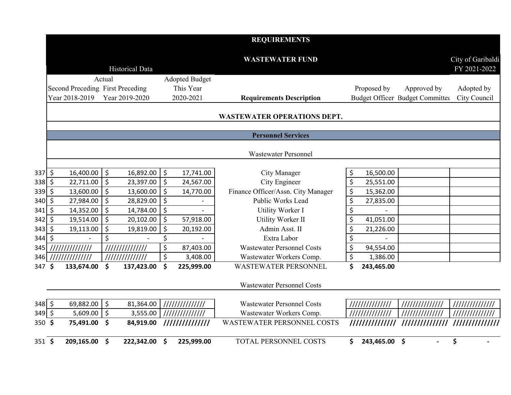|          |                                  |        |                                 |                    |                | <b>REQUIREMENTS</b>                |                     |                                        |                                   |
|----------|----------------------------------|--------|---------------------------------|--------------------|----------------|------------------------------------|---------------------|----------------------------------------|-----------------------------------|
|          |                                  |        | <b>Historical Data</b>          |                    |                | <b>WASTEWATER FUND</b>             |                     |                                        | City of Garibaldi<br>FY 2021-2022 |
|          |                                  | Actual |                                 |                    | Adopted Budget |                                    |                     |                                        |                                   |
|          | Second Preceding First Preceding |        |                                 |                    | This Year      |                                    | Proposed by         | Approved by                            | Adopted by                        |
|          | Year 2018-2019                   |        | Year 2019-2020                  |                    | 2020-2021      | <b>Requirements Description</b>    |                     | <b>Budget Officer Budget Committee</b> | City Council                      |
|          |                                  |        |                                 |                    |                | <b>WASTEWATER OPERATIONS DEPT.</b> |                     |                                        |                                   |
|          |                                  |        |                                 |                    |                |                                    |                     |                                        |                                   |
|          |                                  |        |                                 |                    |                | <b>Personnel Services</b>          |                     |                                        |                                   |
|          |                                  |        |                                 |                    |                | <b>Wastewater Personnel</b>        |                     |                                        |                                   |
| 337 \$   | 16,400.00                        |        | $\ddot{\varsigma}$<br>16,892.00 | $\ddot{\varsigma}$ | 17,741.00      | City Manager                       | \$<br>16,500.00     |                                        |                                   |
| 338 \$   | 22,711.00                        |        | $\zeta$<br>23,397.00            | \$                 | 24,567.00      | City Engineer                      | \$<br>25,551.00     |                                        |                                   |
| 339 \$   | 13,600.00                        |        | $\zeta$<br>13,600.00            | $\zeta$            | 14,770.00      | Finance Officer/Assn. City Manager | \$<br>15,362.00     |                                        |                                   |
| 340 \$   | 27,984.00                        |        | $\zeta$<br>28,829.00            | $\zeta$            |                | Public Works Lead                  | \$<br>27,835.00     |                                        |                                   |
| 341 \$   | 14,352.00                        |        | $\zeta$<br>14,784.00            | $\zeta$            |                | <b>Utility Worker I</b>            | \$                  |                                        |                                   |
| $342$ \$ | 19,514.00                        |        | $\zeta$<br>20,102.00            | \$                 | 57,918.00      | Utility Worker II                  | \$<br>41,051.00     |                                        |                                   |
| 343      | \$<br>19,113.00                  |        | \$<br>19,819.00                 | \$                 | 20,192.00      | Admin Asst. II                     | \$<br>21,226.00     |                                        |                                   |
| $344$ \$ |                                  |        | \$                              | \$                 |                | Extra Labor                        | \$                  |                                        |                                   |
|          |                                  |        |                                 | $\zeta$            | 87,403.00      | <b>Wastewater Personnel Costs</b>  | \$<br>94,554.00     |                                        |                                   |
|          | 346   <i>              </i>      |        |                                 | $\zeta$            | 3,408.00       | Wastewater Workers Comp.           | \$<br>1,386.00      |                                        |                                   |
| 347 \$   | 133,674.00                       |        | \$<br>137,423.00                | \$                 | 225,999.00     | <b>WASTEWATER PERSONNEL</b>        | \$<br>243,465.00    |                                        |                                   |
|          |                                  |        |                                 |                    |                | <b>Wastewater Personnel Costs</b>  |                     |                                        |                                   |
| $348$ \$ | 69,882.00                        |        | $\zeta$<br>81,364.00            |                    | ////////////// | <b>Wastewater Personnel Costs</b>  | //////////////      | //////////////                         | //////////////                    |
| $349$ \$ | 5,609.00                         |        | $\ddot{\varsigma}$<br>3,555.00  |                    |                | Wastewater Workers Comp.           |                     | ///////////////                        |                                   |
| 350 \$   | 75,491.00                        |        | \$<br>84,919.00                 |                    | ////////////// | WASTEWATER PERSONNEL COSTS         | ///////////////     | ////////////                           |                                   |
| 351 \$   | 209,165.00                       |        | \$<br>222,342.00 \$             |                    | 225,999.00     | TOTAL PERSONNEL COSTS              | \$<br>243,465.00 \$ |                                        | \$                                |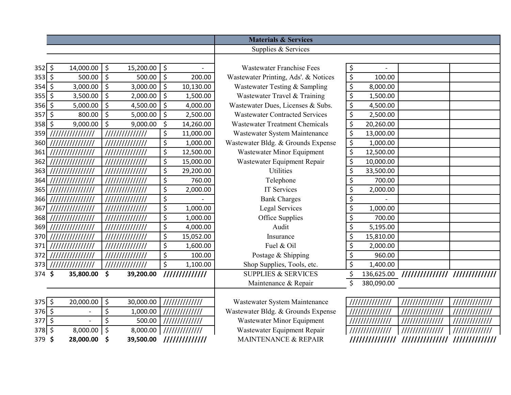|          |                  |                                 |                     | <b>Materials &amp; Services</b>       |                     |                 |                 |
|----------|------------------|---------------------------------|---------------------|---------------------------------------|---------------------|-----------------|-----------------|
|          |                  |                                 |                     | Supplies & Services                   |                     |                 |                 |
|          |                  |                                 |                     |                                       |                     |                 |                 |
| $352$ \$ | 14,000.00        | l \$<br>15,200.00               | $\ddot{\varsigma}$  | <b>Wastewater Franchise Fees</b>      | \$                  |                 |                 |
| $353$ \$ | 500.00           | \$ ا<br>500.00                  | $\zeta$<br>200.00   | Wastewater Printing, Ads'. & Notices  | \$<br>100.00        |                 |                 |
| $354$ \$ | 3,000.00         | $\mathsf{I}$<br>3,000.00        | \$<br>10,130.00     | Wastewater Testing & Sampling         | \$<br>8,000.00      |                 |                 |
| $355$ \$ | 3,500.00         | $\zeta$<br>2,000.00             | $\zeta$<br>1,500.00 | Wastewater Travel & Training          | \$<br>1,500.00      |                 |                 |
| $356$ \$ | 5,000.00         | $\mathsf{\dot{S}}$<br>4,500.00  | $\zeta$<br>4,000.00 | Wastewater Dues, Licenses & Subs.     | \$<br>4,500.00      |                 |                 |
| $357$ \$ | 800.00           | $\zeta$<br>5,000.00             | $\zeta$<br>2,500.00 | <b>Wastewater Contracted Services</b> | \$<br>2,500.00      |                 |                 |
| $358$ \$ | 9,000.00         | $\ddot{\mathsf{s}}$<br>9,000.00 | \$<br>14,260.00     | <b>Wastewater Treatment Chemicals</b> | \$<br>20,260.00     |                 |                 |
| 359      | ///////////////  |                                 | \$<br>11,000.00     | Wastewater System Maintenance         | \$<br>13,000.00     |                 |                 |
| 360      | ///////////////  | //////////////                  | \$<br>1,000.00      | Wastewater Bldg. & Grounds Expense    | \$<br>1,000.00      |                 |                 |
| 361      | //////////////// | //////////////                  | \$<br>12,500.00     | Wastewater Minor Equipment            | \$<br>12,500.00     |                 |                 |
| 362      | ///////////////  | //////////////                  | \$<br>15,000.00     | Wastewater Equipment Repair           | \$<br>10,000.00     |                 |                 |
| 363      | //////////////// | //////////////                  | \$<br>29,200.00     | <b>Utilities</b>                      | \$<br>33,500.00     |                 |                 |
| 364      | ///////////////  | 111111111111111                 | \$<br>760.00        | Telephone                             | \$<br>700.00        |                 |                 |
| 365      | //////////////// | //////////////                  | \$<br>2,000.00      | <b>IT Services</b>                    | \$<br>2,000.00      |                 |                 |
| 366      | ///////////////  | ///////////////                 | \$                  | <b>Bank Charges</b>                   | \$                  |                 |                 |
| 367      | ///////////////  | //////////////                  | \$<br>1,000.00      | <b>Legal Services</b>                 | \$<br>1,000.00      |                 |                 |
| 368      | //////////////// | //////////////                  | \$<br>1,000.00      | Office Supplies                       | \$<br>700.00        |                 |                 |
| 369      |                  | //////////////                  | \$<br>4,000.00      | Audit                                 | \$<br>5,195.00      |                 |                 |
| 370      | ///////////////  | //////////////                  | \$<br>15,052.00     | Insurance                             | \$<br>15,810.00     |                 |                 |
| 371      | //////////////// | //////////////                  | \$<br>1,600.00      | Fuel & Oil                            | \$<br>2,000.00      |                 |                 |
| 372      | ///////////////  | //////////////                  | \$<br>100.00        | Postage & Shipping                    | \$<br>960.00        |                 |                 |
| 373      | ///////////////  | //////////////                  | \$<br>1,100.00      | Shop Supplies, Tools, etc.            | $\zeta$<br>1,400.00 |                 |                 |
| 374 \$   | 35,800.00        | \$<br>39,200.00                 | /////////////       | <b>SUPPLIES &amp; SERVICES</b>        | \$<br>136,625.00    |                 |                 |
|          |                  |                                 |                     | Maintenance & Repair                  | \$<br>380,090.00    |                 |                 |
|          |                  |                                 |                     |                                       |                     |                 |                 |
| $375$ \$ | 20,000.00        | $\zeta$<br>30,000.00            |                     | Wastewater System Maintenance         |                     |                 |                 |
| $376$ \$ |                  | \$<br>1,000.00                  | 11111111111111      | Wastewater Bldg. & Grounds Expense    | //////////////      | //////////////  | /////////////   |
| 377 \$   |                  | \$<br>500.00                    | //////////////      | Wastewater Minor Equipment            | //////////////      | //////////////  | /////////////   |
| 378 \$   | 8,000.00         | $\zeta$<br>8,000.00             |                     | Wastewater Equipment Repair           |                     | //////////////  | 111111111111111 |
| 379 \$   | 28,000.00        | 39,500.00<br>\$                 | /////////////       | MAINTENANCE & REPAIR                  | ///////////////     | /////////////// | //////////////  |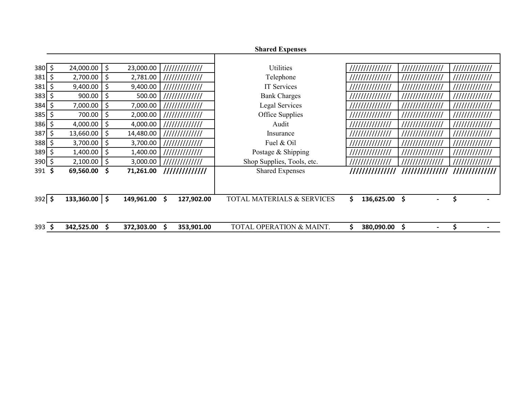|              |    |                    |         |            |                  | <b>Shared Expenses</b>     |    |                 |                                |                |
|--------------|----|--------------------|---------|------------|------------------|----------------------------|----|-----------------|--------------------------------|----------------|
|              |    |                    |         |            |                  |                            |    |                 |                                |                |
| 380 \$       |    | $24,000.00$ \$     |         | 23,000.00  | 1111111111111    | <b>Utilities</b>           |    | /////////////// | $\frac{1}{1}$                  | 11111111111111 |
| 381          | Ş  | $2,700.00$ \$      |         | 2,781.00   | 11111111111111   | Telephone                  |    | /////////////// | //////////////                 | 11111111111111 |
| 381          | Ş  | 9,400.00           | \$      | 9,400.00   | /////////////    | IT Services                |    | /////////////// | //////////////                 | 11111111111111 |
| 383          | \$ | $900.00$ \$        |         | 500.00     | /////////////    | <b>Bank Charges</b>        |    | /////////////// | //////////////                 | /////////////  |
| 384          | \$ | 7,000.00           | \$      | 7,000.00   | 11111111111111   | Legal Services             |    | /////////////// | //////////////                 | 11111111111111 |
| 385          | \$ | 700.00             | \$      | 2,000.00   | /////////////    | Office Supplies            |    | //////////////  | //////////////                 | /////////////  |
| 386          | \$ | 4,000.00 $\mid$ \$ |         | 4,000.00   | /////////////    | Audit                      |    | //////////////  | //////////////                 | /////////////  |
| 387          |    | 13,660.00          | \$      | 14,480.00  | /////////////    | Insurance                  |    | //////////////  | //////////////                 | /////////////  |
| 388          | Ŝ  | 3,700.00           | $\zeta$ | 3,700.00   | 11111111111111   | Fuel & Oil                 |    | /////////////// | //////////////                 | 11111111111111 |
| 389          |    | 1,400.00           | \$      | 1,400.00   | 11111111111111   | Postage & Shipping         |    | /////////////// | //////////////                 | 11111111111111 |
| $390$ \$     |    | $2,100.00$ \$      |         | 3,000.00   | 11111111111111   | Shop Supplies, Tools, etc. |    | //////////////  | //////////////                 | /////////////  |
| 391 \$       |    | 69,560.00          | Ŝ.      | 71,261.00  | 11111111111111   | <b>Shared Expenses</b>     |    | /////////////// | //////////////                 | /////////////  |
|              |    |                    |         |            |                  |                            |    |                 |                                |                |
|              |    |                    |         |            |                  |                            |    |                 |                                |                |
| $392 \mid 5$ |    | $133,360.00$   \$  |         | 149,961.00 | \$<br>127,902.00 | TOTAL MATERIALS & SERVICES | Ś. | 136,625.00      | \$<br>$\overline{\phantom{a}}$ | \$             |
|              |    |                    |         |            |                  |                            |    |                 |                                |                |
|              |    |                    |         |            |                  |                            |    |                 |                                |                |
| $393 \;$ \$  |    | 342,525.00         | \$      | 372,303.00 | \$<br>353,901.00 | TOTAL OPERATION & MAINT.   |    | 380,090.00      | \$                             | \$             |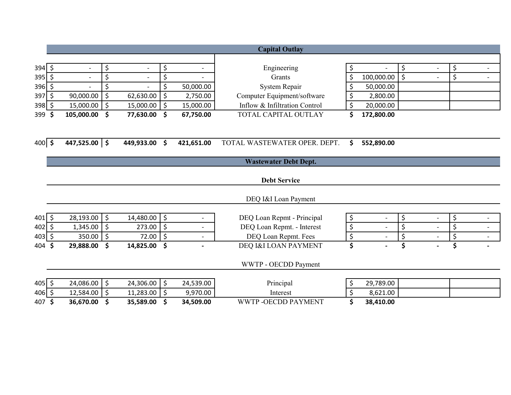|                   |                       |         |                          |         |                          | <b>Capital Outlay</b>         |         |                          |                                |                    |                |
|-------------------|-----------------------|---------|--------------------------|---------|--------------------------|-------------------------------|---------|--------------------------|--------------------------------|--------------------|----------------|
|                   |                       |         |                          |         |                          |                               |         |                          |                                |                    |                |
| $394$ \$          |                       | \$      | $\overline{\phantom{a}}$ | \$      | $\blacksquare$           | Engineering                   | \$      |                          | \$<br>$\blacksquare$           | \$                 | $\blacksquare$ |
| $395$ \$          | $\blacksquare$        | \$      | $\blacksquare$           | \$      |                          | Grants                        | \$      | 100,000.00               | \$<br>$\overline{\phantom{a}}$ | $\ddot{\varsigma}$ |                |
| $396$ \$          | $\blacksquare$        | \$      | $\blacksquare$           | \$      | 50,000.00                | System Repair                 | \$      | 50,000.00                |                                |                    |                |
| 397 \$            | 90,000.00             | \$      | 62,630.00                | \$      | 2,750.00                 | Computer Equipment/software   | \$      | 2,800.00                 |                                |                    |                |
| 398 \$            | 15,000.00             | $\zeta$ | 15,000.00                | \$      | 15,000.00                | Inflow & Infiltration Control | $\zeta$ | 20,000.00                |                                |                    |                |
| 399 \$            | 105,000.00            | \$      | 77,630.00                | \$      | 67,750.00                | TOTAL CAPITAL OUTLAY          | \$      | 172,800.00               |                                |                    |                |
|                   |                       |         |                          |         |                          |                               |         |                          |                                |                    |                |
|                   |                       |         |                          |         |                          |                               |         |                          |                                |                    |                |
| $400 \,$ \$       | 447,525.00 $\vert$ \$ |         | 449,933.00               | \$      | 421,651.00               | TOTAL WASTEWATER OPER. DEPT.  | \$      | 552,890.00               |                                |                    |                |
|                   |                       |         |                          |         |                          | <b>Wastewater Debt Dept.</b>  |         |                          |                                |                    |                |
|                   |                       |         |                          |         |                          |                               |         |                          |                                |                    |                |
|                   |                       |         |                          |         |                          | <b>Debt Service</b>           |         |                          |                                |                    |                |
|                   |                       |         |                          |         |                          | DEQ I&I Loan Payment          |         |                          |                                |                    |                |
|                   |                       |         |                          |         |                          |                               |         |                          |                                |                    |                |
| $401 \div$        | 28,193.00             | $\zeta$ | 14,480.00                | \$      | $\overline{\phantom{a}}$ | DEQ Loan Repmt - Principal    | \$      | $\overline{\phantom{a}}$ | \$                             | \$                 |                |
| $402 \mid 5$      | 1,345.00              | \$      | 273.00                   | \$      | $\blacksquare$           | DEQ Loan Repmt. - Interest    | \$      | $\blacksquare$           | \$<br>$\blacksquare$           | $\zeta$            | $\overline{a}$ |
| $403 \mid 5$      | 350.00                | \$      | 72.00                    | \$      |                          | DEQ Loan Repmt. Fees          | \$      | $\overline{a}$           | \$                             | \$                 |                |
| 404 \$            | 29,888.00             | \$      | 14,825.00                | \$      |                          | DEQ I&I LOAN PAYMENT          | \$      | $\blacksquare$           | \$<br>$\overline{\phantom{a}}$ | \$                 |                |
|                   |                       |         |                          |         |                          |                               |         |                          |                                |                    |                |
|                   |                       |         |                          |         |                          | WWTP - OECDD Payment          |         |                          |                                |                    |                |
| $405 \frac{1}{5}$ | 24,086.00             | \$      | 24,306.00                | $\zeta$ | 24,539.00                | Principal                     | \$      | 29,789.00                |                                |                    |                |
| $406$ \$          | 12,584.00             | \$      | 11,283.00                | \$      | 9,970.00                 | Interest                      | \$      | 8,621.00                 |                                |                    |                |
| 407 \$            | 36,670.00             | $\zeta$ | 35,589.00                | \$      | 34,509.00                | WWTP - OECDD PAYMENT          | \$      | 38,410.00                |                                |                    |                |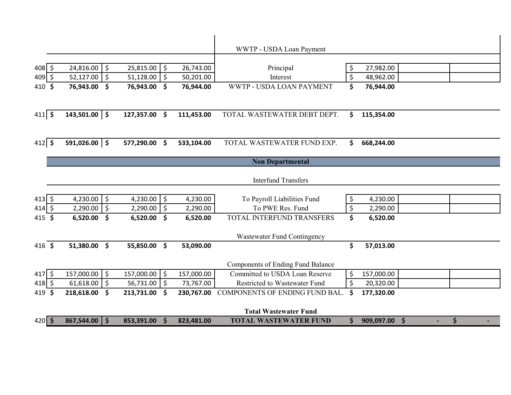|                         |                                 |         |                      |               |                      | WWTP - USDA Loan Payment                        |          |                      |                      |  |    |
|-------------------------|---------------------------------|---------|----------------------|---------------|----------------------|-------------------------------------------------|----------|----------------------|----------------------|--|----|
|                         |                                 |         |                      |               |                      |                                                 |          |                      |                      |  |    |
| $408 \,$ \$             | $24,816.00$ \$                  |         | 25,815.00            | $\zeta$       | 26,743.00            | Principal                                       | \$       | 27,982.00            |                      |  |    |
| $409$ \$                | 52,127.00                       | $\zeta$ | 51,128.00            | \$            | 50,201.00            | Interest                                        | \$       | 48,962.00            |                      |  |    |
| 410 \$                  | 76,943.00                       | - \$    | 76,943.00            | \$            | 76,944.00            | WWTP - USDA LOAN PAYMENT                        | \$       | 76,944.00            |                      |  |    |
|                         |                                 |         |                      |               |                      |                                                 |          |                      |                      |  |    |
| $411 \,$ \$             | $143,501.00$ \$                 |         | 127,357.00 \$        |               | 111,453.00           | TOTAL WASTEWATER DEBT DEPT.                     | \$       | 115,354.00           |                      |  |    |
|                         |                                 |         |                      |               |                      |                                                 |          |                      |                      |  |    |
| $412 \,$ \$             | 591,026.00 \$                   |         | 577,290.00 \$        |               | 533,104.00           | TOTAL WASTEWATER FUND EXP.                      | \$       | 668,244.00           |                      |  |    |
|                         |                                 |         |                      |               |                      | <b>Non Departmental</b>                         |          |                      |                      |  |    |
|                         |                                 |         |                      |               |                      | <b>Interfund Transfers</b>                      |          |                      |                      |  |    |
|                         |                                 |         |                      |               |                      |                                                 |          |                      |                      |  |    |
| $413 \,$ \$<br>$414$ \$ | 4,230.00 $\vert$ \$<br>2,290.00 | \$      | 4,230.00<br>2,290.00 | $\zeta$<br>\$ | 4,230.00<br>2,290.00 | To Payroll Liabilities Fund<br>To PWE Res. Fund | \$<br>\$ | 4,230.00<br>2,290.00 |                      |  |    |
| 415 \$                  | 6,520.00                        | - \$    | 6,520.00             | \$            | 6,520.00             | TOTAL INTERFUND TRANSFERS                       | \$       | 6,520.00             |                      |  |    |
|                         |                                 |         |                      |               |                      |                                                 |          |                      |                      |  |    |
|                         |                                 |         |                      |               |                      | Wastewater Fund Contingency                     |          |                      |                      |  |    |
| $416$ \$                | 51,380.00                       | - \$    | 55,850.00            | \$            | 53,090.00            |                                                 | \$       | 57,013.00            |                      |  |    |
|                         |                                 |         |                      |               |                      | Components of Ending Fund Balance               |          |                      |                      |  |    |
| $417 \,$ \$             | 157,000.00 \$                   |         | 157,000.00           | $\zeta$       | 157,000.00           | Committed to USDA Loan Reserve                  | \$       | 157,000.00           |                      |  |    |
| $418$ \$                | $\vert$ \$<br>61,618.00         |         | 56,731.00            | \$            | 73,767.00            | Restricted to Wastewater Fund                   | \$       | 20,320.00            |                      |  |    |
| 419 \$                  | 218,618.00                      | \$      | 213,731.00           | \$            | 230,767.00           | COMPONENTS OF ENDING FUND BAL.                  | \$       | 177,320.00           |                      |  |    |
|                         |                                 |         |                      |               |                      | <b>Total Wastewater Fund</b>                    |          |                      |                      |  |    |
| $420$ \$                | $\vert$ \$<br>867,544.00        |         | 853,391.00           | <b>S</b>      | 823,481.00           | <b>TOTAL WASTEWATER FUND</b>                    | Ŝ.       | 909,097.00           | $\boldsymbol{\zeta}$ |  | \$ |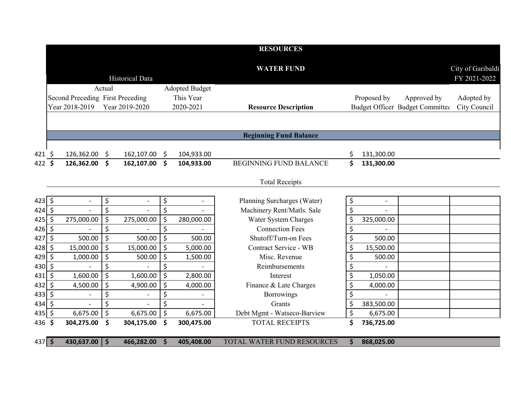|          |                                  |                     |                          |                      |                       | <b>RESOURCES</b>                  |         |                          |                                        |                                   |
|----------|----------------------------------|---------------------|--------------------------|----------------------|-----------------------|-----------------------------------|---------|--------------------------|----------------------------------------|-----------------------------------|
|          |                                  |                     | Historical Data          |                      |                       | <b>WATER FUND</b>                 |         |                          |                                        | City of Garibaldi<br>FY 2021-2022 |
|          |                                  | Actual              |                          |                      | <b>Adopted Budget</b> |                                   |         |                          |                                        |                                   |
|          | Second Preceding First Preceding |                     |                          |                      | This Year             |                                   |         | Proposed by              | Approved by                            | Adopted by                        |
|          | Year 2018-2019                   |                     | Year 2019-2020           |                      | 2020-2021             | <b>Resource Description</b>       |         |                          | <b>Budget Officer Budget Committee</b> | City Council                      |
|          |                                  |                     |                          |                      |                       |                                   |         |                          |                                        |                                   |
|          |                                  |                     |                          |                      |                       | <b>Beginning Fund Balance</b>     |         |                          |                                        |                                   |
| $421$ \$ | 126,362.00                       | \$                  | 162,107.00               | \$                   | 104,933.00            |                                   | \$      | 131,300.00               |                                        |                                   |
| 422 \$   | 126,362.00                       | $\ddot{\bm{\zeta}}$ | 162,107.00               | \$                   | 104,933.00            | <b>BEGINNING FUND BALANCE</b>     | \$      | 131,300.00               |                                        |                                   |
|          |                                  |                     |                          |                      |                       | <b>Total Receipts</b>             |         |                          |                                        |                                   |
| $423$ \$ |                                  | \$                  | $\overline{\phantom{a}}$ | \$                   |                       | Planning Surcharges (Water)       | \$      | $\overline{\phantom{a}}$ |                                        |                                   |
| $424$ \$ |                                  | \$                  |                          | \$                   |                       | Machinery Rent/Matls. Sale        | \$      |                          |                                        |                                   |
| 425      | \$<br>275,000.00                 | $\zeta$             | 275,000.00               | \$                   | 280,000.00            | Water System Charges              | \$      | 325,000.00               |                                        |                                   |
| 426      | \$                               | \$                  |                          | \$                   |                       | <b>Connection Fees</b>            | \$      |                          |                                        |                                   |
| 427      | \$<br>500.00                     | $\zeta$             | 500.00                   | $\boldsymbol{\zeta}$ | 500.00                | Shutoff/Turn-on Fees              | \$      | 500.00                   |                                        |                                   |
| 428      | \$<br>15,000.00                  | $\zeta$             | 15,000.00                | \$                   | 5,000.00              | Contract Service - WB             | \$      | 15,500.00                |                                        |                                   |
| 429      | \$<br>1,000.00                   | \$                  | 500.00                   | \$                   | 1,500.00              | Misc. Revenue                     | \$      | 500.00                   |                                        |                                   |
| 430 \$   |                                  | \$                  |                          | \$                   |                       | Reimbursements                    | \$      |                          |                                        |                                   |
| 431      | \$<br>1,600.00                   | $\zeta$             | 1,600.00                 | \$                   | 2,800.00              | Interest                          | \$      | 1,050.00                 |                                        |                                   |
| 432 \$   | 4,500.00                         | $\zeta$             | 4,900.00                 | \$                   | 4,000.00              | Finance & Late Charges            | \$      | 4,000.00                 |                                        |                                   |
| 433      | \$                               | \$                  | $\overline{\phantom{0}}$ | \$                   | $\qquad \qquad -$     | <b>Borrowings</b>                 | $\zeta$ |                          |                                        |                                   |
| 434      | \$                               | \$                  |                          | \$                   |                       | Grants                            | \$      | 383,500.00               |                                        |                                   |
| 435      | \$<br>6,675.00                   | $\zeta$             | 6,675.00                 | \$                   | 6,675.00              | Debt Mgmt - Watseco-Barview       | \$      | 6,675.00                 |                                        |                                   |
| 436 \$   | 304,275.00                       | $\ddot{\bm{S}}$     | 304,175.00               | \$                   | 300,475.00            | <b>TOTAL RECEIPTS</b>             | \$      | 736,725.00               |                                        |                                   |
| $437$ \$ | 430,637.00 \$                    |                     | 466,282.00               | \$                   | 405,408.00            | <b>TOTAL WATER FUND RESOURCES</b> | Ś.      | 868,025.00               |                                        |                                   |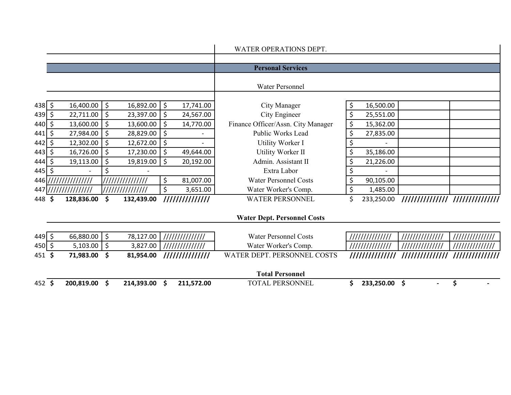|                                |                       |                  |            |    |                 | WATER OPERATIONS DEPT.             |   |            |  |
|--------------------------------|-----------------------|------------------|------------|----|-----------------|------------------------------------|---|------------|--|
|                                |                       |                  |            |    |                 |                                    |   |            |  |
|                                |                       |                  |            |    |                 | <b>Personal Services</b>           |   |            |  |
|                                |                       |                  |            |    |                 | Water Personnel                    |   |            |  |
|                                |                       |                  |            |    |                 |                                    |   |            |  |
| $438 \, \simeq$                | $16,400.00$ \$        |                  | 16,892.00  | \$ | 17,741.00       | City Manager                       |   | 16,500.00  |  |
| $439$ \$                       | $22,711.00$ \$        |                  | 23,397.00  | Ś. | 24,567.00       | City Engineer                      |   | 25,551.00  |  |
| $440 \mid 5$                   | 13,600.00             | 1 \$             | 13,600.00  |    | 14,770.00       | Finance Officer/Assn. City Manager |   | 15,362.00  |  |
| $441\overline{\phantom{1}}$ \$ | 27,984.00 \$          |                  | 28,829.00  |    |                 | Public Works Lead                  |   | 27,835.00  |  |
| 442                            | $12,302.00$ \$        |                  | 12,672.00  |    |                 | Utility Worker I                   |   |            |  |
| $443 \,$ \$                    | 16,726.00             | l \$             | 17,230.00  |    | 49,644.00       | Utility Worker II                  |   | 35,186.00  |  |
| $444$ \$                       | 19,113.00             | l \$             | 19,819.00  | Ŝ. | 20,192.00       | Admin. Assistant II                |   | 21,226.00  |  |
| $445$ \$                       |                       |                  |            |    |                 | Extra Labor                        |   |            |  |
|                                | 446 ///////////////// | //////////////// |            |    | 81,007.00       | <b>Water Personnel Costs</b>       |   | 90,105.00  |  |
|                                |                       | //////////////// |            |    | 3,651.00        | Water Worker's Comp.               | S | 1,485.00   |  |
| 448 \$                         | 128,836.00            | -S               | 132,439.00 |    | 111111111111111 | <b>WATER PERSONNEL</b>             |   | 233,250.00 |  |

### **Water Dept. Personnel Costs**

| 449     | $66,880.00$   \$ | 78,127.00  | 111111111111111 | Water Personnel Costs       |                      |                 |                | /////////////// |                          |
|---------|------------------|------------|-----------------|-----------------------------|----------------------|-----------------|----------------|-----------------|--------------------------|
| $450$ : | $5,103.00$   \$  | 3,827.00   | /////////////// | Water Worker's Comp.        | //////////////       | //////////////  |                | /////////////// |                          |
| 451 \$  | 71.983.00        | 81.954.00  | /////////////// | WATER DEPT. PERSONNEL COSTS | [ 1 1 1 1 1 1 1 1 1] | /////////////// |                | /////////////// |                          |
|         |                  |            |                 |                             |                      |                 |                |                 |                          |
|         |                  |            |                 | <b>Total Personnel</b>      |                      |                 |                |                 |                          |
| 452     | 200,819.00       | 214,393.00 | 211.572.00      | <b>TOTAL PERSONNEL</b>      | 233,250.00           |                 | $\blacksquare$ |                 | $\overline{\phantom{0}}$ |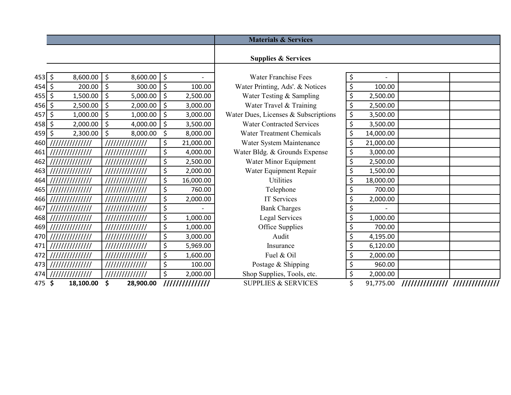|          |                     |                     |                 | <b>Materials &amp; Services</b>      |                 |  |
|----------|---------------------|---------------------|-----------------|--------------------------------------|-----------------|--|
|          |                     |                     |                 | <b>Supplies &amp; Services</b>       |                 |  |
|          |                     |                     |                 |                                      |                 |  |
| $453$ \$ | 8,600.00            | \$<br>8,600.00      | \$              | <b>Water Franchise Fees</b>          | \$              |  |
| $454$ \$ | 200.00              | \$<br>300.00        | \$<br>100.00    | Water Printing, Ads'. & Notices      | \$<br>100.00    |  |
| 455      | 1,500.00<br>\$      | $\zeta$<br>5,000.00 | \$<br>2,500.00  | Water Testing & Sampling             | \$<br>2,500.00  |  |
| $456$ \$ | 2,500.00            | \$<br>2,000.00      | \$<br>3,000.00  | Water Travel & Training              | \$<br>2,500.00  |  |
| 457 \$   | 1,000.00            | \$<br>1,000.00      | \$<br>3,000.00  | Water Dues, Licenses & Subscriptions | \$<br>3,500.00  |  |
| 458 \$   | 2,000.00            | $\zeta$<br>4,000.00 | \$<br>3,500.00  | <b>Water Contracted Services</b>     | \$<br>3,500.00  |  |
| 459      | 2,300.00<br>$\zeta$ | $\zeta$<br>8,000.00 | \$<br>8,000.00  | <b>Water Treatment Chemicals</b>     | \$<br>14,000.00 |  |
| 4601     | ///////////////     | //////////          | \$<br>21,000.00 | Water System Maintenance             | \$<br>21,000.00 |  |
| 461      | //////////////      | //////////////      | \$<br>4,000.00  | Water Bldg. & Grounds Expense        | \$<br>3,000.00  |  |
| 462      | //////////////      | //////////////      | \$<br>2,500.00  | Water Minor Equipment                | \$<br>2,500.00  |  |
| 463      | 111111111111111     | ///////////////     | \$<br>2,000.00  | Water Equipment Repair               | \$<br>1,500.00  |  |
| 464      | //////////////      | 111111111111111     | \$<br>16,000.00 | Utilities                            | \$<br>18,000.00 |  |
| 465      | //////////////      | 111111111111111     | \$<br>760.00    | Telephone                            | \$<br>700.00    |  |
| 4661     | //////////////      | //////////////      | \$<br>2,000.00  | IT Services                          | \$<br>2,000.00  |  |
| 467      | //////////////      |                     | \$              | <b>Bank Charges</b>                  | \$              |  |
| 468      | 111111111111111     | //////////////      | \$<br>1,000.00  | Legal Services                       | \$<br>1,000.00  |  |
| 469      | //////////////      | //////////////      | \$<br>1,000.00  | Office Supplies                      | \$<br>700.00    |  |
| 470      | 111111111111111     | //////////////      | \$<br>3,000.00  | Audit                                | \$<br>4,195.00  |  |
| 471      | ///////////////     | //////////////      | \$<br>5,969.00  | Insurance                            | \$<br>6,120.00  |  |
| 472      | ///////////////     | //////////////      | \$<br>1,600.00  | Fuel & Oil                           | \$<br>2,000.00  |  |
| 473      | ///////////////     | //////////////      | \$<br>100.00    | Postage & Shipping                   | \$<br>960.00    |  |
| 4741     | 111111111111111     | //////////////      | \$<br>2,000.00  | Shop Supplies, Tools, etc.           | \$<br>2,000.00  |  |
| 475\$    | 18,100.00           | \$<br>28,900.00     | //////////////  | <b>SUPPLIES &amp; SERVICES</b>       | \$<br>91,775.00 |  |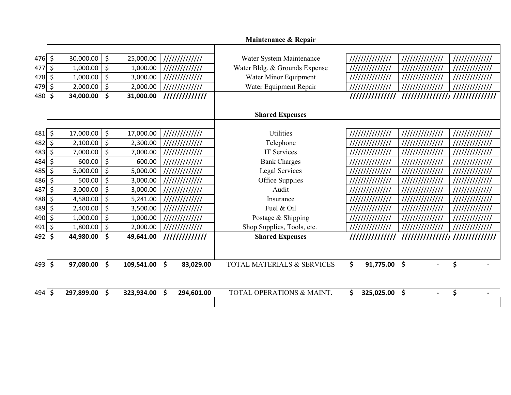|                |                                              |                         |                                                                                                                                                             |                                     | Maintenance & Repair                                                           |                                                                                |
|----------------|----------------------------------------------|-------------------------|-------------------------------------------------------------------------------------------------------------------------------------------------------------|-------------------------------------|--------------------------------------------------------------------------------|--------------------------------------------------------------------------------|
|                |                                              |                         |                                                                                                                                                             |                                     |                                                                                |                                                                                |
| $476$ \$       |                                              |                         | 25,000.00                                                                                                                                                   | 1111111111111                       | Water System Maintenance                                                       | //////////////<br>//////////////<br>//////////////                             |
| \$             |                                              | $\zeta$                 | 1,000.00                                                                                                                                                    | /////////////                       | Water Bldg. & Grounds Expense                                                  | //////////////<br>/////////////<br>//////////////                              |
| $\zeta$<br>478 |                                              | \$                      | 3,000.00                                                                                                                                                    | 1111111111111                       | Water Minor Equipment                                                          | //////////////<br>//////////////<br>11111111111111                             |
| 479 \$         | 2,000.00                                     | $\zeta$                 | 2,000.00                                                                                                                                                    | 11111111111111                      | Water Equipment Repair                                                         | //////////////<br>11111111111111<br>//////////////                             |
| 480 \$         | 34,000.00                                    | \$                      | 31,000.00                                                                                                                                                   | 11111111111111                      |                                                                                | //////////////<br>////////////////<br>//////////////                           |
|                |                                              |                         |                                                                                                                                                             |                                     |                                                                                |                                                                                |
|                |                                              |                         |                                                                                                                                                             |                                     |                                                                                |                                                                                |
|                |                                              |                         |                                                                                                                                                             |                                     |                                                                                |                                                                                |
|                |                                              |                         |                                                                                                                                                             |                                     |                                                                                | ///////////////<br>//////////////<br>11111111111111                            |
| 482<br>\$      |                                              |                         |                                                                                                                                                             |                                     |                                                                                | //////////////<br>//////////////<br>11111111111111                             |
| 483<br>\$      |                                              | $\zeta$                 | 7,000.00                                                                                                                                                    | /////////////                       | IT Services                                                                    | //////////////<br>//////////////<br>/////////////                              |
| \$<br>484      |                                              | \$                      | 600.00                                                                                                                                                      | 11111111111111                      | <b>Bank Charges</b>                                                            | ////////////////<br>//////////////<br>/////////////                            |
| 485<br>\$      |                                              | \$                      | 5,000.00                                                                                                                                                    | 1111111111111                       | Legal Services                                                                 | //////////////<br>//////////////<br>/////////////                              |
| $\zeta$<br>486 | 500.00                                       | \$                      | 3,000.00                                                                                                                                                    | 11111111111111                      | Office Supplies                                                                | //////////////<br>//////////////<br>11111111111111                             |
| \$             |                                              | $\zeta$                 | 3,000.00                                                                                                                                                    | 1111111111111                       | Audit                                                                          | //////////////<br>//////////////<br>/////////////                              |
| 488<br>\$      |                                              |                         | 5,241.00                                                                                                                                                    | /////////////                       | Insurance                                                                      | ///////////////<br>//////////////<br>/////////////                             |
| 489            |                                              |                         | 3,500.00                                                                                                                                                    | /////////////                       | Fuel & Oil                                                                     | //////////////<br>//////////////<br>/////////////                              |
| $\zeta$<br>490 | 1,000.00                                     | \$                      | 1,000.00                                                                                                                                                    | 11111111111111                      | Postage & Shipping                                                             | //////////////<br>//////////////<br>//////////////                             |
| \$             | 1,800.00                                     | \$                      | 2,000.00                                                                                                                                                    | 11111111111111                      | Shop Supplies, Tools, etc.                                                     | //////////////<br>//////////////<br>/////////////                              |
| 492 \$         | 44,980.00                                    | \$                      | 49,641.00                                                                                                                                                   | 11111111111111                      | <b>Shared Expenses</b>                                                         | //////////////<br>/////////////////////////////////                            |
|                |                                              |                         |                                                                                                                                                             |                                     |                                                                                |                                                                                |
|                |                                              |                         |                                                                                                                                                             |                                     |                                                                                |                                                                                |
|                |                                              |                         |                                                                                                                                                             |                                     |                                                                                | \$<br>91,775.00 \$<br>\$                                                       |
|                |                                              |                         |                                                                                                                                                             |                                     |                                                                                |                                                                                |
| 494 \$         |                                              | \$                      |                                                                                                                                                             | S                                   | TOTAL OPERATIONS & MAINT.                                                      | \$<br>\$<br>\$<br>325,025.00                                                   |
|                |                                              |                         |                                                                                                                                                             |                                     |                                                                                |                                                                                |
|                | $481\frac{1}{5}$<br>$\ddot{\zeta}$<br>493 \$ | 97,080.00<br>297,899.00 | $30,000.00$ \$<br>1,000.00<br>1,000.00<br>17,000.00 \$<br>$2,100.00$ \$<br>7,000.00<br>600.00<br>5,000.00<br>3,000.00<br>4,580.00 \$<br>$2,400.00$ \$<br>\$ | 17,000.00<br>2,300.00<br>323,934.00 | 1111111111111<br>11111111111111<br>109,541.00<br>\$<br>83,029.00<br>294,601.00 | <b>Shared Expenses</b><br>Utilities<br>Telephone<br>TOTAL MATERIALS & SERVICES |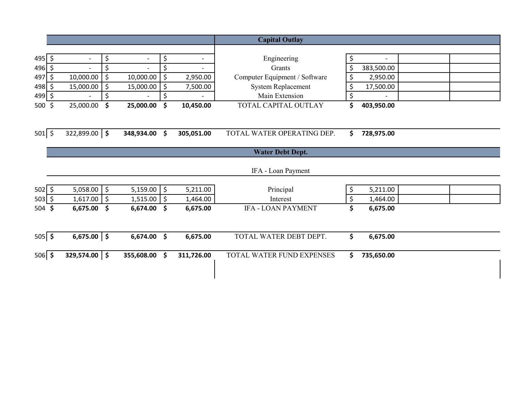|              |             |         |                                                                   |                                                                                                                                     | <b>Capital Outlay</b>         |                                         |            |            |
|--------------|-------------|---------|-------------------------------------------------------------------|-------------------------------------------------------------------------------------------------------------------------------------|-------------------------------|-----------------------------------------|------------|------------|
|              |             |         |                                                                   |                                                                                                                                     |                               |                                         |            |            |
| $495$ \$     |             | \$      | $\overline{\phantom{a}}$                                          | \$<br>$\overline{\phantom{a}}$                                                                                                      | Engineering                   | \$                                      |            |            |
| $496$ \$     |             | \$      |                                                                   | \$                                                                                                                                  | Grants                        | \$                                      | 383,500.00 |            |
| 497 \$       | 10,000.00   | $\zeta$ | 10,000.00                                                         | \$<br>2,950.00                                                                                                                      | Computer Equipment / Software | \$                                      | 2,950.00   |            |
| $498$ \$     | 15,000.00   | $\zeta$ | 15,000.00                                                         | \$<br>7,500.00                                                                                                                      | <b>System Replacement</b>     | \$                                      | 17,500.00  |            |
| 499 \$       |             | \$      |                                                                   | \$                                                                                                                                  | Main Extension                | \$                                      |            |            |
| 500 \$       | 25,000.00   | \$      |                                                                   | 10,450.00                                                                                                                           | TOTAL CAPITAL OUTLAY          | \$                                      | 403,950.00 |            |
|              |             |         |                                                                   |                                                                                                                                     |                               |                                         |            |            |
|              |             |         |                                                                   |                                                                                                                                     |                               |                                         |            |            |
|              |             |         |                                                                   |                                                                                                                                     | <b>Water Debt Dept.</b>       |                                         |            |            |
|              |             |         |                                                                   |                                                                                                                                     | IFA - Loan Payment            |                                         |            |            |
| $502 \mid 5$ | 5,058.00    |         |                                                                   | 5,211.00                                                                                                                            |                               | \$                                      | 5,211.00   |            |
| $503 \mid 5$ | 1,617.00    | $\zeta$ |                                                                   | \$<br>1,464.00                                                                                                                      | Interest                      |                                         | 1,464.00   |            |
| 504 \$       | 6,675.00    | \$      |                                                                   | 6,675.00                                                                                                                            | <b>IFA - LOAN PAYMENT</b>     | \$                                      | 6,675.00   |            |
|              |             |         |                                                                   |                                                                                                                                     |                               |                                         |            |            |
| $505$ \$     |             |         |                                                                   | 6,675.00                                                                                                                            | TOTAL WATER DEBT DEPT.        | \$                                      | 6,675.00   |            |
| 506 \$       |             |         |                                                                   | 311,726.00                                                                                                                          | TOTAL WATER FUND EXPENSES     | \$                                      | 735,650.00 |            |
|              | $501 \,$ \$ |         | $322,899.00$ \$<br>$\vert$ \$<br>$6,675.00$ \$<br>$329,574.00$ \$ | 25,000.00<br>$\ddot{\mathsf{s}}$<br>348,934.00 \$<br>$5,159.00$   \$<br>1,515.00<br>$6,674.00$ \$<br>$6,674.00$ \$<br>355,608.00 \$ | 305,051.00                    | TOTAL WATER OPERATING DEP.<br>Principal | \$<br>\$   | 728,975.00 |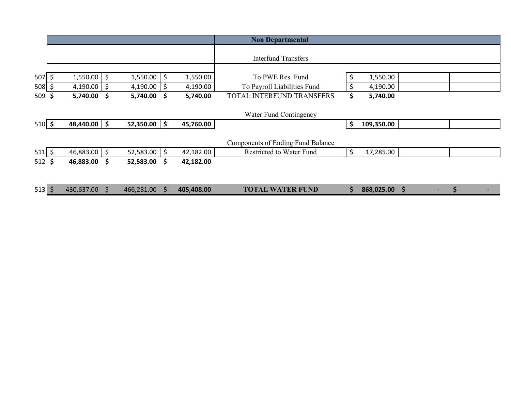|                 |                |      |                |    |            | <b>Non Departmental</b>                  |                  |    |    |  |
|-----------------|----------------|------|----------------|----|------------|------------------------------------------|------------------|----|----|--|
|                 |                |      |                |    |            | <b>Interfund Transfers</b>               |                  |    |    |  |
|                 |                |      |                |    |            |                                          |                  |    |    |  |
| $507$ \$        | $1,550.00$ \$  |      | $1,550.00$ \$  |    | 1,550.00   | To PWE Res. Fund                         | 1,550.00         |    |    |  |
| $508 \div$      | 4,190.00       | l \$ | 4,190.00       | \$ | 4,190.00   | To Payroll Liabilities Fund              | \$<br>4,190.00   |    |    |  |
| $509$ \$        | 5,740.00       | -\$  | 5,740.00 \$    |    | 5,740.00   | <b>TOTAL INTERFUND TRANSFERS</b>         | \$<br>5,740.00   |    |    |  |
|                 |                |      |                |    |            |                                          |                  |    |    |  |
|                 |                |      |                |    |            | Water Fund Contingency                   |                  |    |    |  |
| $510 \, \simeq$ | $48,440.00$ \$ |      | $52,350.00$ \$ |    | 45,760.00  |                                          | \$<br>109,350.00 |    |    |  |
|                 |                |      |                |    |            |                                          |                  |    |    |  |
|                 |                |      |                |    |            | <b>Components of Ending Fund Balance</b> |                  |    |    |  |
| $511$ \$        | $46,883.00$ \$ |      | $52,583.00$ \$ |    | 42,182.00  | Restricted to Water Fund                 | \$<br>17,285.00  |    |    |  |
| $512$ \$        | 46,883.00      | -\$  | 52,583.00 \$   |    | 42,182.00  |                                          |                  |    |    |  |
|                 |                |      |                |    |            |                                          |                  |    |    |  |
| $513$ \$        | 430,637.00     | -S   | 466,281.00     | S  | 405,408.00 | <b>TOTAL WATER FUND</b>                  | 868,025.00       | \$ | \$ |  |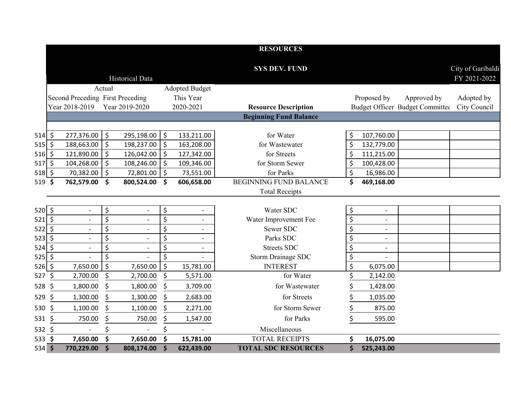|                   |                     |                                  |         |                          |         |                          | <b>RESOURCES</b>              |         |                          |                                        |                                   |
|-------------------|---------------------|----------------------------------|---------|--------------------------|---------|--------------------------|-------------------------------|---------|--------------------------|----------------------------------------|-----------------------------------|
|                   |                     |                                  |         | <b>Historical Data</b>   |         |                          | <b>SYS DEV. FUND</b>          |         |                          |                                        | City of Garibaldi<br>FY 2021-2022 |
|                   |                     |                                  | Actual  |                          |         | <b>Adopted Budget</b>    |                               |         |                          |                                        |                                   |
|                   |                     | Second Preceding First Preceding |         |                          |         | This Year                |                               |         | Proposed by              | Approved by                            | Adopted by                        |
|                   |                     | Year 2018-2019                   |         | Year 2019-2020           |         | 2020-2021                | <b>Resource Description</b>   |         |                          | <b>Budget Officer Budget Committee</b> | City Council                      |
|                   |                     |                                  |         |                          |         |                          | <b>Beginning Fund Balance</b> |         |                          |                                        |                                   |
|                   |                     |                                  |         |                          |         |                          |                               |         |                          |                                        |                                   |
| $514$ \$          |                     | 277,376.00 \$                    |         | 295,198.00               | $\zeta$ | 133,211.00               | for Water                     | \$      | 107,760.00               |                                        |                                   |
| $515$ \$          |                     | 188,663.00                       | $\zeta$ | 198,237.00               | \$      | 163,208.00               | for Wastewater                | $\zeta$ | 132,779.00               |                                        |                                   |
| $516$ \$          |                     | 121,890.00                       | $\zeta$ | 126,042.00               | \$      | 127,342.00               | for Streets                   | $\zeta$ | 111,215.00               |                                        |                                   |
| 517               | $\ddot{\mathsf{S}}$ | 104,268.00                       | $\zeta$ | 108,246.00               | \$      | 109,346.00               | for Storm Sewer               | \$      | 100,428.00               |                                        |                                   |
| $518$ \$          |                     | 70,382.00                        | $\zeta$ | 72,801.00                | \$      | 73,551.00                | for Parks                     | \$      | 16,986.00                |                                        |                                   |
| $519$ \$          |                     | 762,579.00                       | \$      | 800,524.00               | \$.     | 606,658.00               | <b>BEGINNING FUND BALANCE</b> | \$      | 469,168.00               |                                        |                                   |
|                   |                     |                                  |         |                          |         |                          | <b>Total Receipts</b>         |         |                          |                                        |                                   |
|                   |                     |                                  |         |                          |         |                          |                               |         |                          |                                        |                                   |
| $520$ \$          |                     | $\blacksquare$                   | \$      | $\overline{\phantom{a}}$ | \$      | $\overline{\phantom{a}}$ | Water SDC                     | \$      | $\overline{a}$           |                                        |                                   |
| $521$ \$          |                     |                                  | \$      | $\overline{\phantom{a}}$ | \$      |                          | Water Improvement Fee         | \$      | $\overline{\phantom{a}}$ |                                        |                                   |
| $522\overline{5}$ |                     |                                  | \$      |                          | \$      |                          | Sewer SDC                     | \$      | $\blacksquare$           |                                        |                                   |
| $523$ \$          |                     | $\overline{\phantom{a}}$         | \$      | $\overline{\phantom{a}}$ | \$      | $\overline{\phantom{a}}$ | Parks SDC                     | \$      | $\overline{\phantom{a}}$ |                                        |                                   |
| $524$ \$          |                     | $\overline{\phantom{a}}$         | \$      | $\sim$                   | \$      | $\overline{a}$           | <b>Streets SDC</b>            | \$      | $\blacksquare$           |                                        |                                   |
| $525$ \$          |                     |                                  | \$      |                          | Ś       |                          | Storm Drainage SDC            | \$      |                          |                                        |                                   |
| $526$ \$          |                     | 7,650.00                         | \$      | 7,650.00                 | \$      | 15,781.00                | <b>INTEREST</b>               | \$      | 6,075.00                 |                                        |                                   |
| 527               | $\zeta$             | 2,700.00                         | \$      | 2,700.00                 | \$      | 5,571.00                 | for Water                     |         | 2,142.00                 |                                        |                                   |
| 528               | \$                  | 1,800.00                         | \$      | 1,800.00                 | \$      | 3,709.00                 | for Wastewater                |         | 1,428.00                 |                                        |                                   |
| 529               | \$                  | 1,300.00                         | \$      | 1,300.00                 | \$      | 2,683.00                 | for Streets                   |         | 1,035.00                 |                                        |                                   |
| 530               | \$                  | 1,100.00                         | \$      | 1,100.00                 | \$      | 2,271.00                 | for Storm Sewer               |         | 875.00                   |                                        |                                   |
| 531               | \$                  | 750.00                           | \$      | 750.00                   | \$      | 1,547.00                 | for Parks                     |         | 595.00                   |                                        |                                   |
| 532 \$            |                     |                                  |         |                          |         |                          | Miscellaneous                 |         |                          |                                        |                                   |
| 533 \$            |                     | 7,650.00                         | \$      | 7,650.00                 | \$      | 15,781.00                | <b>TOTAL RECEIPTS</b>         | \$      | 16,075.00                |                                        |                                   |
| 534               | $\ddot{\bm{\zeta}}$ | 770,229.00                       | $\zeta$ | 808,174.00               | \$      | 622,439.00               | <b>TOTAL SDC RESOURCES</b>    | \$      | 525,243.00               |                                        |                                   |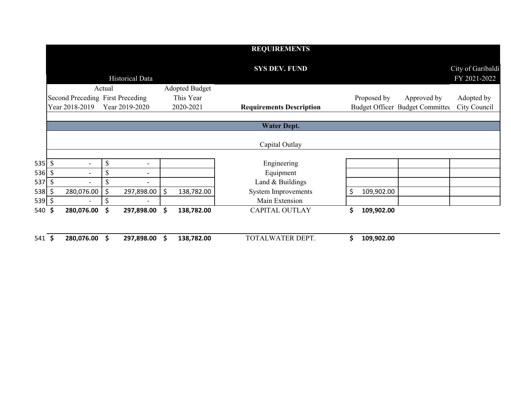|         |                                  |        |                          |    |                       | <b>REQUIREMENTS</b>             |                  |                                 |                                   |
|---------|----------------------------------|--------|--------------------------|----|-----------------------|---------------------------------|------------------|---------------------------------|-----------------------------------|
|         |                                  |        | Historical Data          |    |                       | <b>SYS DEV. FUND</b>            |                  |                                 | City of Garibaldi<br>FY 2021-2022 |
|         |                                  | Actual |                          |    | <b>Adopted Budget</b> |                                 |                  |                                 |                                   |
|         | Second Preceding First Preceding |        |                          |    | This Year             |                                 | Proposed by      | Approved by                     | Adopted by                        |
|         | Year 2018-2019                   |        | Year 2019-2020           |    | 2020-2021             | <b>Requirements Description</b> |                  | Budget Officer Budget Committee | City Council                      |
|         |                                  |        |                          |    |                       |                                 |                  |                                 |                                   |
|         |                                  |        |                          |    |                       | <b>Water Dept.</b>              |                  |                                 |                                   |
|         |                                  |        |                          |    |                       | Capital Outlay                  |                  |                                 |                                   |
| 535S    |                                  | \$     | $\overline{\phantom{0}}$ |    |                       | Engineering                     |                  |                                 |                                   |
| 536 \$  |                                  | \$     | $\overline{\phantom{a}}$ |    |                       | Equipment                       |                  |                                 |                                   |
| 537 \$  | $\overline{\phantom{a}}$         | \$     | $\overline{\phantom{a}}$ |    |                       | Land & Buildings                |                  |                                 |                                   |
| 538 \$  | 280,076.00                       | \$     | 297,898.00               | Ŝ. | 138,782.00            | <b>System Improvements</b>      | 109,902.00       |                                 |                                   |
| \$  539 |                                  | \$     |                          |    |                       | Main Extension                  |                  |                                 |                                   |
| 540 \$  | 280,076.00                       | \$     | 297,898.00 \$            |    | 138,782.00            | <b>CAPITAL OUTLAY</b>           | \$<br>109,902.00 |                                 |                                   |
|         |                                  |        |                          |    |                       |                                 |                  |                                 |                                   |
| 541\$   | 280,076.00                       | \$     | 297,898.00               | \$ | 138,782.00            | TOTALWATER DEPT.                | \$<br>109,902.00 |                                 |                                   |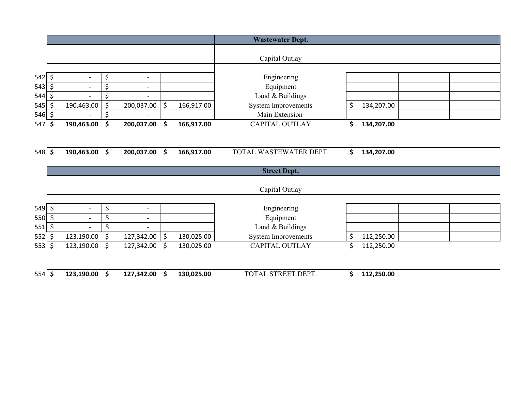|              |                          |     |                          |                  | <b>Wastewater Dept.</b>    |                  |  |
|--------------|--------------------------|-----|--------------------------|------------------|----------------------------|------------------|--|
|              |                          |     |                          |                  |                            |                  |  |
|              |                          |     |                          |                  | Capital Outlay             |                  |  |
|              |                          |     |                          |                  |                            |                  |  |
| $542 \mid 5$ | $\overline{\phantom{a}}$ | \$  | $\overline{\phantom{a}}$ |                  | Engineering                |                  |  |
| $543$ \$     | $\overline{\phantom{a}}$ | \$  | $\overline{\phantom{a}}$ |                  | Equipment                  |                  |  |
| $544$ \$     |                          | \$  |                          |                  | Land & Buildings           |                  |  |
| 545          | \$<br>190,463.00         | \$  | 200,037.00               | \$<br>166,917.00 | <b>System Improvements</b> | \$<br>134,207.00 |  |
| $546$ \$     |                          | \$  |                          |                  | Main Extension             |                  |  |
| 547 \$       | 190,463.00               | \$  | 200,037.00               | \$<br>166,917.00 | CAPITAL OUTLAY             | \$<br>134,207.00 |  |
|              |                          |     |                          |                  |                            |                  |  |
|              |                          |     |                          |                  |                            |                  |  |
| 548 \$       | 190,463.00               | \$  | 200,037.00               | \$<br>166,917.00 | TOTAL WASTEWATER DEPT.     | \$<br>134,207.00 |  |
|              |                          |     |                          |                  | <b>Street Dept.</b>        |                  |  |
|              |                          |     |                          |                  |                            |                  |  |
|              |                          |     |                          |                  | Capital Outlay             |                  |  |
|              |                          |     |                          |                  |                            |                  |  |
| 549 \$       | $\blacksquare$           | \$  | $\overline{\phantom{a}}$ |                  | Engineering                |                  |  |
| 550 \$       | $\sim$                   | \$  | $\overline{\phantom{a}}$ |                  | Equipment                  |                  |  |
| 551S         |                          | \$  | $\overline{\phantom{0}}$ |                  | Land & Buildings           |                  |  |
| 552 \$       | 123,190.00               | \$  | 127,342.00               | \$<br>130,025.00 | <b>System Improvements</b> | \$<br>112,250.00 |  |
| 553 \$       | 123,190.00               | \$  | 127,342.00               | \$<br>130,025.00 | CAPITAL OUTLAY             | \$<br>112,250.00 |  |
|              |                          |     |                          |                  |                            |                  |  |
|              |                          |     |                          |                  |                            |                  |  |
| 554 \$       | 123,190.00               | -\$ | 127,342.00               | \$<br>130,025.00 | TOTAL STREET DEPT.         | \$<br>112,250.00 |  |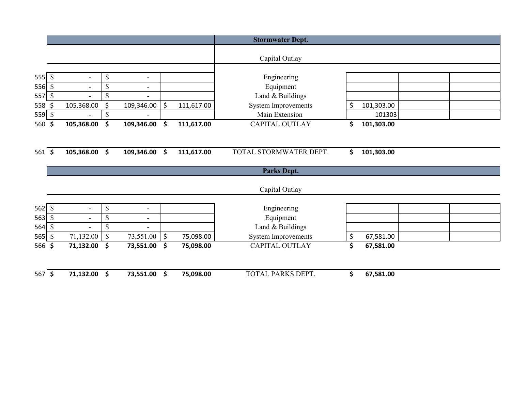|          |               |                          |                           |                          |                  | <b>Stormwater Dept.</b>    |                  |  |  |
|----------|---------------|--------------------------|---------------------------|--------------------------|------------------|----------------------------|------------------|--|--|
|          |               |                          |                           |                          |                  | Capital Outlay             |                  |  |  |
|          |               |                          |                           |                          |                  |                            |                  |  |  |
| $555$ \$ |               | $\overline{\phantom{0}}$ | \$                        | $\blacksquare$           |                  | Engineering                |                  |  |  |
| 556 \$   |               |                          | \$                        | $\overline{\phantom{a}}$ |                  | Equipment                  |                  |  |  |
| 557 \$   |               |                          | \$                        | ۰                        |                  | Land & Buildings           |                  |  |  |
| 558 \$   |               | 105,368.00               | \$                        | 109,346.00               | \$<br>111,617.00 | <b>System Improvements</b> | \$<br>101,303.00 |  |  |
| $559$ \$ |               |                          | \$                        |                          |                  | Main Extension             | 101303           |  |  |
| 560 \$   |               | 105,368.00               | \$                        | 109,346.00               | \$<br>111,617.00 | <b>CAPITAL OUTLAY</b>      | \$<br>101,303.00 |  |  |
| $561$ \$ |               | 105,368.00 \$            |                           | 109,346.00               | \$<br>111,617.00 | TOTAL STORMWATER DEPT.     | \$<br>101,303.00 |  |  |
|          |               |                          |                           |                          |                  | Parks Dept.                |                  |  |  |
|          |               |                          |                           |                          |                  | Capital Outlay             |                  |  |  |
| $562$ \$ |               | $\overline{\phantom{a}}$ | \$                        | $\overline{\phantom{a}}$ |                  | Engineering                |                  |  |  |
| $563$ \$ |               | $\overline{\phantom{0}}$ | $\boldsymbol{\mathsf{S}}$ | $\overline{\phantom{a}}$ |                  | Equipment                  |                  |  |  |
| 564      | $\mathcal{S}$ |                          | \$                        |                          |                  | Land & Buildings           |                  |  |  |
| 565      | $\mathcal{S}$ | 71,132.00                | $\boldsymbol{\mathsf{S}}$ | 73,551.00                | \$<br>75,098.00  | <b>System Improvements</b> | \$<br>67,581.00  |  |  |
| 566 \$   |               | 71,132.00                | $\boldsymbol{\zeta}$      | 73,551.00                | \$<br>75,098.00  | CAPITAL OUTLAY             | \$<br>67,581.00  |  |  |
|          |               |                          |                           |                          |                  |                            |                  |  |  |
| $567$ \$ |               | 71,132.00                | \$                        | 73,551.00                | \$<br>75,098.00  | TOTAL PARKS DEPT.          | \$<br>67,581.00  |  |  |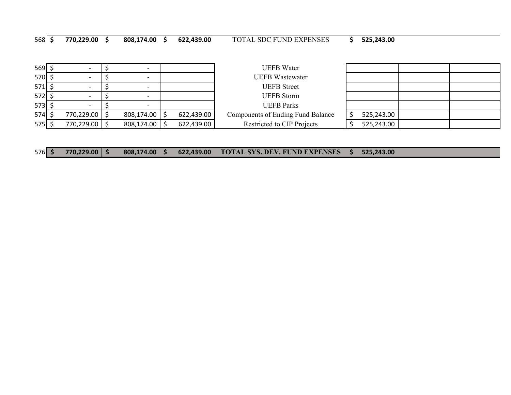| 568 \$ | 770,229.00 | 808,174.00 \$ 622,439.00 |  | TOTAL SDC FUND EXPENSES |  | \$525,243.00 |  |
|--------|------------|--------------------------|--|-------------------------|--|--------------|--|
|--------|------------|--------------------------|--|-------------------------|--|--------------|--|

| 569 |            | $\overline{\phantom{a}}$ |     |            | <b>UEFB</b> Water                        |            |  |
|-----|------------|--------------------------|-----|------------|------------------------------------------|------------|--|
| 570 |            | $\overline{\phantom{0}}$ |     |            | <b>UEFB Wastewater</b>                   |            |  |
| 571 |            |                          |     |            | <b>UEFB</b> Street                       |            |  |
| 572 |            | $\overline{\phantom{0}}$ |     |            | <b>UEFB</b> Storm                        |            |  |
| 573 |            | $\overline{\phantom{0}}$ |     |            | <b>UEFB</b> Parks                        |            |  |
| 574 | 770,229.00 | 808,174.00               | - S | 622,439.00 | <b>Components of Ending Fund Balance</b> | 525,243.00 |  |
| 575 | 770,229.00 | 808,174.00               |     | 622,439.00 | Restricted to CIP Projects               | 525,243.00 |  |

576 **\$ 770,229.00 \$ 808,174.00 \$ 622,439.00 \$ 525,243.00 TOTAL SYS. DEV. FUND EXPENSES**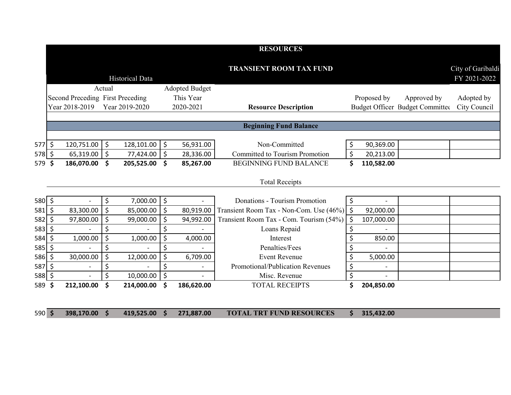|        |    |                                  |         |                        |         |                       | <b>RESOURCES</b>                             |                  |                                        |                                   |
|--------|----|----------------------------------|---------|------------------------|---------|-----------------------|----------------------------------------------|------------------|----------------------------------------|-----------------------------------|
|        |    |                                  |         | <b>Historical Data</b> |         |                       | <b>TRANSIENT ROOM TAX FUND</b>               |                  |                                        | City of Garibaldi<br>FY 2021-2022 |
|        |    |                                  | Actual  |                        |         | <b>Adopted Budget</b> |                                              |                  |                                        |                                   |
|        |    | Second Preceding First Preceding |         |                        |         | This Year             |                                              | Proposed by      | Approved by                            | Adopted by                        |
|        |    | Year 2018-2019                   |         | Year 2019-2020         |         | 2020-2021             | <b>Resource Description</b>                  |                  | <b>Budget Officer Budget Committee</b> | City Council                      |
|        |    |                                  |         |                        |         |                       |                                              |                  |                                        |                                   |
|        |    |                                  |         |                        |         |                       | <b>Beginning Fund Balance</b>                |                  |                                        |                                   |
|        |    |                                  |         |                        |         |                       |                                              |                  |                                        |                                   |
| 577 \$ |    | 120,751.00                       | $\zeta$ | 128,101.00             | \$      | 56,931.00             | Non-Committed                                | \$<br>90,369.00  |                                        |                                   |
| 578 \$ |    | 65,319.00                        | $\zeta$ | 77,424.00              | \$      | 28,336.00             | <b>Committed to Tourism Promotion</b>        | \$<br>20,213.00  |                                        |                                   |
| 579 \$ |    | 186,070.00                       | \$      | 205,525.00             | \$      | 85,267.00             | <b>BEGINNING FUND BALANCE</b>                | \$<br>110,582.00 |                                        |                                   |
|        |    |                                  |         |                        |         |                       | <b>Total Receipts</b>                        |                  |                                        |                                   |
| 580 \$ |    |                                  | \$      | 7,000.00               | $\zeta$ |                       | Donations - Tourism Promotion                | \$               |                                        |                                   |
| 581    | -S | 83,300.00                        | $\zeta$ | 85,000.00              | \$      | 80,919.00             | Transient Room Tax - Non-Com. Use $(46%)$ \$ | 92,000.00        |                                        |                                   |
| 582    | Ś. | 97,800.00                        | \$      | 99,000.00              | \$      | 94,992.00             | Transient Room Tax - Com. Tourism $(54%)$ \$ | 107,000.00       |                                        |                                   |
| 583 \$ |    |                                  | \$      |                        | \$      |                       | Loans Repaid                                 | \$               |                                        |                                   |
| 584    | \$ | 1,000.00                         | \$      | 1,000.00               | \$      | 4,000.00              | Interest                                     | \$<br>850.00     |                                        |                                   |
| 585    | \$ |                                  | \$      |                        | \$      |                       | Penalties/Fees                               | \$               |                                        |                                   |
| 586 \$ |    | 30,000.00                        | \$      | 12,000.00              | \$      | 6,709.00              | <b>Event Revenue</b>                         | \$<br>5,000.00   |                                        |                                   |
| 587 \$ |    |                                  | \$      |                        | \$      |                       | Promotional/Publication Revenues             | \$               |                                        |                                   |
| 588 \$ |    |                                  | \$      | 10,000.00              | \$      |                       | Misc. Revenue                                | \$               |                                        |                                   |
| 589 \$ |    | 212,100.00                       | \$      | 214,000.00             |         | 186,620.00            | <b>TOTAL RECEIPTS</b>                        | \$<br>204,850.00 |                                        |                                   |

590 **\$ 398,170.00 \$ 419,525.00 \$ 271,887.00 \$ 315,432.00 TOTAL TRT FUND RESOURCES**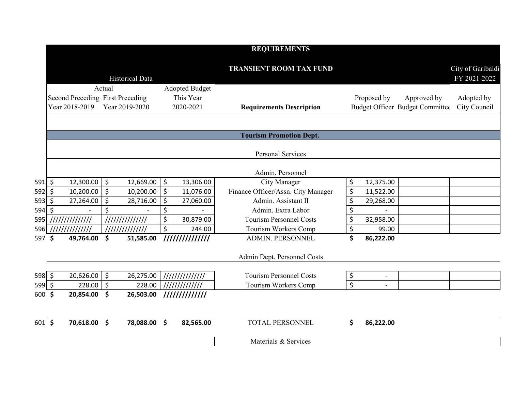|                  |                                                    |                                   |                                          | <b>REQUIREMENTS</b>                |                      |                |                                                |                                   |
|------------------|----------------------------------------------------|-----------------------------------|------------------------------------------|------------------------------------|----------------------|----------------|------------------------------------------------|-----------------------------------|
|                  |                                                    | <b>Historical Data</b>            |                                          | <b>TRANSIENT ROOM TAX FUND</b>     |                      |                |                                                | City of Garibaldi<br>FY 2021-2022 |
|                  | Second Preceding First Preceding<br>Year 2018-2019 | Actual<br>Year 2019-2020          | Adopted Budget<br>This Year<br>2020-2021 | <b>Requirements Description</b>    |                      | Proposed by    | Approved by<br>Budget Officer Budget Committee | Adopted by<br>City Council        |
|                  |                                                    |                                   |                                          | <b>Tourism Promotion Dept.</b>     |                      |                |                                                |                                   |
|                  |                                                    |                                   |                                          | <b>Personal Services</b>           |                      |                |                                                |                                   |
|                  |                                                    |                                   |                                          | Admin. Personnel                   |                      |                |                                                |                                   |
| $591$ \$         | 12,300.00                                          | $\ddot{\mathsf{s}}$<br>12,669.00  | \$<br>13,306.00                          | City Manager                       | \$                   | 12,375.00      |                                                |                                   |
| $592 \mid 5$     | 10,200.00                                          | \$<br>10,200.00                   | \$<br>11,076.00                          | Finance Officer/Assn. City Manager | \$                   | 11,522.00      |                                                |                                   |
| 593              | $\zeta$<br>27,264.00                               | $\zeta$<br>28,716.00              | \$<br>27,060.00                          | Admin. Assistant II                | \$                   | 29,268.00      |                                                |                                   |
| 594              | \$                                                 | \$                                | \$                                       | Admin. Extra Labor                 | \$                   |                |                                                |                                   |
| 595 <sub>l</sub> |                                                    | 111111111111111                   | \$<br>30,879.00                          | <b>Tourism Personnel Costs</b>     | $\zeta$              | 32,958.00      |                                                |                                   |
| 596              | 111111111111111                                    |                                   | \$<br>244.00                             | Tourism Workers Comp               | $\boldsymbol{\zeta}$ | 99.00          |                                                |                                   |
| 597 \$           | 49,764.00                                          | $\boldsymbol{\zeta}$<br>51,585.00 | 111111111111111                          | <b>ADMIN. PERSONNEL</b>            | \$                   | 86,222.00      |                                                |                                   |
|                  |                                                    |                                   |                                          | Admin Dept. Personnel Costs        |                      |                |                                                |                                   |
|                  |                                                    |                                   |                                          |                                    |                      |                |                                                |                                   |
| $598$ \$         | 20,626.00                                          | \$ ا<br>26,275.00                 | 111111111111111                          | <b>Tourism Personnel Costs</b>     | \$                   | $\overline{a}$ |                                                |                                   |
| 599 \$           | 228.00                                             | \$<br>228.00                      | 11111111111111                           | Tourism Workers Comp               | $\zeta$              |                |                                                |                                   |
| 600 \$           | 20,854.00                                          | \$<br>26,503.00                   | 11111111111111                           |                                    |                      |                |                                                |                                   |
| 601 \$           | 70,618.00 \$                                       | 78,088.00 \$                      | 82,565.00                                | <b>TOTAL PERSONNEL</b>             | \$                   | 86,222.00      |                                                |                                   |
|                  |                                                    |                                   |                                          | Materials & Services               |                      |                |                                                |                                   |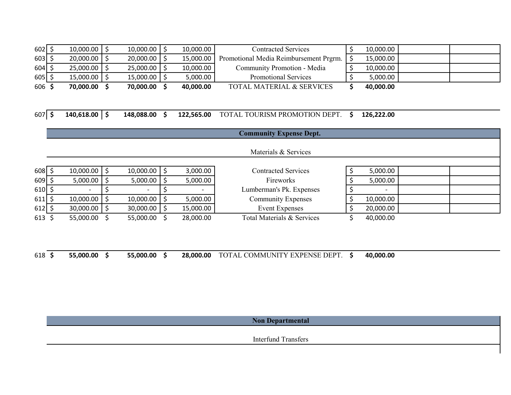| 602 | $10,000.00$   \$ | $10,000.00$   \$ | 10,000.00 | <b>Contracted Services</b>             | 10,000.00 |  |
|-----|------------------|------------------|-----------|----------------------------------------|-----------|--|
| 603 | $20,000.00$   9  | $20,000.00$   \$ | 15,000.00 | Promotional Media Reimbursement Prgrm. | 15,000.00 |  |
| 604 | $25,000.00$   \$ | 25,000.00 \$     | 10,000.00 | Community Promotion - Media            | 10,000.00 |  |
| 605 | $15,000.00$   \$ | $15,000.00$   \$ | 5,000.00  | <b>Promotional Services</b>            | 5,000.00  |  |
| 606 | 70,000.00        | 70,000.00        | 40,000.00 | TOTAL MATERIAL & SERVICES              | 40,000.00 |  |

#### 607 **\$ 140,618.00 \$ 148,088.00 \$ 122,565.00 \$ 126,222.00** TOTAL TOURISM PROMOTION DEPT.

|                   |                  |           |           | <b>Community Expense Dept.</b> |                          |  |
|-------------------|------------------|-----------|-----------|--------------------------------|--------------------------|--|
|                   |                  |           |           | Materials & Services           |                          |  |
|                   |                  |           |           |                                |                          |  |
| $608 \mid 5$      | $10,000.00$ \$   | 10,000.00 | 3,000.00  | <b>Contracted Services</b>     | 5,000.00                 |  |
| $609 \frac{2}{3}$ | $5,000.00$ \$    | 5,000.00  | 5,000.00  | Fireworks                      | 5,000.00                 |  |
| $610 \div$        |                  |           |           | Lumberman's Pk. Expenses       | $\overline{\phantom{a}}$ |  |
| $611 \,$ \$       | $10,000.00$   \$ | 10,000.00 | 5,000.00  | <b>Community Expenses</b>      | 10,000.00                |  |
| $612 \mid 5$      | $30,000.00$ \$   | 30,000.00 | 15,000.00 | <b>Event Expenses</b>          | 20,000.00                |  |
| $613$ \$          | 55,000.00 \$     | 55,000.00 | 28,000.00 | Total Materials & Services     | 40,000.00                |  |

618 **\$ 55,000.00 \$ 55,000.00 \$ 28,000.00 \$ 40,000.00** TOTAL COMMUNITY EXPENSE DEPT.

| <b>Non Departmental</b>    |
|----------------------------|
|                            |
| <b>Interfund Transfers</b> |
|                            |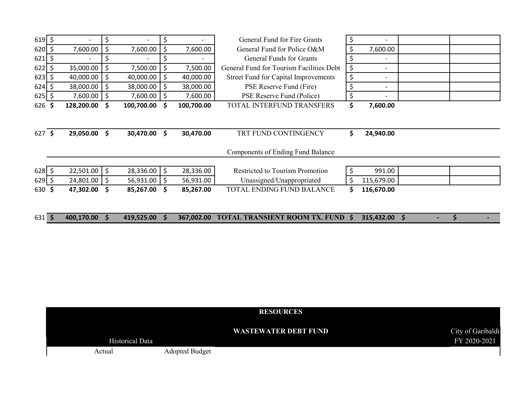| $619$ \$ |    |              | \$ |            | \$                 |            | General Fund for Fire Grants                | \$ | $\overline{\phantom{a}}$ |   |  |
|----------|----|--------------|----|------------|--------------------|------------|---------------------------------------------|----|--------------------------|---|--|
| 620      | \$ | 7,600.00     | \$ | 7,600.00   | \$                 | 7,600.00   | General Fund for Police O&M                 |    | 7,600.00                 |   |  |
| 621      | S  |              |    |            |                    |            | <b>General Funds for Grants</b>             |    | $\overline{\phantom{a}}$ |   |  |
| 622      | Ş  | 35,000.00    |    | 7,500.00   | \$                 | 7,500.00   | General Fund for Tourism Facilities Debt    | \$ | $\overline{\phantom{a}}$ |   |  |
| 623      | \$ | 40,000.00    | \$ | 40,000.00  | \$                 | 40,000.00  | <b>Street Fund for Capital Improvements</b> | \$ | $\overline{\phantom{a}}$ |   |  |
| 624      | S  | 38,000.00    | Ś. | 38,000.00  | \$                 | 38,000.00  | PSE Reserve Fund (Fire)                     |    | $\overline{\phantom{a}}$ |   |  |
| 625      | \$ | 7,600.00     | \$ | 7,600.00   | \$                 | 7,600.00   | PSE Reserve Fund (Police)                   | \$ | $\overline{\phantom{a}}$ |   |  |
| 626      | \$ | 128,200.00   | \$ | 100,700.00 | S                  | 100,700.00 | TOTAL INTERFUND TRANSFERS                   | \$ | 7,600.00                 |   |  |
| $627$ \$ |    | 29,050.00 \$ |    | 30,470.00  | \$                 | 30,470.00  | TRT FUND CONTINGENCY                        | \$ | 24,940.00                |   |  |
|          |    |              |    |            |                    |            | <b>Components of Ending Fund Balance</b>    |    |                          |   |  |
|          |    |              |    |            |                    |            |                                             |    |                          |   |  |
| $628$ \$ |    | 22,501.00    | \$ | 28,336.00  | $\ddot{\phi}$      | 28,336.00  | Restricted to Tourism Promotion             | \$ | 991.00                   |   |  |
| 629      | \$ | 24,801.00    | \$ | 56,931.00  | $\ddot{\varsigma}$ | 56,931.00  | Unassigned/Unappropriated                   | \$ | 115,679.00               |   |  |
| 630      | \$ | 47,302.00    | \$ | 85,267.00  | \$                 | 85,267.00  | <b>TOTAL ENDING FUND BALANCE</b>            | Ś. | 116,670.00               |   |  |
|          |    |              |    |            |                    |            |                                             |    |                          |   |  |
| 631      | \$ | 400,170.00   | S  | 419,525.00 | S                  | 367,002.00 | <b>TOTAL TRANSIENT ROOM TX. FUND</b>        | S. | 315,432.00               | S |  |

|                        |                | <b>RESOURCES</b>            |                   |
|------------------------|----------------|-----------------------------|-------------------|
|                        |                | <b>WASTEWATER DEBT FUND</b> | City of Garibaldi |
| <b>Historical Data</b> |                |                             | FY 2020-2021      |
| Actual                 | Adopted Budget |                             |                   |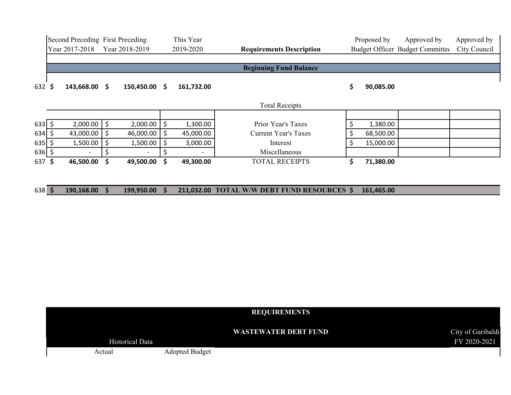|                   | Second Preceding First Preceding |                |               | This Year                |                                 |    | Proposed by | Approved by                     | Approved by  |
|-------------------|----------------------------------|----------------|---------------|--------------------------|---------------------------------|----|-------------|---------------------------------|--------------|
|                   | Year 2017-2018                   | Year 2018-2019 |               | 2019-2020                | <b>Requirements Description</b> |    |             | Budget Officer Budget Committee | City Council |
|                   |                                  |                |               |                          |                                 |    |             |                                 |              |
|                   |                                  |                |               |                          | <b>Beginning Fund Balance</b>   |    |             |                                 |              |
| 632 \$            | 143,668.00 \$                    |                | 150,450.00 \$ | 161,732.00               |                                 | S  | 90,085.00   |                                 |              |
|                   |                                  |                |               |                          | <b>Total Receipts</b>           |    |             |                                 |              |
|                   |                                  |                |               |                          |                                 |    |             |                                 |              |
| \$  633           | $2,000.00$ \$                    |                | 2,000.00      | 1,300.00                 | Prior Year's Taxes              |    | 1,380.00    |                                 |              |
| $634 \frac{6}{7}$ | 43,000.00 $\vert$ \$             |                | 46,000.00     | 45,000.00                | <b>Current Year's Taxes</b>     |    | 68,500.00   |                                 |              |
| \$  635           | $1,500.00$ \$                    |                | 1,500.00      | 3,000.00                 | Interest                        |    | 15,000.00   |                                 |              |
| 636 \$            |                                  |                |               | $\overline{\phantom{0}}$ | Miscellaneous                   |    |             |                                 |              |
| 637\$             | 46,500.00                        | '\$            | 49,500.00 \$  | 49,300.00                | <b>TOTAL RECEIPTS</b>           | S. | 71,380.00   |                                 |              |

638 **\$ 190,168.00 \$ 199,950.00 \$ 211,032.00 \$ 161,465.00 TOTAL W/W DEBT FUND RESOURCES**

|                        |                | <b>REQUIREMENTS</b>         |                   |
|------------------------|----------------|-----------------------------|-------------------|
|                        |                | <b>WASTEWATER DEBT FUND</b> | City of Garibaldi |
| <b>Historical Data</b> |                |                             | FY 2020-2021      |
| Actual                 | Adopted Budget |                             |                   |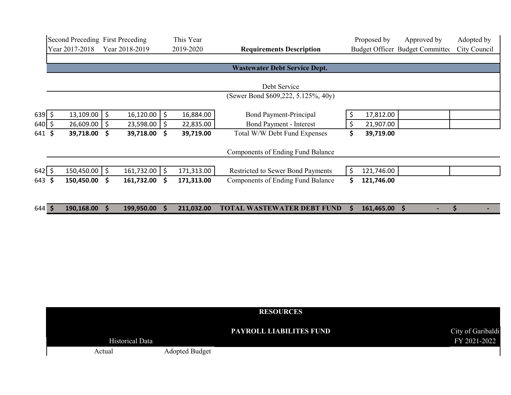|          | Second Preceding First Preceding |    |                 |     | This Year  |                                                   |    | Proposed by            | Approved by                     | Adopted by   |
|----------|----------------------------------|----|-----------------|-----|------------|---------------------------------------------------|----|------------------------|---------------------------------|--------------|
|          | Year 2017-2018                   |    | Year 2018-2019  |     | 2019-2020  | <b>Requirements Description</b>                   |    |                        | Budget Officer Budget Committee | City Council |
|          |                                  |    |                 |     |            | <b>Wastewater Debt Service Dept.</b>              |    |                        |                                 |              |
|          |                                  |    |                 |     |            |                                                   |    |                        |                                 |              |
|          |                                  |    |                 |     |            | Debt Service                                      |    |                        |                                 |              |
|          |                                  |    |                 |     |            | (Sewer Bond \$609,222, 5.125%, 40y)               |    |                        |                                 |              |
| \$  639  | 13,109.00                        | \$ | 16,120.00       | \$  | 16,884.00  |                                                   |    |                        |                                 |              |
| 640   \$ | 26,609.00                        | \$ | 23,598.00       | -\$ | 22,835.00  | Bond Payment-Principal<br>Bond Payment - Interest | \$ | 17,812.00<br>21,907.00 |                                 |              |
| 641 \$   | 39,718.00                        | \$ | 39,718.00       | \$. | 39,719.00  | Total W/W Debt Fund Expenses                      | \$ | 39,719.00              |                                 |              |
|          |                                  |    |                 |     |            | <b>Components of Ending Fund Balance</b>          |    |                        |                                 |              |
|          |                                  |    |                 |     |            |                                                   |    |                        |                                 |              |
| 642   \$ | 150,450.00 \$                    |    | $161,732.00$ \$ |     | 171,313.00 | <b>Restricted to Sewer Bond Payments</b>          | Ŝ. | 121,746.00             |                                 |              |
| 643\$    | 150,450.00                       | \$ | 161,732.00      | -S  | 171,313.00 | Components of Ending Fund Balance                 |    | 121,746.00             |                                 |              |
|          |                                  |    |                 |     |            |                                                   |    |                        |                                 |              |
| 644 \$   | 190,168.00                       | S  | 199,950.00      |     | 211,032.00 | <b>TOTAL WASTEWATER DEBT FUND</b>                 |    | 161,465.00             | S                               |              |

|                        |                       | <b>RESOURCES</b>        |                   |
|------------------------|-----------------------|-------------------------|-------------------|
|                        |                       | PAYROLL LIABILITES FUND | City of Garibaldi |
| <b>Historical Data</b> |                       |                         | FY 2021-2022      |
| Actual                 | <b>Adopted Budget</b> |                         |                   |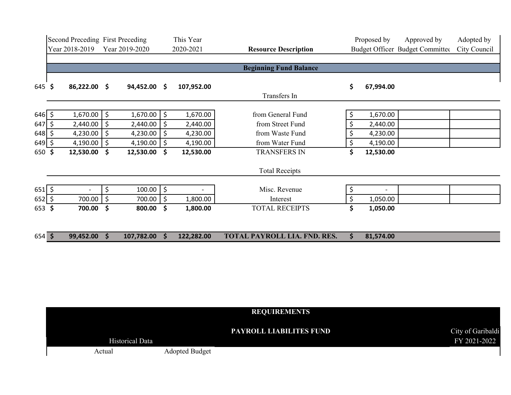|          | Second Preceding First Preceding                                                        |                                                  |                                                                                                                        |                | This Year                                                                                                                                                   |                                                                                                      |                                                                                                                                                 | Proposed by | Approved by                                                 | Adopted by                                                                                                                                     |
|----------|-----------------------------------------------------------------------------------------|--------------------------------------------------|------------------------------------------------------------------------------------------------------------------------|----------------|-------------------------------------------------------------------------------------------------------------------------------------------------------------|------------------------------------------------------------------------------------------------------|-------------------------------------------------------------------------------------------------------------------------------------------------|-------------|-------------------------------------------------------------|------------------------------------------------------------------------------------------------------------------------------------------------|
|          |                                                                                         |                                                  |                                                                                                                        |                |                                                                                                                                                             | <b>Resource Description</b>                                                                          |                                                                                                                                                 |             |                                                             | City Council                                                                                                                                   |
|          |                                                                                         |                                                  |                                                                                                                        |                |                                                                                                                                                             |                                                                                                      |                                                                                                                                                 |             |                                                             |                                                                                                                                                |
|          |                                                                                         |                                                  |                                                                                                                        |                |                                                                                                                                                             |                                                                                                      |                                                                                                                                                 |             |                                                             |                                                                                                                                                |
| $645$ \$ |                                                                                         |                                                  |                                                                                                                        |                | 107,952.00                                                                                                                                                  |                                                                                                      | \$                                                                                                                                              |             |                                                             |                                                                                                                                                |
|          |                                                                                         |                                                  |                                                                                                                        |                |                                                                                                                                                             | Transfers In                                                                                         |                                                                                                                                                 |             |                                                             |                                                                                                                                                |
|          |                                                                                         |                                                  |                                                                                                                        |                |                                                                                                                                                             |                                                                                                      |                                                                                                                                                 |             |                                                             |                                                                                                                                                |
|          |                                                                                         |                                                  |                                                                                                                        |                |                                                                                                                                                             |                                                                                                      |                                                                                                                                                 |             |                                                             |                                                                                                                                                |
|          |                                                                                         |                                                  |                                                                                                                        |                |                                                                                                                                                             |                                                                                                      |                                                                                                                                                 |             |                                                             |                                                                                                                                                |
|          |                                                                                         |                                                  |                                                                                                                        |                |                                                                                                                                                             |                                                                                                      |                                                                                                                                                 |             |                                                             |                                                                                                                                                |
| $649$ \$ | 4,190.00                                                                                | \$                                               |                                                                                                                        |                | 4,190.00                                                                                                                                                    | from Water Fund                                                                                      | \$                                                                                                                                              |             |                                                             |                                                                                                                                                |
| 650 \$   |                                                                                         | \$                                               |                                                                                                                        |                | 12,530.00                                                                                                                                                   | <b>TRANSFERS IN</b>                                                                                  | \$                                                                                                                                              |             |                                                             |                                                                                                                                                |
|          |                                                                                         |                                                  |                                                                                                                        |                |                                                                                                                                                             | <b>Total Receipts</b>                                                                                |                                                                                                                                                 |             |                                                             |                                                                                                                                                |
|          |                                                                                         |                                                  |                                                                                                                        |                |                                                                                                                                                             |                                                                                                      |                                                                                                                                                 |             |                                                             |                                                                                                                                                |
|          |                                                                                         |                                                  |                                                                                                                        |                |                                                                                                                                                             |                                                                                                      |                                                                                                                                                 |             |                                                             |                                                                                                                                                |
|          |                                                                                         |                                                  |                                                                                                                        |                |                                                                                                                                                             |                                                                                                      |                                                                                                                                                 |             |                                                             |                                                                                                                                                |
|          |                                                                                         |                                                  |                                                                                                                        |                |                                                                                                                                                             |                                                                                                      |                                                                                                                                                 |             |                                                             |                                                                                                                                                |
|          |                                                                                         |                                                  |                                                                                                                        |                |                                                                                                                                                             |                                                                                                      |                                                                                                                                                 |             |                                                             |                                                                                                                                                |
|          | $646 \,$ \$<br>$647$ \$<br>$648$ \$<br>$651$ \$<br>$652 \mid 5$<br>$653$ \$<br>$654$ \$ | Year 2018-2019<br>2,440.00<br>4,230.00<br>700.00 | 86,222.00 \$<br>$\zeta$<br>1,670.00<br>\$<br>\$<br>12,530.00<br>\$<br>\$<br>\$<br>700.00<br>99,452.00<br>$\mathsf{\$}$ | Year 2019-2020 | 94,452.00 \$<br>$1,670.00$   \$<br>$2,440.00$ \$<br>4,230.00 $\vert$ \$<br>4,190.00 $\vert$ \$<br>$12,530.00$ \$<br>$100.00$   \$<br>700.00 \$<br>800.00 \$ | 2020-2021<br>1,670.00<br>2,440.00<br>4,230.00<br>1,800.00<br>1,800.00<br>107,782.00 \$<br>122,282.00 | <b>Beginning Fund Balance</b><br>from General Fund<br>from Street Fund<br>from Waste Fund<br>Misc. Revenue<br>Interest<br><b>TOTAL RECEIPTS</b> | \$<br>\$    | $\blacksquare$<br><b>TOTAL PAYROLL LIA. FND. RES.</b><br>S. | Budget Officer Budget Committee<br>67,994.00<br>1,670.00<br>2,440.00<br>4,230.00<br>4,190.00<br>12,530.00<br>1,050.00<br>1,050.00<br>81,574.00 |

|                        |                       | <b>REQUIREMENTS</b>     |                   |
|------------------------|-----------------------|-------------------------|-------------------|
|                        |                       | PAYROLL LIABILITES FUND | City of Garibaldi |
| <b>Historical Data</b> |                       |                         | FY 2021-2022      |
| Actual                 | <b>Adopted Budget</b> |                         |                   |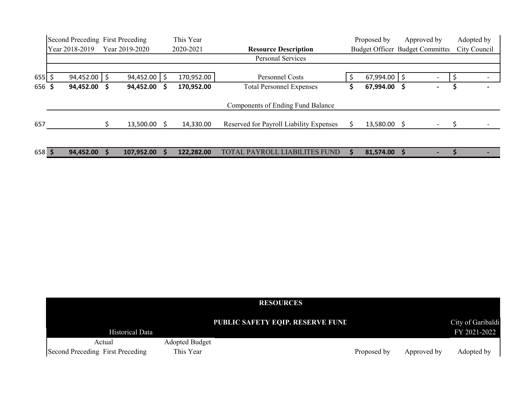|          | Second Preceding First Preceding |                |    | This Year  |                                          | Proposed by      | Approved by                            | Adopted by   |  |
|----------|----------------------------------|----------------|----|------------|------------------------------------------|------------------|----------------------------------------|--------------|--|
|          | Year 2018-2019                   | Year 2019-2020 |    | 2020-2021  | <b>Resource Description</b>              |                  | <b>Budget Officer Budget Committee</b> | City Council |  |
|          |                                  |                |    |            | Personal Services                        |                  |                                        |              |  |
|          |                                  |                |    |            |                                          |                  |                                        |              |  |
| $655$ \$ | $94,452.00$ \$                   | 94,452.00      | -Ś | 170,952.00 | <b>Personnel Costs</b>                   | $67,994.00$   \$ |                                        |              |  |
| $656$ \$ | 94,452.00 \$                     | 94,452.00      | S  | 170,952.00 | <b>Total Personnel Expenses</b>          | 67,994.00        | $\overline{\phantom{0}}$               | S            |  |
|          |                                  |                |    |            | <b>Components of Ending Fund Balance</b> |                  |                                        |              |  |
| 657      |                                  | 13,500.00 \$   |    | 14,330.00  | Reserved for Payroll Liability Expenses  | 13,580.00 \$     |                                        |              |  |
|          |                                  |                |    |            |                                          |                  |                                        |              |  |
| 658S     | 94,452.00                        | 107,952.00     |    | 122,282.00 | TOTAL PAYROLL LIABILITES FUND            | 81,574.00        |                                        |              |  |

|                                  |                | <b>RESOURCES</b>                        |             |             |                   |
|----------------------------------|----------------|-----------------------------------------|-------------|-------------|-------------------|
|                                  |                | <b>PUBLIC SAFETY EQIP. RESERVE FUND</b> |             |             | City of Garibaldi |
| <b>Historical Data</b>           |                |                                         |             |             | FY 2021-2022      |
| Actual                           | Adopted Budget |                                         |             |             |                   |
| Second Preceding First Preceding | This Year      |                                         | Proposed by | Approved by | Adopted by        |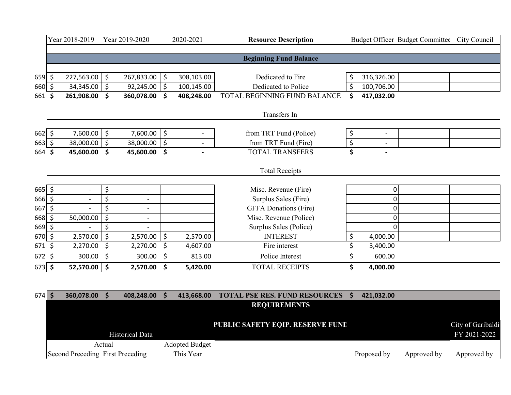|             |                     | Year 2018-2019  |                          | Year 2019-2020           | 2020-2021             | <b>Resource Description</b>          |     |                          | Budget Officer Budget Committee City Council |                   |
|-------------|---------------------|-----------------|--------------------------|--------------------------|-----------------------|--------------------------------------|-----|--------------------------|----------------------------------------------|-------------------|
|             |                     |                 |                          |                          |                       | <b>Beginning Fund Balance</b>        |     |                          |                                              |                   |
|             |                     |                 |                          |                          |                       |                                      |     |                          |                                              |                   |
| $659$ \$    |                     | $227,563.00$ \$ |                          | 267,833.00               | \$<br>308,103.00      | Dedicated to Fire                    | \$  | 316,326.00               |                                              |                   |
| 660 \$      |                     | 34,345.00       | $\zeta$                  | 92,245.00                | \$<br>100,145.00      | Dedicated to Police                  | \$  | 100,706.00               |                                              |                   |
| 661 \$      |                     | 261,908.00      | - \$                     | 360,078.00               | \$<br>408,248.00      | TOTAL BEGINNING FUND BALANCE         | \$  | 417,032.00               |                                              |                   |
|             |                     |                 |                          |                          |                       | Transfers In                         |     |                          |                                              |                   |
|             |                     |                 |                          |                          |                       |                                      |     |                          |                                              |                   |
| $662 \div$  |                     | 7,600.00 \$     |                          | 7,600.00                 | \$                    | from TRT Fund (Police)               | \$  | $\overline{\phantom{a}}$ |                                              |                   |
| $663 \div$  |                     | 38,000.00 \$    |                          | 38,000.00                | \$                    | from TRT Fund (Fire)                 | \$  | $\overline{\phantom{a}}$ |                                              |                   |
| 664 \$      |                     | 45,600.00       | $\zeta$                  | 45,600.00                | \$                    | <b>TOTAL TRANSFERS</b>               | \$  |                          |                                              |                   |
|             |                     |                 |                          |                          |                       |                                      |     |                          |                                              |                   |
|             |                     |                 |                          |                          |                       | <b>Total Receipts</b>                |     |                          |                                              |                   |
| $665$ \$    |                     |                 | \$                       | $\blacksquare$           |                       | Misc. Revenue (Fire)                 |     | 0                        |                                              |                   |
| 666 \$      |                     |                 | \$                       | $\overline{\phantom{a}}$ |                       | Surplus Sales (Fire)                 |     | 0                        |                                              |                   |
| 667         | $\ddot{\mathsf{S}}$ |                 | \$                       | $\overline{\phantom{a}}$ |                       | <b>GFFA</b> Donations (Fire)         |     | 0                        |                                              |                   |
| 668         | $\zeta$             | 50,000.00       | \$                       | $\overline{\phantom{a}}$ |                       | Misc. Revenue (Police)               |     | 0                        |                                              |                   |
| $669$ \$    |                     |                 | \$                       | $\overline{a}$           |                       | Surplus Sales (Police)               |     | 0                        |                                              |                   |
| 670 \$      |                     | 2,570.00        | $\overline{\mathcal{S}}$ | 2,570.00                 | \$<br>2,570.00        | <b>INTEREST</b>                      | \$  | 4,000.00                 |                                              |                   |
| 671         | Ś.                  | 2,270.00        | \$                       | 2,270.00                 | \$<br>4,607.00        | Fire interest                        |     | 3,400.00                 |                                              |                   |
| 672 \$      |                     | 300.00          | \$                       | 300.00                   | \$<br>813.00          | Police Interest                      | \$  | 600.00                   |                                              |                   |
| $673$ \$    |                     | $52,570.00$ \$  |                          | 2,570.00                 | \$<br>5,420.00        | <b>TOTAL RECEIPTS</b>                | \$  | 4,000.00                 |                                              |                   |
|             |                     |                 |                          |                          |                       |                                      |     |                          |                                              |                   |
| $674 \,$ \$ |                     | 360,078.00 \$   |                          | 408,248.00               | \$<br>413,668.00      | <b>TOTAL PSE RES. FUND RESOURCES</b> | \$. | 421,032.00               |                                              |                   |
|             |                     |                 |                          |                          |                       | <b>REQUIREMENTS</b>                  |     |                          |                                              |                   |
|             |                     |                 |                          |                          |                       |                                      |     |                          |                                              |                   |
|             |                     |                 |                          |                          |                       | PUBLIC SAFETY EQIP. RESERVE FUND     |     |                          |                                              | City of Garibaldi |
|             |                     |                 |                          | Historical Data          |                       |                                      |     |                          |                                              | FY 2021-2022      |
|             |                     |                 | Actual                   |                          | <b>Adopted Budget</b> |                                      |     |                          |                                              |                   |

Actual

Second Preceding First Preceding This Year Proposed by Approved by Approved by Approved by Approved by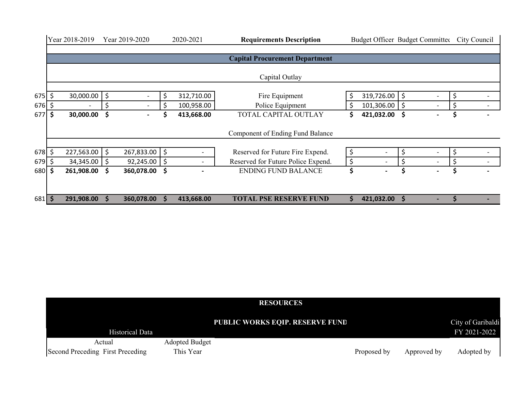|          | Year 2018-2019           |                     | Year 2019-2020           |    | 2020-2021  | <b>Requirements Description</b>       |    | Budget Officer Budget Committee |          |                          | City Council |  |
|----------|--------------------------|---------------------|--------------------------|----|------------|---------------------------------------|----|---------------------------------|----------|--------------------------|--------------|--|
|          |                          |                     |                          |    |            |                                       |    |                                 |          |                          |              |  |
|          |                          |                     |                          |    |            | <b>Capital Procurement Department</b> |    |                                 |          |                          |              |  |
|          |                          |                     |                          |    |            |                                       |    |                                 |          |                          |              |  |
|          |                          |                     |                          |    |            | Capital Outlay                        |    |                                 |          |                          |              |  |
| $675$ \$ | $30,000.00$   \$         |                     | $\overline{\phantom{a}}$ | \$ | 312,710.00 | Fire Equipment                        | \$ | 319,726.00                      | \$       |                          | \$           |  |
| $676$ \$ | $\overline{\phantom{a}}$ |                     | $\overline{\phantom{0}}$ | \$ | 100,958.00 | Police Equipment                      | \$ | 101,306.00                      | \$       | $\overline{\phantom{a}}$ |              |  |
| $677$ \$ | 30,000.00                | -\$                 |                          |    | 413,668.00 | <b>TOTAL CAPITAL OUTLAY</b>           | Ś  | 421,032.00                      | \$       |                          | \$           |  |
|          |                          |                     |                          |    |            |                                       |    |                                 |          |                          |              |  |
|          |                          |                     |                          |    |            | Component of Ending Fund Balance      |    |                                 |          |                          |              |  |
|          |                          |                     |                          |    |            |                                       |    |                                 |          |                          |              |  |
| $678$ \$ | $227,563.00$ \$          |                     | 267,833.00               | \$ |            | Reserved for Future Fire Expend.      | \$ | $\overline{\phantom{a}}$        | \$       |                          | Ś.           |  |
| $679$ \$ | $34,345.00$ \$           |                     | 92,245.00                | \$ |            | Reserved for Future Police Expend.    | \$ |                                 |          |                          |              |  |
| 680 \$   | 261,908.00               | $\ddot{\mathsf{s}}$ | 360,078.00               | \$ |            | <b>ENDING FUND BALANCE</b>            |    |                                 |          |                          | \$           |  |
|          |                          |                     |                          |    |            |                                       |    |                                 |          |                          |              |  |
|          |                          |                     |                          |    |            |                                       |    |                                 |          |                          |              |  |
| $681$ \$ | 291,908.00               | - \$                | 360,078.00               | Ŝ  | 413,668.00 | <b>TOTAL PSE RESERVE FUND</b>         | Ś. | 421,032.00                      | <b>S</b> |                          | \$           |  |

| <b>RESOURCES</b>                           |                             |                                        |             |             |                                   |  |  |  |  |  |
|--------------------------------------------|-----------------------------|----------------------------------------|-------------|-------------|-----------------------------------|--|--|--|--|--|
| Historical Data                            |                             | <b>PUBLIC WORKS EQIP. RESERVE FUND</b> |             |             | City of Garibaldi<br>FY 2021-2022 |  |  |  |  |  |
| Actual<br>Second Preceding First Preceding | Adopted Budget<br>This Year |                                        | Proposed by | Approved by | Adopted by                        |  |  |  |  |  |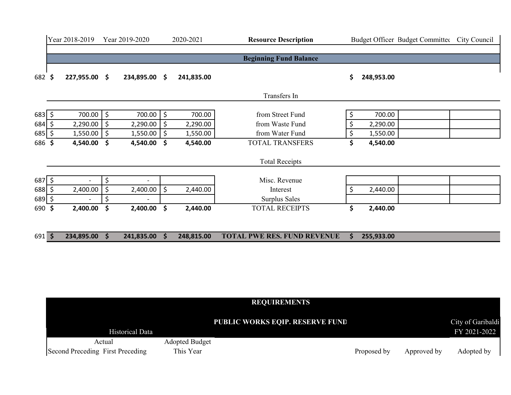|              | Year 2018-2019 |                     | Year 2019-2020           |         | 2020-2021  | <b>Resource Description</b>        |    |            | Budget Officer Budget Committee | City Council |
|--------------|----------------|---------------------|--------------------------|---------|------------|------------------------------------|----|------------|---------------------------------|--------------|
|              |                |                     |                          |         |            | <b>Beginning Fund Balance</b>      |    |            |                                 |              |
| 682 \$       | 227,955.00     | \$                  | 234,895.00 \$            |         | 241,835.00 |                                    | \$ | 248,953.00 |                                 |              |
|              |                |                     |                          |         |            | Transfers In                       |    |            |                                 |              |
| $683 \mid 5$ | 700.00         | $\ddot{\varsigma}$  | 700.00                   | $\zeta$ | 700.00     | from Street Fund                   | \$ | 700.00     |                                 |              |
| 684 \$       | 2,290.00       | $\zeta$             | 2,290.00                 | \$      | 2,290.00   | from Waste Fund                    | \$ | 2,290.00   |                                 |              |
| 685 \$       | 1,550.00       | $\zeta$             | 1,550.00                 | \$      | 1,550.00   | from Water Fund                    | \$ | 1,550.00   |                                 |              |
| 686\$        | 4,540.00       | \$                  | 4,540.00                 | \$      | 4,540.00   | <b>TOTAL TRANSFERS</b>             | \$ | 4,540.00   |                                 |              |
|              |                |                     |                          |         |            | <b>Total Receipts</b>              |    |            |                                 |              |
| 687 \$       |                | \$                  | $\overline{\phantom{a}}$ |         |            | Misc. Revenue                      |    |            |                                 |              |
| 688 \$       | 2,400.00       | \$                  | 2,400.00                 | \$      | 2,440.00   | Interest                           | \$ | 2,440.00   |                                 |              |
| 689 \$       |                | \$                  | $\blacksquare$           |         |            | Surplus Sales                      |    |            |                                 |              |
| 690\$        | 2,400.00       | \$                  | 2,400.00                 | \$      | 2,440.00   | TOTAL RECEIPTS                     | \$ | 2,440.00   |                                 |              |
|              |                |                     |                          |         |            |                                    |    |            |                                 |              |
| $691$ \$     | 234,895.00     | $\ddot{\bm{\zeta}}$ | 241,835.00 \$            |         | 248,815.00 | <b>TOTAL PWE RES. FUND REVENUE</b> | Ŝ. | 255,933.00 |                                 |              |
|              |                |                     |                          |         |            |                                    |    |            |                                 |              |
|              |                |                     |                          |         |            |                                    |    |            |                                 |              |
|              |                |                     |                          |         |            |                                    |    |            |                                 |              |

| <b>REQUIREMENTS</b>                        |                             |                                        |             |             |                                   |  |  |  |  |  |
|--------------------------------------------|-----------------------------|----------------------------------------|-------------|-------------|-----------------------------------|--|--|--|--|--|
| <b>Historical Data</b>                     |                             | <b>PUBLIC WORKS EQIP. RESERVE FUND</b> |             |             | City of Garibaldi<br>FY 2021-2022 |  |  |  |  |  |
| Actual<br>Second Preceding First Preceding | Adopted Budget<br>This Year |                                        | Proposed by | Approved by | Adopted by                        |  |  |  |  |  |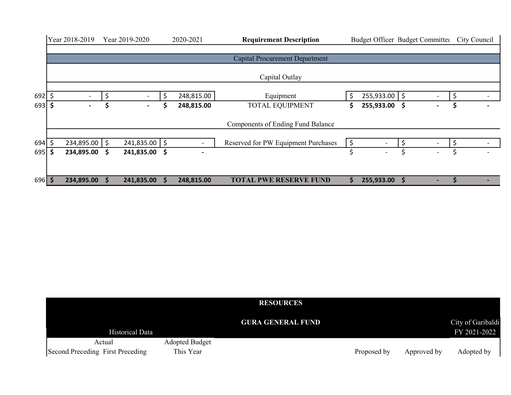|             |    | Year 2018-2019           |      | Year 2019-2020           |              | 2020-2021  | <b>Requirement Description</b>           |    |                          |    | Budget Officer Budget Committee | City Council |                          |
|-------------|----|--------------------------|------|--------------------------|--------------|------------|------------------------------------------|----|--------------------------|----|---------------------------------|--------------|--------------------------|
|             |    |                          |      |                          |              |            |                                          |    |                          |    |                                 |              |                          |
|             |    |                          |      |                          |              |            | <b>Capital Procurement Department</b>    |    |                          |    |                                 |              |                          |
|             |    |                          |      |                          |              |            | Capital Outlay                           |    |                          |    |                                 |              |                          |
| 692         |    | $\overline{\phantom{0}}$ | \$   | $\overline{\phantom{a}}$ | \$           | 248,815.00 | Equipment                                | \$ | $255,933.00$ \$          |    | $\overline{\phantom{a}}$        |              | -                        |
| $693 \,$ \$ |    | $\overline{\phantom{0}}$ | \$   | $\overline{\phantom{0}}$ | Ś            | 248,815.00 | TOTAL EQUIPMENT                          | Ś  | 255,933.00 \$            |    | $\blacksquare$                  | \$           |                          |
|             |    |                          |      |                          |              |            | <b>Components of Ending Fund Balance</b> |    |                          |    |                                 |              |                          |
| 694         | S. | 234,895.00 \$            |      | 241,835.00 \$            |              |            | Reserved for PW Equipment Purchases      | \$ |                          | Ś. | $\overline{\phantom{0}}$        |              | $\overline{\phantom{a}}$ |
| 695         | S  | 234,895.00 \$            |      | 241,835.00 \$            |              |            |                                          | \$ | $\overline{\phantom{a}}$ | \$ | $\overline{\phantom{0}}$        | \$           |                          |
|             |    |                          |      |                          |              |            |                                          |    |                          |    |                                 |              |                          |
| $696$ \$    |    | 234,895.00               | - \$ | 241,835.00               | <sup>S</sup> | 248,815.00 | <b>TOTAL PWE RESERVE FUND</b>            | \$ | 255,933.00 \$            |    |                                 |              |                          |

|                                  |                | <b>RESOURCES</b>         |             |             |                   |
|----------------------------------|----------------|--------------------------|-------------|-------------|-------------------|
|                                  |                | <b>GURA GENERAL FUND</b> |             |             | City of Garibaldi |
| Historical Data                  |                |                          |             |             | FY 2021-2022      |
| Actual                           | Adopted Budget |                          |             |             |                   |
| Second Preceding First Preceding | This Year      |                          | Proposed by | Approved by | Adopted by        |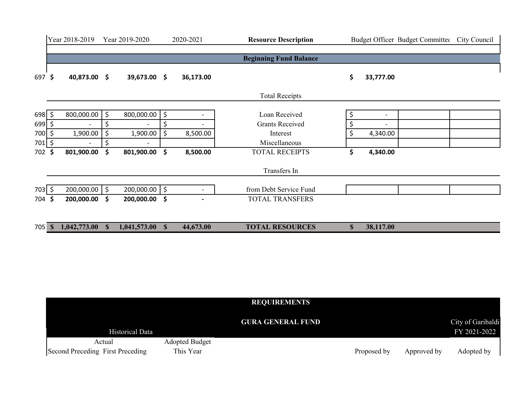|            | Year 2018-2019 |              | Year 2019-2020 |              | 2020-2021 | <b>Resource Description</b>   |    |                          | Budget Officer Budget Committee | City Council |
|------------|----------------|--------------|----------------|--------------|-----------|-------------------------------|----|--------------------------|---------------------------------|--------------|
|            |                |              |                |              |           |                               |    |                          |                                 |              |
|            |                |              |                |              |           | <b>Beginning Fund Balance</b> |    |                          |                                 |              |
|            |                |              |                |              |           |                               |    |                          |                                 |              |
| 697\$      | 40,873.00 \$   |              | 39,673.00 \$   |              | 36,173.00 |                               | \$ | 33,777.00                |                                 |              |
|            |                |              |                |              |           |                               |    |                          |                                 |              |
|            |                |              |                |              |           | <b>Total Receipts</b>         |    |                          |                                 |              |
| $698 \div$ | 800,000.00     | \$           | 800,000.00     | \$           |           | Loan Received                 | \$ | $\overline{\phantom{a}}$ |                                 |              |
| 699 \$     |                |              |                |              |           | <b>Grants Received</b>        |    | $\overline{\phantom{0}}$ |                                 |              |
| 700 \$     | 1,900.00       | \$           | 1,900.00       | \$           | 8,500.00  | Interest                      |    | 4,340.00                 |                                 |              |
| $701$ \$   |                |              |                |              |           | Miscellaneous                 |    |                          |                                 |              |
| 702 \$     | 801,900.00     | \$           | 801,900.00     | \$           | 8,500.00  | <b>TOTAL RECEIPTS</b>         | \$ | 4,340.00                 |                                 |              |
|            |                |              |                |              |           |                               |    |                          |                                 |              |
|            |                |              |                |              |           | Transfers In                  |    |                          |                                 |              |
|            |                |              |                |              |           |                               |    |                          |                                 |              |
| 703 \$     | 200,000.00 \$  |              | 200,000.00     | $\zeta$      |           | from Debt Service Fund        |    |                          |                                 |              |
| 704 \$     | 200,000.00 \$  |              | 200,000.00     | \$           |           | <b>TOTAL TRANSFERS</b>        |    |                          |                                 |              |
|            |                |              |                |              |           |                               |    |                          |                                 |              |
|            |                |              |                |              |           |                               |    |                          |                                 |              |
| 705S       | 1,042,773.00   | $\mathbf{s}$ | 1,041,573.00   | <sup>S</sup> | 44,673.00 | <b>TOTAL RESOURCES</b>        | S. | 38,117.00                |                                 |              |

| <b>REQUIREMENTS</b>              |                |                          |             |             |                                   |  |  |  |  |  |
|----------------------------------|----------------|--------------------------|-------------|-------------|-----------------------------------|--|--|--|--|--|
| Historical Data                  |                | <b>GURA GENERAL FUND</b> |             |             | City of Garibaldi<br>FY 2021-2022 |  |  |  |  |  |
| Actual                           | Adopted Budget |                          |             |             |                                   |  |  |  |  |  |
| Second Preceding First Preceding | This Year      |                          | Proposed by | Approved by | Adopted by                        |  |  |  |  |  |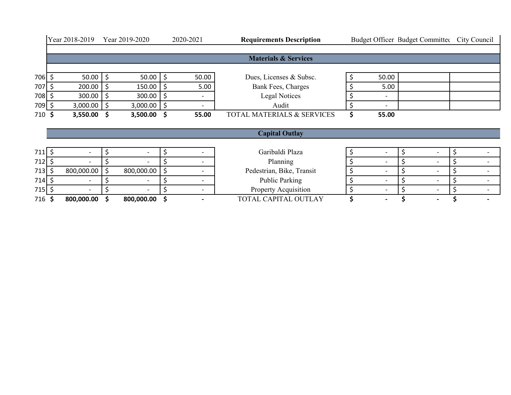|          | Year 2018-2019 |      | Year 2019-2020               | 2020-2021                      | <b>Requirements Description</b> |    |                          | Budget Officer Budget Committee | City Council |
|----------|----------------|------|------------------------------|--------------------------------|---------------------------------|----|--------------------------|---------------------------------|--------------|
|          |                |      |                              |                                |                                 |    |                          |                                 |              |
|          |                |      |                              |                                | <b>Materials &amp; Services</b> |    |                          |                                 |              |
|          |                |      |                              |                                |                                 |    |                          |                                 |              |
| 706 \$   | 50.00          | \$   | 50.00                        | \$<br>50.00                    | Dues, Licenses & Subsc.         |    | 50.00                    |                                 |              |
| 707 \$   | 200.00         | \$   | 150.00                       | \$<br>5.00                     | Bank Fees, Charges              |    | 5.00                     |                                 |              |
| 708 \$   | 300.00         | ا \$ | 300.00                       | \$<br>$\overline{\phantom{a}}$ | <b>Legal Notices</b>            |    | $\overline{\phantom{a}}$ |                                 |              |
| 709 \$   | $3,000.00$ \$  |      | 3,000.00                     | \$<br>$\overline{\phantom{a}}$ | Audit                           |    | $\overline{\phantom{a}}$ |                                 |              |
| 710 \$   | 3,550.00       | \$   | $3,500.00$ \$                | 55.00                          | TOTAL MATERIALS & SERVICES      | \$ | 55.00                    |                                 |              |
|          |                |      |                              |                                |                                 |    |                          |                                 |              |
|          |                |      |                              |                                | <b>Capital Outlay</b>           |    |                          |                                 |              |
|          |                |      |                              |                                |                                 |    |                          |                                 |              |
| 711 \$   |                |      |                              |                                | Garibaldi Plaza                 |    |                          |                                 |              |
| 712 \$   |                |      |                              |                                | Planning                        |    | $\overline{\phantom{a}}$ |                                 |              |
| 713 \$   | 800,000.00     | \$   | 800,000.00                   | \$                             | Pedestrian, Bike, Transit       |    | $\overline{\phantom{a}}$ | \$                              |              |
| $714$ \$ |                |      | $\qquad \qquad \blacksquare$ |                                | Public Parking                  |    |                          | \$                              |              |
| 715 \$   |                |      |                              |                                | Property Acquisition            |    | $\overline{\phantom{a}}$ | \$                              |              |
| 716 \$   | 800,000.00     | \$   | 800,000.00                   | \$                             | TOTAL CAPITAL OUTLAY            | Ś  | $\hbox{ }$               | $\blacksquare$                  | \$           |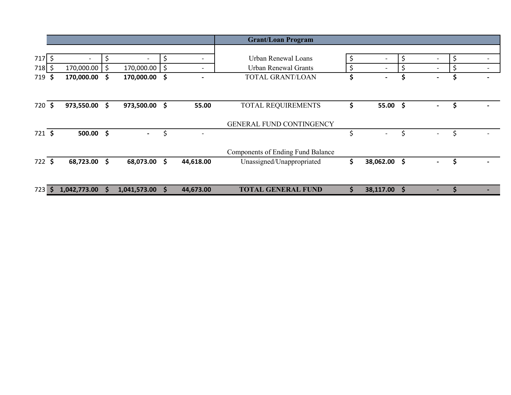|          |    |               |     |                   |                                | <b>Grant/Loan Program</b>                |    |                          |     |                          |                          |
|----------|----|---------------|-----|-------------------|--------------------------------|------------------------------------------|----|--------------------------|-----|--------------------------|--------------------------|
|          |    |               |     |                   |                                |                                          |    |                          |     |                          |                          |
| $717$ \$ |    |               |     |                   | \$<br>$\overline{\phantom{a}}$ | Urban Renewal Loans                      | \$ | $\overline{\phantom{0}}$ |     |                          | $\overline{\phantom{a}}$ |
| 718      | \$ | 170,000.00 \$ |     | 170,000.00 \$     | $\overline{\phantom{a}}$       | <b>Urban Renewal Grants</b>              | \$ | $\overline{\phantom{a}}$ |     | $\overline{\phantom{a}}$ | $\overline{\phantom{a}}$ |
| 719      | S  | 170,000.00    | \$  | 170,000.00 \$     |                                | <b>TOTAL GRANT/LOAN</b>                  | \$ | $\overline{\phantom{0}}$ | \$  | $\blacksquare$           | \$                       |
|          |    |               |     |                   |                                |                                          |    |                          |     |                          |                          |
|          |    |               |     |                   |                                |                                          |    |                          |     |                          |                          |
| 720 \$   |    | 973,550.00    | -\$ | 973,500.00 \$     | 55.00                          | <b>TOTAL REQUIREMENTS</b>                | Ś. | 55.00%                   |     | $\overline{\phantom{0}}$ |                          |
|          |    |               |     |                   |                                |                                          |    |                          |     |                          |                          |
|          |    |               |     |                   |                                | <b>GENERAL FUND CONTINGENCY</b>          |    |                          |     |                          |                          |
| $721$ \$ |    | $500.00$ \$   |     |                   | \$<br>$\overline{\phantom{a}}$ |                                          | \$ |                          | Ś   | $\overline{\phantom{a}}$ | \$                       |
|          |    |               |     |                   |                                |                                          |    |                          |     |                          |                          |
|          |    |               |     |                   |                                | <b>Components of Ending Fund Balance</b> |    |                          |     |                          |                          |
| 722 \$   |    | 68,723.00     | -\$ | 68,073.00 \$      | 44,618.00                      | Unassigned/Unappropriated                | \$ | 38,062.00                | -\$ | $\overline{\phantom{0}}$ |                          |
|          |    |               |     |                   |                                |                                          |    |                          |     |                          |                          |
|          |    |               |     |                   |                                |                                          |    |                          |     |                          |                          |
| 723      | S. | 1,042,773.00  | -S  | $1,041,573.00$ \$ | 44,673.00                      | <b>TOTAL GENERAL FUND</b>                |    | 38,117.00                |     |                          |                          |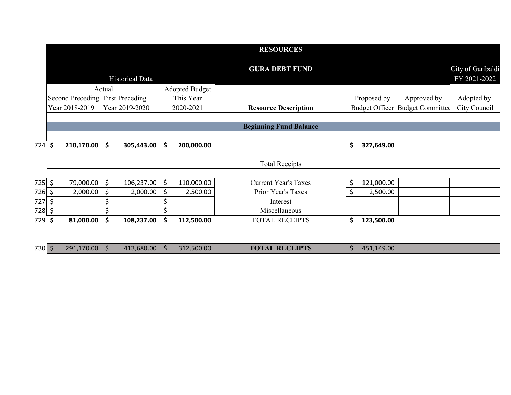|          |                                  |        |                 |                       | <b>RESOURCES</b>              |     |             |                                        |                                   |
|----------|----------------------------------|--------|-----------------|-----------------------|-------------------------------|-----|-------------|----------------------------------------|-----------------------------------|
|          |                                  |        | Historical Data |                       | <b>GURA DEBT FUND</b>         |     |             |                                        | City of Garibaldi<br>FY 2021-2022 |
|          |                                  | Actual |                 | <b>Adopted Budget</b> |                               |     |             |                                        |                                   |
|          | Second Preceding First Preceding |        |                 | This Year             |                               |     | Proposed by | Approved by                            | Adopted by                        |
|          | Year 2018-2019                   |        | Year 2019-2020  | 2020-2021             | <b>Resource Description</b>   |     |             | <b>Budget Officer Budget Committee</b> | City Council                      |
|          |                                  |        |                 |                       |                               |     |             |                                        |                                   |
|          |                                  |        |                 |                       | <b>Beginning Fund Balance</b> |     |             |                                        |                                   |
| 724 \$   | 210,170.00 \$                    |        | 305,443.00 \$   | 200,000.00            |                               | \$. | 327,649.00  |                                        |                                   |
|          |                                  |        |                 |                       | <b>Total Receipts</b>         |     |             |                                        |                                   |
|          |                                  |        |                 |                       |                               |     |             |                                        |                                   |
| $725$ \$ | 79,000.00                        | \$     | 106,237.00      | \$<br>110,000.00      | <b>Current Year's Taxes</b>   | \$  | 121,000.00  |                                        |                                   |
| 726      | \$<br>2,000.00                   | \$     | 2,000.00        | \$<br>2,500.00        | Prior Year's Taxes            |     | 2,500.00    |                                        |                                   |
| 727      | \$                               | \$     |                 |                       | Interest                      |     |             |                                        |                                   |
| $728$ \$ |                                  | \$     |                 |                       | Miscellaneous                 |     |             |                                        |                                   |
| 729 \$   | 81,000.00                        | \$     | 108,237.00      | \$<br>112,500.00      | <b>TOTAL RECEIPTS</b>         | \$  | 123,500.00  |                                        |                                   |
|          |                                  |        |                 |                       |                               |     |             |                                        |                                   |
| 730 \$   | 291,170.00 \$                    |        | 413,680.00      | \$<br>312,500.00      | <b>TOTAL RECEIPTS</b>         | \$  | 451,149.00  |                                        |                                   |